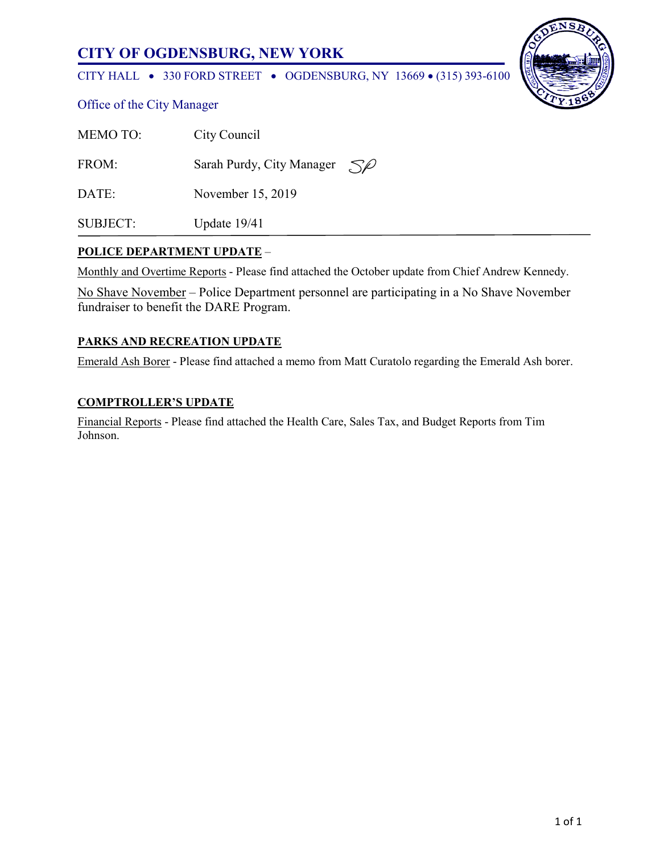# **CITY OF OGDENSBURG, NEW YORK**

CITY HALL • 330 FORD STREET • OGDENSBURG, NY 13669 • (315) 393-6100



|  | Office of the City Manager |
|--|----------------------------|
|  |                            |

| <b>MEMOTO:</b>  | City Council                                |
|-----------------|---------------------------------------------|
| FROM:           | Sarah Purdy, City Manager $\mathcal{S}\ell$ |
| DATE:           | November 15, 2019                           |
| <b>SUBJECT:</b> | Update $19/41$                              |

### **POLICE DEPARTMENT UPDATE** –

Monthly and Overtime Reports - Please find attached the October update from Chief Andrew Kennedy.

No Shave November – Police Department personnel are participating in a No Shave November fundraiser to benefit the DARE Program.

### **PARKS AND RECREATION UPDATE**

Emerald Ash Borer - Please find attached a memo from Matt Curatolo regarding the Emerald Ash borer.

### **COMPTROLLER'S UPDATE**

Financial Reports - Please find attached the Health Care, Sales Tax, and Budget Reports from Tim Johnson.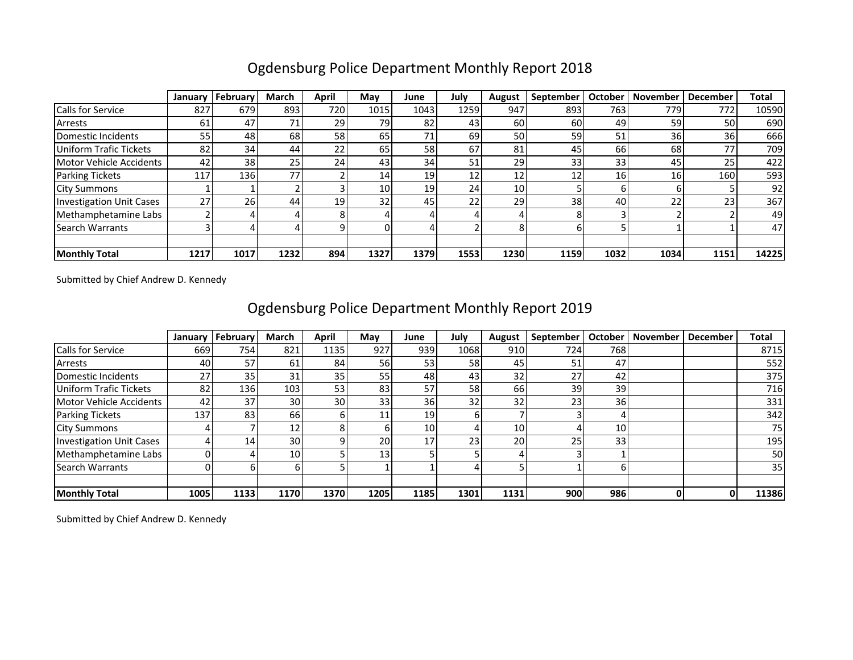|                                 | January | February        | <b>March</b> | April | May             | June | July | August          | September | <b>October</b> | <b>November</b> | <b>December</b> | Total |
|---------------------------------|---------|-----------------|--------------|-------|-----------------|------|------|-----------------|-----------|----------------|-----------------|-----------------|-------|
| <b>Calls for Service</b>        | 827     | 679             | 893          | 720   | 1015            | 1043 | 1259 | 947             | 893       | 763            | 779             | 772             | 10590 |
| Arrests                         | 61      | 47              | 71           | 29    | 79              | 82   | 43   | 60              | 60        | 49             | 59              | 50              | 690   |
| Domestic Incidents              | 55      | 48              | 68           | 58    | 65              | 71   | 69   | 50              | 59        | 51             | 36              | 36              | 666   |
| Uniform Trafic Tickets          | 82      | 34              | 44           | 22    | 65              | 58   | 67   | 81              | 45        | 66 l           | 68              |                 | 709   |
| Motor Vehicle Accidents         | 42      | 38 <sup>1</sup> | 25           | 24    | 43              | 34   | 51   | 29              | 33        | 33             | 45              | 25              | 422   |
| <b>Parking Tickets</b>          | 117     | 136             | 77           |       | 14              | 19   | 12   | 12              | 12        | 16             | 16              | 160             | 593   |
| <b>City Summons</b>             |         |                 |              |       | 10 <sup>1</sup> | 19   | 24   | 10 <sup>1</sup> |           | b              |                 |                 | 92    |
| <b>Investigation Unit Cases</b> | 27      | 26              | 44           | 19    | 32              | 45   | 22   | 29              | 38        | 40             | 22              |                 | 367   |
| Methamphetamine Labs            |         |                 |              |       |                 |      |      |                 |           |                |                 |                 | 49    |
| <b>Search Warrants</b>          |         |                 |              |       |                 |      |      |                 | h         |                |                 |                 | 47    |
|                                 |         |                 |              |       |                 |      |      |                 |           |                |                 |                 |       |
| <b>Monthly Total</b>            | 1217    | 1017            | 1232         | 894   | 1327            | 1379 | 1553 | 1230            | 1159      | 1032           | 1034            | 1151            | 14225 |

# Ogdensburg Police Department Monthly Report 2018

Submitted by Chief Andrew D. Kennedy

|                                 | January | February | March           | April | May             | June | July | August          | September | October | <b>November</b> | <b>December</b> | Total |
|---------------------------------|---------|----------|-----------------|-------|-----------------|------|------|-----------------|-----------|---------|-----------------|-----------------|-------|
| Calls for Service               | 669     | 754      | 821             | 1135  | 927             | 939  | 1068 | 910             | 724       | 768     |                 |                 | 8715  |
| Arrests                         | 40      | 57       | 61              | 84    | 56              | 53   | 58   | 45              | 51        | 47      |                 |                 | 552   |
| Domestic Incidents              | 27      | 35       | 31              | 35    | 55              | 48   | 43   | 32              | 27        | 42      |                 |                 | 375   |
| <b>Uniform Trafic Tickets</b>   | 82      | 136      | 103             | 53    | 83              | 57   | 58   | 66              | 39        | 39      |                 |                 | 716   |
| Motor Vehicle Accidents         | 42      | 37       | 30              | 30    | 33 <sub>1</sub> | 36   | 32   | 32              | 23        | 36      |                 |                 | 331   |
| Parking Tickets                 | 137     | 83       | 66 l            |       | 11              | 19   |      |                 |           |         |                 |                 | 342   |
| <b>City Summons</b>             |         |          | 12              |       | 61              | 10   |      | 10 <sub>1</sub> |           | 10      |                 |                 | 75    |
| <b>Investigation Unit Cases</b> |         | 14       | 30 <sup>1</sup> |       | <b>20</b>       | 17   | 23   | 20              | 25        | 33      |                 |                 | 195   |
| Methamphetamine Labs            |         |          | 10              |       | 13 <sub>1</sub> |      |      |                 |           |         |                 |                 | 50    |
| <b>Search Warrants</b>          |         |          |                 |       |                 |      |      |                 |           |         |                 |                 | 35    |
|                                 |         |          |                 |       |                 |      |      |                 |           |         |                 |                 |       |
| <b>Monthly Total</b>            | 1005    | 1133     | 1170            | 1370  | 1205            | 1185 | 1301 | 1131            | 900       | 986     | 0               |                 | 11386 |

# Ogdensburg Police Department Monthly Report 2019

Submitted by Chief Andrew D. Kennedy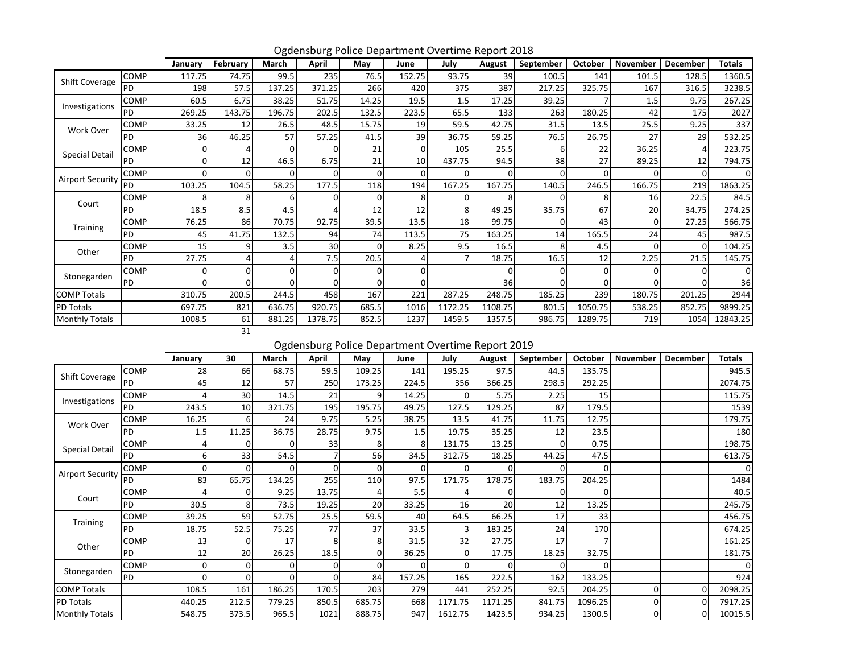|                         |           | January  | February | March          | April    | Mav      | June     | July     | August  | September | October | <b>November</b> | <b>December</b> | Totals   |
|-------------------------|-----------|----------|----------|----------------|----------|----------|----------|----------|---------|-----------|---------|-----------------|-----------------|----------|
| Shift Coverage          | COMP      | 117.75   | 74.75    | 99.5           | 235      | 76.5     | 152.75   | 93.75    | 39      | 100.5     | 141     | 101.5           | 128.5           | 1360.5   |
|                         | PD        | 198      | 57.5     | 137.25         | 371.25   | 266      | 420      | 375      | 387     | 217.25    | 325.75  | 167             | 316.5           | 3238.5   |
| Investigations          | COMP      | 60.5     | 6.75     | 38.25          | 51.75    | 14.25    | 19.5     | 1.5      | 17.25   | 39.25     |         | 1.5             | 9.75            | 267.25   |
|                         | <b>PD</b> | 269.25   | 143.75   | 196.75         | 202.5    | 132.5    | 223.5    | 65.5     | 133     | 263       | 180.25  | 42              | 175             | 2027     |
| Work Over               | COMP      | 33.25    | 12       | 26.5           | 48.5     | 15.75    | 19       | 59.5     | 42.75   | 31.5      | 13.5    | 25.5            | 9.25            | 337      |
|                         | <b>PD</b> | 36       | 46.25    | 57             | 57.25    | 41.5     | 39       | 36.75    | 59.25   | 76.5      | 26.75   | 27              | 29              | 532.25   |
| <b>Special Detail</b>   | COMP      | 0        |          | $\overline{0}$ | $\Omega$ | 21       | 0        | 105      | 25.5    | 6         | 22      | 36.25           | 4               | 223.75   |
|                         | PD        | $\Omega$ | 12       | 46.5           | 6.75     | 21       | 10       | 437.75   | 94.5    | 38        | 27      | 89.25           | 12              | 794.75   |
| <b>Airport Security</b> | COMP      | $\Omega$ |          | $\Omega$       | 0        | $\Omega$ | $\Omega$ | $\Omega$ |         | $\Omega$  | 0       |                 | $\Omega$        | $\Omega$ |
|                         | PD        | 103.25   | 104.5    | 58.25          | 177.5    | 118      | 194      | 167.25   | 167.75  | 140.5     | 246.5   | 166.75          | 219             | 1863.25  |
| Court                   | COMP      | 8        |          | 6              | 0        |          | 8        | 0        |         |           | 8       | 16              | 22.5            | 84.5     |
|                         | <b>PD</b> | 18.5     | 8.5      | 4.5            | Δ        | 12       | 12       | 8        | 49.25   | 35.75     | 67      | 20              | 34.75           | 274.25   |
| Training                | COMP      | 76.25    | 86       | 70.75          | 92.75    | 39.5     | 13.5     | 18       | 99.75   | $\Omega$  | 43      | 0               | 27.25           | 566.75   |
|                         | PD        | 45       | 41.75    | 132.5          | 94       | 74       | 113.5    | 75       | 163.25  | 14        | 165.5   | 24              | 45              | 987.5    |
| Other                   | COMP      | 15       |          | 3.5            | 30       | C        | 8.25     | 9.5      | 16.5    | 8         | 4.5     | 0               | $\Omega$        | 104.25   |
|                         | PD        | 27.75    |          | 4              | 7.5      | 20.5     | 4        |          | 18.75   | 16.5      | 12      | 2.25            | 21.5            | 145.75   |
| Stonegarden             | COMP      | $\Omega$ |          | 0              | 0        |          | 0        |          |         | C         | 0       | 0               | <sup>0</sup>    | $\Omega$ |
|                         | PD        | $\Omega$ |          | οI             | $\Omega$ | O        | 0        |          | 36      |           | 0       |                 | <sup>0</sup>    | 36       |
| <b>COMP Totals</b>      |           | 310.75   | 200.5    | 244.5          | 458      | 167      | 221      | 287.25   | 248.75  | 185.25    | 239     | 180.75          | 201.25          | 2944     |
| PD Totals               |           | 697.75   | 821      | 636.75         | 920.75   | 685.5    | 1016     | 1172.25  | 1108.75 | 801.5     | 1050.75 | 538.25          | 852.75          | 9899.25  |
| <b>Monthly Totals</b>   |           | 1008.5   | 61       | 881.25         | 1378.75  | 852.5    | 1237     | 1459.5   | 1357.5  | 986.75    | 1289.75 | 719             | 1054            | 12843.25 |
|                         |           |          | 31       |                |          |          |          |          |         |           |         |                 |                 |          |

Ogdensburg Police Department Overtime Report 2018

Ogdensburg Police Department Overtime Report 2019

|                         |           | January  | 30    | March  | April    | May    | June   | July     | August  | September | <b>October</b> | November       | December | <b>Totals</b> |
|-------------------------|-----------|----------|-------|--------|----------|--------|--------|----------|---------|-----------|----------------|----------------|----------|---------------|
| Shift Coverage          | COMP      | 28       | 66    | 68.75  | 59.5     | 109.25 | 141    | 195.25   | 97.5    | 44.5      | 135.75         |                |          | 945.5         |
|                         | PD        | 45       | 12    | 57     | 250      | 173.25 | 224.5  | 356      | 366.25  | 298.5     | 292.25         |                |          | 2074.75       |
| Investigations          | COMP      |          | 30    | 14.5   | 21       |        | 14.25  | 0        | 5.75    | 2.25      | 15             |                |          | 115.75        |
|                         | PD.       | 243.5    | 10    | 321.75 | 195      | 195.75 | 49.75  | 127.5    | 129.25  | 87        | 179.5          |                |          | 1539          |
| Work Over               | COMP      | 16.25    | 6     | 24     | 9.75     | 5.25   | 38.75  | 13.5     | 41.75   | 11.75     | 12.75          |                |          | 179.75        |
|                         | PD        | 1.5      | 11.25 | 36.75  | 28.75    | 9.75   | 1.5    | 19.75    | 35.25   | 12        | 23.5           |                |          | 180           |
| <b>Special Detail</b>   | COMP      |          |       | O.     | 33       |        | ጸ      | 131.75   | 13.25   |           | 0.75           |                |          | 198.75        |
|                         | PD        | 6        | 33    | 54.5   |          | 56     | 34.5   | 312.75   | 18.25   | 44.25     | 47.5           |                |          | 613.75        |
| <b>Airport Security</b> | COMP      | $\Omega$ |       | 0      | $\Omega$ |        | 0      | $\Omega$ |         |           | 0              |                |          | $\Omega$      |
|                         | PD        | 83       | 65.75 | 134.25 | 255      | 110    | 97.5   | 171.75   | 178.75  | 183.75    | 204.25         |                |          | 1484          |
| Court                   | COMP      |          |       | 9.25   | 13.75    |        | 5.5    |          |         |           |                |                |          | 40.5          |
|                         | PD        | 30.5     | 8     | 73.5   | 19.25    | 20     | 33.25  | 16       | 20      | 12        | 13.25          |                |          | 245.75        |
| <b>Training</b>         | COMP      | 39.25    | 59    | 52.75  | 25.5     | 59.5   | 40     | 64.5     | 66.25   | 17        | 33             |                |          | 456.75        |
|                         | PD        | 18.75    | 52.5  | 75.25  | 77       | 37     | 33.5   | 3        | 183.25  | 24        | 170            |                |          | 674.25        |
| Other                   | COMP      | 13       |       | 17     | 8        | 8      | 31.5   | 32       | 27.75   | 17        |                |                |          | 161.25        |
|                         | <b>PD</b> | 12       | 20    | 26.25  | 18.5     |        | 36.25  | $\Omega$ | 17.75   | 18.25     | 32.75          |                |          | 181.75        |
| Stonegarden             | COMP      | $\Omega$ |       | ΩI     | 0        |        | 0      | $\Omega$ |         |           |                |                |          |               |
|                         | PD        | $\Omega$ |       | Οl     | $\Omega$ | 84     | 157.25 | 165      | 222.5   | 162       | 133.25         |                |          | 924           |
| <b>COMP Totals</b>      |           | 108.5    | 161   | 186.25 | 170.5    | 203    | 279    | 441      | 252.25  | 92.5      | 204.25         | 0              | $\Omega$ | 2098.25       |
| PD Totals               |           | 440.25   | 212.5 | 779.25 | 850.5    | 685.75 | 668    | 1171.75  | 1171.25 | 841.75    | 1096.25        |                | $\Omega$ | 7917.25       |
| <b>Monthly Totals</b>   |           | 548.75   | 373.5 | 965.5  | 1021     | 888.75 | 947    | 1612.75  | 1423.5  | 934.25    | 1300.5         | $\overline{0}$ | $\Omega$ | 10015.5       |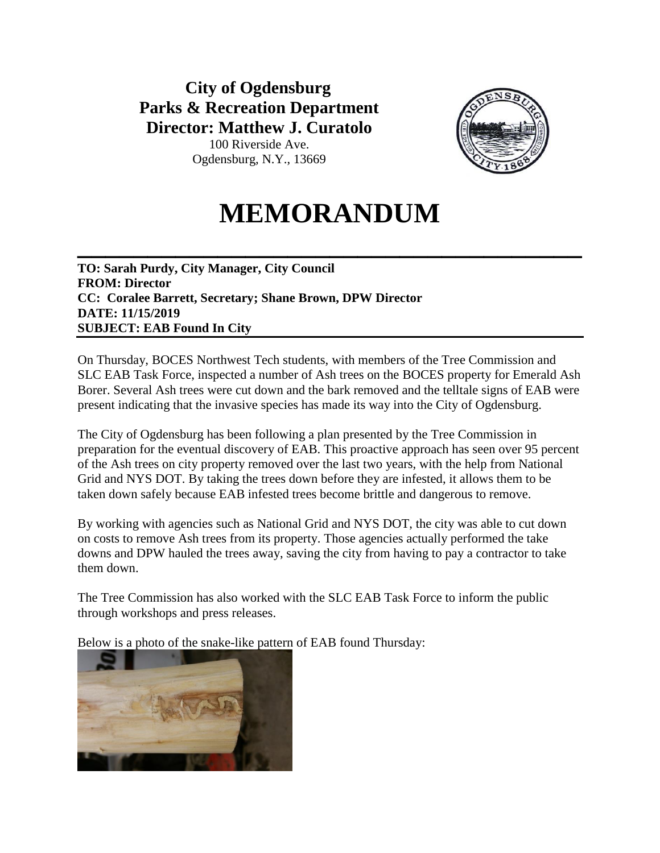# **City of Ogdensburg Parks & Recreation Department Director: Matthew J. Curatolo**



100 Riverside Ave. Ogdensburg, N.Y., 13669

# **MEMORANDUM**

**\_\_\_\_\_\_\_\_\_\_\_\_\_\_\_\_\_\_\_\_\_\_\_\_\_\_\_\_\_\_\_\_\_\_\_\_**

**TO: Sarah Purdy, City Manager, City Council FROM: Director CC: Coralee Barrett, Secretary; Shane Brown, DPW Director DATE: 11/15/2019 SUBJECT: EAB Found In City**

On Thursday, BOCES Northwest Tech students, with members of the Tree Commission and SLC EAB Task Force, inspected a number of Ash trees on the BOCES property for Emerald Ash Borer. Several Ash trees were cut down and the bark removed and the telltale signs of EAB were present indicating that the invasive species has made its way into the City of Ogdensburg.

The City of Ogdensburg has been following a plan presented by the Tree Commission in preparation for the eventual discovery of EAB. This proactive approach has seen over 95 percent of the Ash trees on city property removed over the last two years, with the help from National Grid and NYS DOT. By taking the trees down before they are infested, it allows them to be taken down safely because EAB infested trees become brittle and dangerous to remove.

By working with agencies such as National Grid and NYS DOT, the city was able to cut down on costs to remove Ash trees from its property. Those agencies actually performed the take downs and DPW hauled the trees away, saving the city from having to pay a contractor to take them down.

The Tree Commission has also worked with the SLC EAB Task Force to inform the public through workshops and press releases.

Below is a photo of the snake-like pattern of EAB found Thursday:

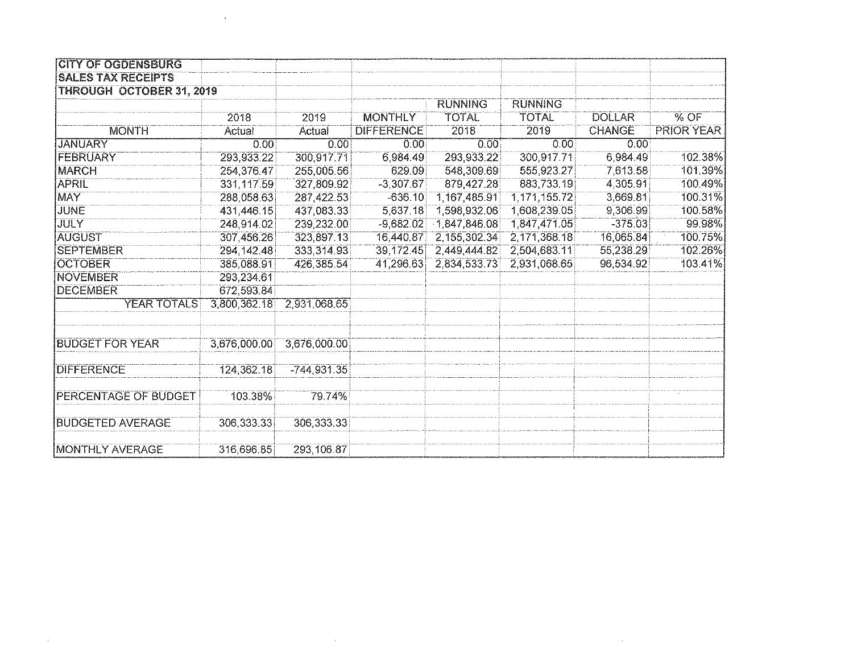| <b>CITY OF OGDENSBURG</b> |              |               |                   |                |                |               |                   |
|---------------------------|--------------|---------------|-------------------|----------------|----------------|---------------|-------------------|
| <b>SALES TAX RECEIPTS</b> |              |               |                   |                |                |               |                   |
| THROUGH OCTOBER 31, 2019  |              |               |                   |                |                |               |                   |
|                           |              |               |                   | <b>RUNNING</b> | <b>RUNNING</b> |               |                   |
|                           | 2018         | 2019          | <b>MONTHLY</b>    | <b>TOTAL</b>   | <b>TOTAL</b>   | <b>DOLLAR</b> | $\%$ OF           |
| <b>MONTH</b>              | Actual       | Actual        | <b>DIFFERENCE</b> | 2018           | 2019           | <b>CHANGE</b> | <b>PRIOR YEAR</b> |
| <b>JANUARY</b>            | 0.00         | 0.00          | 0.00              | 0.00           | 0.00           | 0.00          |                   |
| <b>FEBRUARY</b>           | 293,933.22   | 300,917.71    | 6,984.49          | 293,933.22     | 300,917.71     | 6,984.49      | 102.38%           |
| <b>MARCH</b>              | 254,376,47   | 255,005.56    | 629.09            | 548,309.69     | 555,923.27     | 7,613.58      | 101.39%           |
| APRIL                     | 331,117.59   | 327,809.92    | $-3,307.67$       | 879,427.28     | 883,733.19     | 4,305.91      | 100.49%           |
| MAY                       | 288,058.63   | 287,422.53    | $-636.10$         | 1,167,485.91   | 1,171,155.72   | 3,669.81      | 100.31%           |
| <b>JUNE</b>               | 431,446.15   | 437,083.33    | 5,637.18          | 1,598,932.06   | 1,608,239.05   | 9,306.99      | 100.58%           |
| <b>JULY</b>               | 248,914.02   | 239,232.00    | $-9,682.02$       | 1,847,846.08   | 1,847,471.05   | $-375.03$     | 99.98%            |
| <b>AUGUST</b>             | 307,456.26   | 323,897.13    | 16,440.87         | 2,155,302.34   | 2,171,368.18   | 16,065.84     | 100.75%           |
| <b>SEPTEMBER</b>          | 294, 142.48  | 333,314.93    | 39,172.45         | 2,449,444.82   | 2,504,683.11   | 55,238.29     | 102.26%           |
| <b>OCTOBER</b>            | 385,088.91   | 426,385.54    | 41,296.63         | 2,834,533.73   | 2,931,068.65   | 96,534.92     | 103.41%           |
| NOVEMBER                  | 293,234.61   |               |                   |                |                |               |                   |
| <b>DECEMBER</b>           | 672,593.84   |               |                   |                |                |               |                   |
| YEAR TOTALS               | 3,800,362.18 | 2,931,068.65  |                   |                |                |               |                   |
|                           |              |               |                   |                |                |               |                   |
| <b>BUDGET FOR YEAR</b>    | 3,676,000.00 | 3,676,000.00  |                   |                |                |               |                   |
| <b>DIFFERENCE</b>         | 124,362.18   | $-744,931.35$ |                   |                |                |               |                   |
| PERCENTAGE OF BUDGET      | 103.38%      | 79.74%        |                   |                |                |               |                   |
| <b>BUDGETED AVERAGE</b>   | 306,333.33   | 306,333.33    |                   |                |                |               |                   |
| <b>MONTHLY AVERAGE</b>    | 316,696.85   | 293,106.87    |                   |                |                |               |                   |

 $\mathcal{L}^{\text{max}}_{\text{max}}$ 

 $\mathcal{L}^{\text{max}}_{\text{max}}$  , where  $\mathcal{L}^{\text{max}}_{\text{max}}$ 

 $\mathcal{L}^{\text{max}}_{\text{max}}$  and  $\mathcal{L}^{\text{max}}_{\text{max}}$ 

 $\sim 10^{11}$  km  $^{-1}$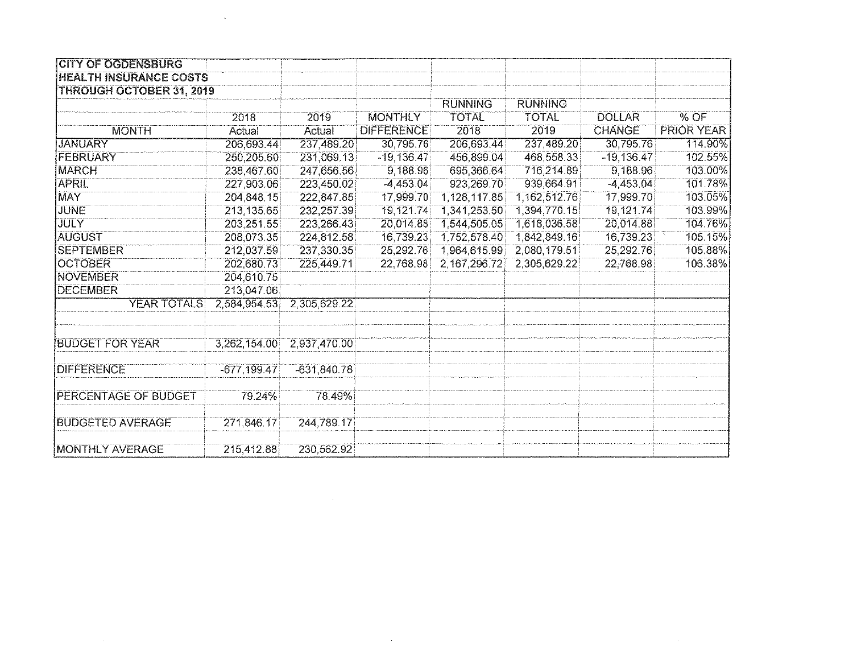| <b>CITY OF OGDENSBURG</b>       |                |               |                   |                |                |               |                   |
|---------------------------------|----------------|---------------|-------------------|----------------|----------------|---------------|-------------------|
| <b>HEALTH INSURANCE COSTS</b>   |                |               |                   |                |                |               |                   |
| <b>THROUGH OCTOBER 31, 2019</b> |                |               |                   |                |                |               |                   |
|                                 |                |               |                   | <b>RUNNING</b> | <b>RUNNING</b> |               |                   |
|                                 | 2018           | 2019          | <b>MONTHLY</b>    | <b>TOTAL</b>   | <b>TOTAL</b>   | <b>DOLLAR</b> | % OF              |
| <b>MONTH</b>                    | Actual         | Actual        | <b>DIFFERENCE</b> | 2018           | 2019           | <b>CHANGE</b> | <b>PRIOR YEAR</b> |
| <b>JANUARY</b>                  | 206,693.44     | 237,489.20    | 30,795.76         | 206,693.44     | 237,489.20     | 30,795.76     | 114.90%           |
| FEBRUARY                        | 250,205.60     | 231,069.13    | $-19,136.47$      | 456,899.04     | 468,558.33     | $-19,136.47$  | 102.55%           |
| <b>MARCH</b>                    | 238,467.60     | 247,656.56    | 9,188.96          | 695,366.64     | 716,214.89     | 9,188.96      | 103.00%           |
| <b>APRIL</b>                    | 227,903.06     | 223,450.02    | $-4,453.04$       | 923,269.70     | 939,664.91     | $-4,453.04$   | 101.78%           |
| <b>MAY</b>                      | 204,848.15     | 222,847.85    | 17,999.70         | 1,128,117.85   | 1,162,512.76   | 17,999.70     | 103.05%           |
| <b>JUNE</b>                     | 213,135.65     | 232,257.39    | 19,121.74         | 1,341,253.50   | 1,394,770.15   | 19,121.74     | 103.99%           |
| <b>JULY</b>                     | 203,251.55     | 223,266.43    | 20,014.88         | 1,544,505.05   | 1,618,036.58   | 20,014.88     | 104.76%           |
| <b>AUGUST</b>                   | 208,073.35     | 224,812.58    | 16,739.23         | 1,752,578.40   | 1,842,849.16   | 16,739.23     | 105.15%           |
| <b>ISEPTEMBER</b>               | 212,037.59     | 237,330.35    | 25,292.76         | 1,964,615.99   | 2,080,179.51   | 25,292.76     | 105.88%           |
| <b>OCTOBER</b>                  | 202,680.73     | 225,449.71    | 22,768.98         | 2,167,296.72   | 2,305,629.22   | 22,768.98     | 106.38%           |
| <b>NOVEMBER</b>                 | 204,610.75     |               |                   |                |                |               |                   |
| <b>DECEMBER</b>                 | 213,047.06     |               |                   |                |                |               |                   |
| YEAR TOTALS                     | 2.584,954.53   | 2,305,629.22  |                   |                |                |               |                   |
| <b>BUDGET FOR YEAR</b>          | 3.262,154.00   | 2,937,470.00  |                   |                |                |               |                   |
|                                 |                |               |                   |                |                |               |                   |
| <b>DIFFERENCE</b>               | $-677, 199.47$ | $-631,840.78$ |                   |                |                |               |                   |
| <b>PERCENTAGE OF BUDGET</b>     | 79.24%         | 78.49%        |                   |                |                |               |                   |
| <b>BUDGETED AVERAGE</b>         | 271,846.17     | 244,789.17    |                   |                |                |               |                   |
| <b>MONTHLY AVERAGE</b>          | 215,412.88     | 230,562.92    |                   |                |                |               |                   |

 $\label{eq:2.1} \frac{1}{\sqrt{2}}\left(\frac{1}{\sqrt{2}}\right)^{2} \left(\frac{1}{\sqrt{2}}\right)^{2} \left(\frac{1}{\sqrt{2}}\right)^{2} \left(\frac{1}{\sqrt{2}}\right)^{2} \left(\frac{1}{\sqrt{2}}\right)^{2} \left(\frac{1}{\sqrt{2}}\right)^{2} \left(\frac{1}{\sqrt{2}}\right)^{2} \left(\frac{1}{\sqrt{2}}\right)^{2} \left(\frac{1}{\sqrt{2}}\right)^{2} \left(\frac{1}{\sqrt{2}}\right)^{2} \left(\frac{1}{\sqrt{2}}\right)^{2} \left(\$ 

 $\label{eq:2.1} \frac{1}{2} \int_{\mathbb{R}^3} \frac{1}{\sqrt{2}} \, \frac{1}{\sqrt{2}} \, \frac{1}{\sqrt{2}} \, \frac{1}{\sqrt{2}} \, \frac{1}{\sqrt{2}} \, \frac{1}{\sqrt{2}} \, \frac{1}{\sqrt{2}} \, \frac{1}{\sqrt{2}} \, \frac{1}{\sqrt{2}} \, \frac{1}{\sqrt{2}} \, \frac{1}{\sqrt{2}} \, \frac{1}{\sqrt{2}} \, \frac{1}{\sqrt{2}} \, \frac{1}{\sqrt{2}} \, \frac{1}{\sqrt{2}} \, \frac{1}{\sqrt{2}} \,$ 

 $\label{eq:2.1} \frac{1}{\sqrt{2}}\left(\frac{1}{\sqrt{2}}\right)^{2} \left(\frac{1}{\sqrt{2}}\right)^{2} \left(\frac{1}{\sqrt{2}}\right)^{2} \left(\frac{1}{\sqrt{2}}\right)^{2} \left(\frac{1}{\sqrt{2}}\right)^{2} \left(\frac{1}{\sqrt{2}}\right)^{2} \left(\frac{1}{\sqrt{2}}\right)^{2} \left(\frac{1}{\sqrt{2}}\right)^{2} \left(\frac{1}{\sqrt{2}}\right)^{2} \left(\frac{1}{\sqrt{2}}\right)^{2} \left(\frac{1}{\sqrt{2}}\right)^{2} \left(\$ 

 $\mathcal{L}^{\text{max}}_{\text{max}}$  , where  $\mathcal{L}^{\text{max}}_{\text{max}}$ 

 $\mathcal{L}^{\text{max}}_{\text{max}}$  and  $\mathcal{L}^{\text{max}}_{\text{max}}$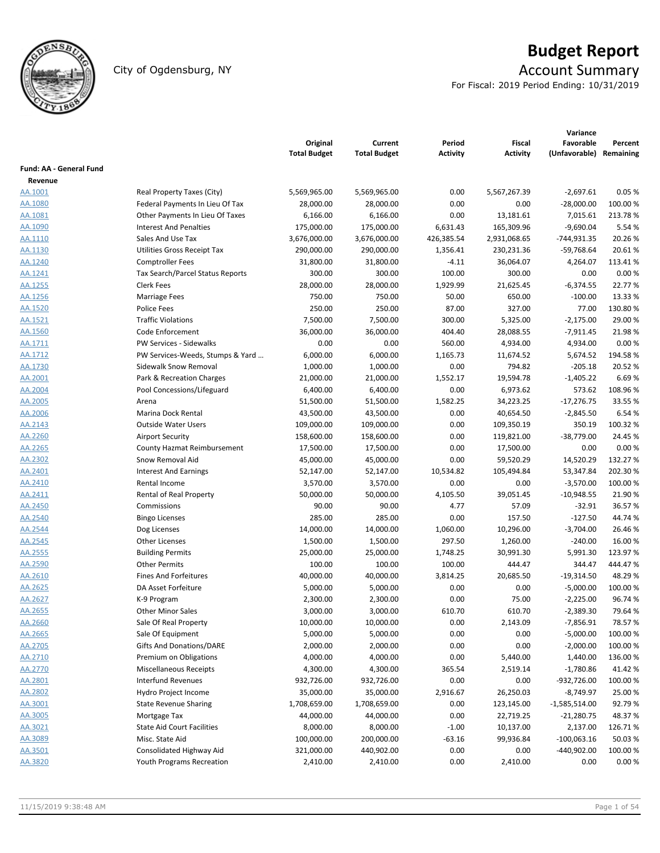

# **Budget Report**

# City of Ogdensburg, NY Account Summary

For Fiscal: 2019 Period Ending: 10/31/2019

|                         |                                         | Original<br><b>Total Budget</b> | Current<br><b>Total Budget</b> | Period<br><b>Activity</b> | Fiscal<br><b>Activity</b> | Variance<br>Favorable<br>(Unfavorable) | Percent<br>Remaining |
|-------------------------|-----------------------------------------|---------------------------------|--------------------------------|---------------------------|---------------------------|----------------------------------------|----------------------|
| Fund: AA - General Fund |                                         |                                 |                                |                           |                           |                                        |                      |
| Revenue                 |                                         |                                 |                                |                           |                           |                                        |                      |
| AA.1001                 | Real Property Taxes (City)              | 5,569,965.00                    | 5,569,965.00                   | 0.00                      | 5,567,267.39              | $-2,697.61$                            | 0.05%                |
| AA.1080                 | Federal Payments In Lieu Of Tax         | 28,000.00                       | 28,000.00                      | 0.00                      | 0.00                      | $-28,000.00$                           | 100.00 %             |
| AA.1081                 | Other Payments In Lieu Of Taxes         | 6,166.00                        | 6,166.00                       | 0.00                      | 13,181.61                 | 7,015.61                               | 213.78%              |
| AA.1090                 | <b>Interest And Penalties</b>           | 175,000.00                      | 175,000.00                     | 6,631.43                  | 165,309.96                | $-9,690.04$                            | 5.54 %               |
| AA.1110                 | Sales And Use Tax                       | 3,676,000.00                    | 3,676,000.00                   | 426,385.54                | 2,931,068.65              | -744,931.35                            | 20.26%               |
| AA.1130                 | Utilities Gross Receipt Tax             | 290,000.00                      | 290,000.00                     | 1,356.41                  | 230,231.36                | $-59,768.64$                           | 20.61%               |
| AA.1240                 | <b>Comptroller Fees</b>                 | 31,800.00                       | 31,800.00                      | $-4.11$                   | 36,064.07                 | 4,264.07                               | 113.41%              |
| AA.1241                 | <b>Tax Search/Parcel Status Reports</b> | 300.00                          | 300.00                         | 100.00                    | 300.00                    | 0.00                                   | 0.00%                |
| AA.1255                 | Clerk Fees                              | 28,000.00                       | 28,000.00                      | 1,929.99                  | 21,625.45                 | $-6,374.55$                            | 22.77%               |
| AA.1256                 | <b>Marriage Fees</b>                    | 750.00                          | 750.00                         | 50.00                     | 650.00                    | $-100.00$                              | 13.33 %              |
| AA.1520                 | Police Fees                             | 250.00                          | 250.00                         | 87.00                     | 327.00                    | 77.00                                  | 130.80%              |
| AA.1521                 | <b>Traffic Violations</b>               | 7,500.00                        | 7,500.00                       | 300.00                    | 5,325.00                  | $-2,175.00$                            | 29.00 %              |
| AA.1560                 | Code Enforcement                        | 36,000.00                       | 36,000.00                      | 404.40                    | 28,088.55                 | $-7,911.45$                            | 21.98%               |
| <u>AA.1711</u>          | PW Services - Sidewalks                 | 0.00                            | 0.00                           | 560.00                    | 4,934.00                  | 4,934.00                               | 0.00%                |
| AA.1712                 | PW Services-Weeds, Stumps & Yard        | 6,000.00                        | 6,000.00                       | 1,165.73                  | 11,674.52                 | 5,674.52                               | 194.58%              |
| AA.1730                 | Sidewalk Snow Removal                   | 1,000.00                        | 1,000.00                       | 0.00                      | 794.82                    | $-205.18$                              | 20.52 %              |
| AA.2001                 | Park & Recreation Charges               | 21,000.00                       | 21,000.00                      | 1,552.17                  | 19,594.78                 | $-1,405.22$                            | 6.69%                |
| AA.2004                 | Pool Concessions/Lifeguard              | 6,400.00                        | 6,400.00                       | 0.00                      | 6,973.62                  | 573.62                                 | 108.96%              |
| AA.2005                 | Arena                                   | 51,500.00                       | 51,500.00                      | 1,582.25                  | 34,223.25                 | $-17,276.75$                           | 33.55 %              |
| AA.2006                 | Marina Dock Rental                      | 43,500.00                       | 43,500.00                      | 0.00                      | 40,654.50                 | $-2,845.50$                            | 6.54%                |
| AA.2143                 | <b>Outside Water Users</b>              | 109,000.00                      | 109,000.00                     | 0.00                      | 109,350.19                | 350.19                                 | 100.32%              |
| AA.2260                 | <b>Airport Security</b>                 | 158,600.00                      | 158,600.00                     | 0.00                      | 119,821.00                | $-38,779.00$                           | 24.45 %              |
| AA.2265                 | County Hazmat Reimbursement             | 17,500.00                       | 17,500.00                      | 0.00                      | 17,500.00                 | 0.00                                   | 0.00%                |
| AA.2302                 | Snow Removal Aid                        | 45,000.00                       | 45,000.00                      | 0.00                      | 59,520.29                 | 14,520.29                              | 132.27%              |
| AA.2401                 | <b>Interest And Earnings</b>            | 52,147.00                       | 52,147.00                      | 10,534.82                 | 105,494.84                | 53,347.84                              | 202.30%              |
| AA.2410                 | Rental Income                           | 3,570.00                        | 3,570.00                       | 0.00                      | 0.00                      | $-3,570.00$                            | 100.00 %             |
| AA.2411                 | Rental of Real Property                 | 50,000.00                       | 50,000.00                      | 4,105.50                  | 39,051.45                 | $-10,948.55$                           | 21.90%               |
| AA.2450                 | Commissions                             | 90.00                           | 90.00                          | 4.77                      | 57.09                     | $-32.91$                               | 36.57%               |
| AA.2540                 | <b>Bingo Licenses</b>                   | 285.00                          | 285.00                         | 0.00                      | 157.50                    | $-127.50$                              | 44.74 %              |
| AA.2544                 | Dog Licenses                            | 14,000.00                       | 14,000.00                      | 1,060.00                  | 10,296.00                 | $-3,704.00$                            | 26.46%               |
| AA.2545                 | <b>Other Licenses</b>                   | 1,500.00                        | 1,500.00                       | 297.50                    | 1,260.00                  | $-240.00$                              | 16.00 %              |
| AA.2555                 | <b>Building Permits</b>                 | 25,000.00                       | 25,000.00                      | 1,748.25                  | 30,991.30                 | 5,991.30                               | 123.97%              |
| AA.2590                 | <b>Other Permits</b>                    | 100.00                          | 100.00                         | 100.00                    | 444.47                    | 344.47                                 | 444.47%              |
| <u>AA.2610</u>          | <b>Fines And Forfeitures</b>            | 40,000.00                       | 40,000.00                      | 3,814.25                  | 20,685.50                 | $-19,314.50$                           | 48.29%               |
| AA.2625                 | DA Asset Forfeiture                     | 5,000.00                        | 5,000.00                       | 0.00                      | 0.00                      | $-5,000.00$                            | 100.00%              |
| AA.2627                 | K-9 Program                             | 2,300.00                        | 2,300.00                       | 0.00                      | 75.00                     | $-2,225.00$                            | 96.74 %              |
| AA.2655                 | <b>Other Minor Sales</b>                | 3,000.00                        | 3,000.00                       | 610.70                    | 610.70                    | $-2,389.30$                            | 79.64%               |
| AA.2660                 | Sale Of Real Property                   | 10,000.00                       | 10,000.00                      | 0.00                      | 2,143.09                  | $-7,856.91$                            | 78.57%               |
| AA.2665                 | Sale Of Equipment                       | 5,000.00                        | 5,000.00                       | 0.00                      | 0.00                      | $-5,000.00$                            | 100.00%              |
| AA.2705                 | Gifts And Donations/DARE                | 2,000.00                        | 2,000.00                       | 0.00                      | 0.00                      | $-2,000.00$                            | 100.00 %             |
| AA.2710                 | Premium on Obligations                  | 4,000.00                        | 4,000.00                       | 0.00                      | 5,440.00                  | 1,440.00                               | 136.00%              |
| AA.2770                 | <b>Miscellaneous Receipts</b>           | 4,300.00                        | 4,300.00                       | 365.54                    | 2,519.14                  | $-1,780.86$                            | 41.42%               |
| AA.2801                 | <b>Interfund Revenues</b>               | 932,726.00                      | 932,726.00                     | 0.00                      | 0.00                      | $-932,726.00$                          | 100.00%              |
| AA.2802                 | Hydro Project Income                    | 35,000.00                       | 35,000.00                      | 2,916.67                  | 26,250.03                 | $-8,749.97$                            | 25.00 %              |
| AA.3001                 | <b>State Revenue Sharing</b>            | 1,708,659.00                    | 1,708,659.00                   | 0.00                      | 123,145.00                | $-1,585,514.00$                        | 92.79%               |
| AA.3005                 | Mortgage Tax                            | 44,000.00                       | 44,000.00                      | 0.00                      | 22,719.25                 | $-21,280.75$                           | 48.37%               |
| AA.3021                 | <b>State Aid Court Facilities</b>       | 8,000.00                        | 8,000.00                       | $-1.00$                   | 10,137.00                 | 2,137.00                               | 126.71%              |
| AA.3089                 | Misc. State Aid                         | 100,000.00                      | 200,000.00                     | $-63.16$                  | 99,936.84                 | $-100,063.16$                          | 50.03%               |
| AA.3501                 | Consolidated Highway Aid                | 321,000.00                      | 440,902.00                     | 0.00                      | 0.00                      | -440,902.00                            | 100.00%              |
| AA.3820                 | Youth Programs Recreation               | 2,410.00                        | 2,410.00                       | 0.00                      | 2,410.00                  | 0.00                                   | 0.00 %               |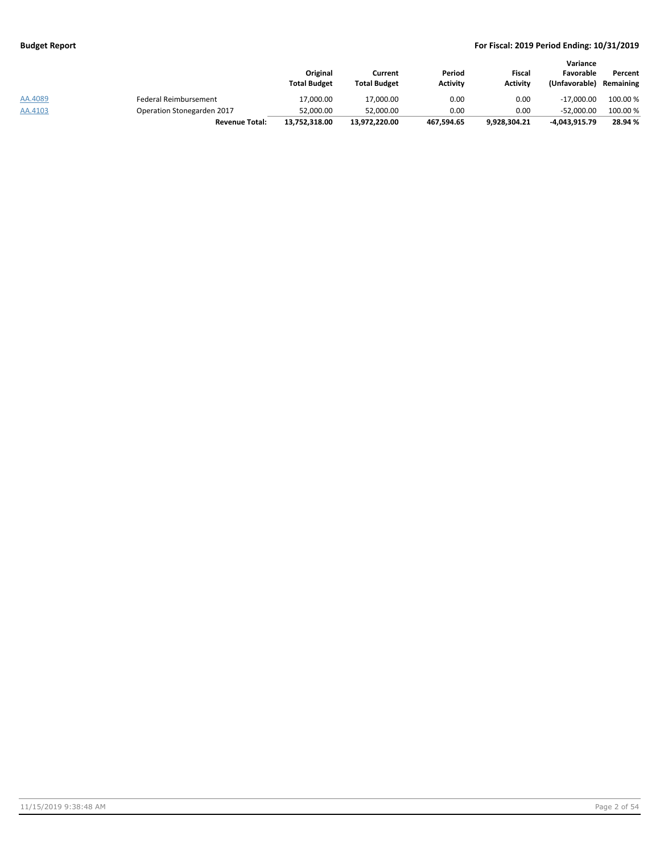|         |                            | Original<br><b>Total Budget</b> | Current<br><b>Total Budget</b> | Period<br><b>Activity</b> | Fiscal<br><b>Activity</b> | Variance<br>Favorable<br>(Unfavorable) | Percent<br>Remaining |
|---------|----------------------------|---------------------------------|--------------------------------|---------------------------|---------------------------|----------------------------------------|----------------------|
| AA.4089 | Federal Reimbursement      | 17,000.00                       | 17,000.00                      | 0.00                      | 0.00                      | $-17.000.00$                           | 100.00 %             |
| AA.4103 | Operation Stonegarden 2017 | 52.000.00                       | 52.000.00                      | 0.00                      | 0.00                      | $-52.000.00$                           | 100.00 %             |
|         | <b>Revenue Total:</b>      | 13,752,318.00                   | 13.972.220.00                  | 467,594.65                | 9.928.304.21              | -4,043,915.79                          | 28.94 %              |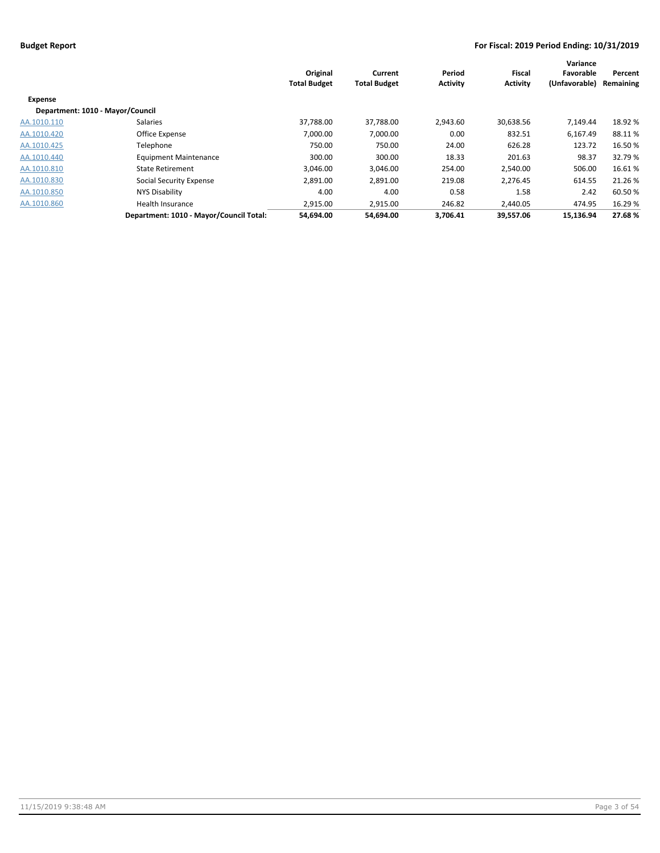|                                  |                                         | Original<br><b>Total Budget</b> | Current<br><b>Total Budget</b> | Period<br><b>Activity</b> | Fiscal<br><b>Activity</b> | Variance<br>Favorable<br>(Unfavorable) | Percent<br>Remaining |
|----------------------------------|-----------------------------------------|---------------------------------|--------------------------------|---------------------------|---------------------------|----------------------------------------|----------------------|
| <b>Expense</b>                   |                                         |                                 |                                |                           |                           |                                        |                      |
| Department: 1010 - Mayor/Council |                                         |                                 |                                |                           |                           |                                        |                      |
| AA.1010.110                      | Salaries                                | 37.788.00                       | 37,788.00                      | 2.943.60                  | 30,638.56                 | 7.149.44                               | 18.92%               |
| AA.1010.420                      | Office Expense                          | 7,000.00                        | 7,000.00                       | 0.00                      | 832.51                    | 6,167.49                               | 88.11%               |
| AA.1010.425                      | Telephone                               | 750.00                          | 750.00                         | 24.00                     | 626.28                    | 123.72                                 | 16.50 %              |
| AA.1010.440                      | <b>Equipment Maintenance</b>            | 300.00                          | 300.00                         | 18.33                     | 201.63                    | 98.37                                  | 32.79 %              |
| AA.1010.810                      | <b>State Retirement</b>                 | 3,046.00                        | 3,046.00                       | 254.00                    | 2,540.00                  | 506.00                                 | 16.61%               |
| AA.1010.830                      | Social Security Expense                 | 2,891.00                        | 2,891.00                       | 219.08                    | 2,276.45                  | 614.55                                 | 21.26 %              |
| AA.1010.850                      | NYS Disability                          | 4.00                            | 4.00                           | 0.58                      | 1.58                      | 2.42                                   | 60.50%               |
| AA.1010.860                      | Health Insurance                        | 2,915.00                        | 2,915.00                       | 246.82                    | 2,440.05                  | 474.95                                 | 16.29 %              |
|                                  | Department: 1010 - Mayor/Council Total: | 54,694.00                       | 54.694.00                      | 3.706.41                  | 39.557.06                 | 15.136.94                              | 27.68%               |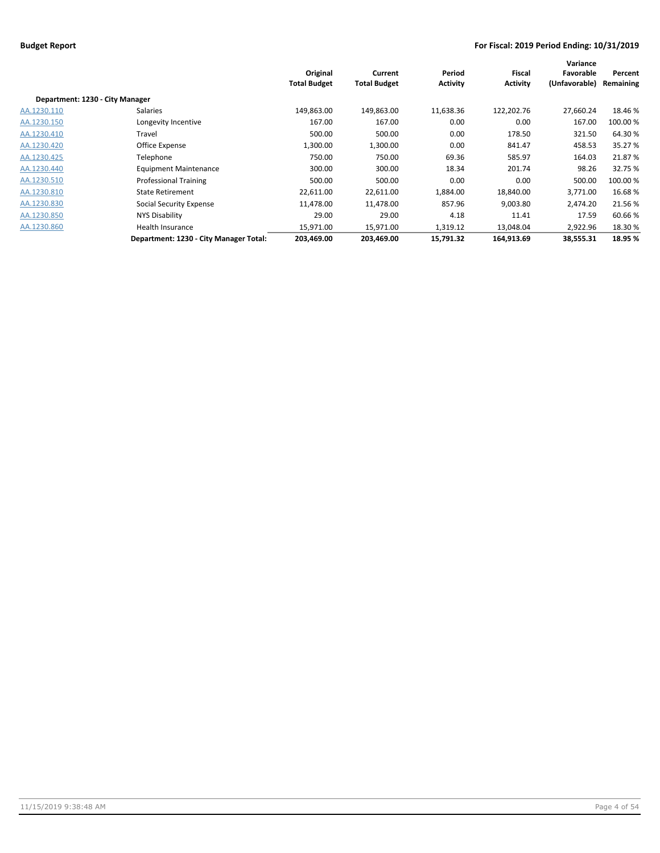|                                 |                                        | Original<br><b>Total Budget</b> | Current<br><b>Total Budget</b> | Period<br><b>Activity</b> | Fiscal<br><b>Activity</b> | Variance<br>Favorable<br>(Unfavorable) | Percent<br>Remaining |
|---------------------------------|----------------------------------------|---------------------------------|--------------------------------|---------------------------|---------------------------|----------------------------------------|----------------------|
| Department: 1230 - City Manager |                                        |                                 |                                |                           |                           |                                        |                      |
| AA.1230.110                     | Salaries                               | 149,863.00                      | 149,863.00                     | 11,638.36                 | 122,202.76                | 27,660.24                              | 18.46 %              |
| AA.1230.150                     | Longevity Incentive                    | 167.00                          | 167.00                         | 0.00                      | 0.00                      | 167.00                                 | 100.00 %             |
| AA.1230.410                     | Travel                                 | 500.00                          | 500.00                         | 0.00                      | 178.50                    | 321.50                                 | 64.30%               |
| AA.1230.420                     | Office Expense                         | 1,300.00                        | 1,300.00                       | 0.00                      | 841.47                    | 458.53                                 | 35.27 %              |
| AA.1230.425                     | Telephone                              | 750.00                          | 750.00                         | 69.36                     | 585.97                    | 164.03                                 | 21.87%               |
| AA.1230.440                     | <b>Equipment Maintenance</b>           | 300.00                          | 300.00                         | 18.34                     | 201.74                    | 98.26                                  | 32.75 %              |
| AA.1230.510                     | Professional Training                  | 500.00                          | 500.00                         | 0.00                      | 0.00                      | 500.00                                 | 100.00 %             |
| AA.1230.810                     | <b>State Retirement</b>                | 22,611.00                       | 22,611.00                      | 1,884.00                  | 18,840.00                 | 3,771.00                               | 16.68%               |
| AA.1230.830                     | Social Security Expense                | 11,478.00                       | 11,478.00                      | 857.96                    | 9,003.80                  | 2,474.20                               | 21.56%               |
| AA.1230.850                     | NYS Disability                         | 29.00                           | 29.00                          | 4.18                      | 11.41                     | 17.59                                  | 60.66%               |
| AA.1230.860                     | Health Insurance                       | 15,971.00                       | 15,971.00                      | 1,319.12                  | 13,048.04                 | 2,922.96                               | 18.30%               |
|                                 | Department: 1230 - City Manager Total: | 203,469.00                      | 203,469.00                     | 15,791.32                 | 164,913.69                | 38,555.31                              | 18.95 %              |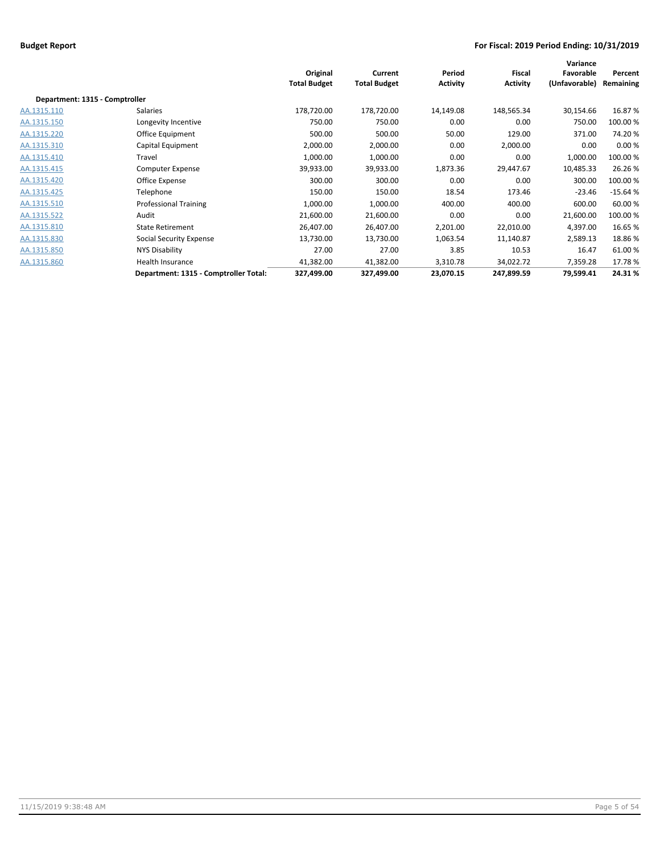|                                |                                       | Original<br><b>Total Budget</b> | Current<br><b>Total Budget</b> | Period<br><b>Activity</b> | Fiscal<br><b>Activity</b> | Variance<br>Favorable<br>(Unfavorable) | Percent<br>Remaining |
|--------------------------------|---------------------------------------|---------------------------------|--------------------------------|---------------------------|---------------------------|----------------------------------------|----------------------|
| Department: 1315 - Comptroller |                                       |                                 |                                |                           |                           |                                        |                      |
| AA.1315.110                    | Salaries                              | 178,720.00                      | 178,720.00                     | 14,149.08                 | 148,565.34                | 30,154.66                              | 16.87%               |
| AA.1315.150                    | Longevity Incentive                   | 750.00                          | 750.00                         | 0.00                      | 0.00                      | 750.00                                 | 100.00%              |
| AA.1315.220                    | Office Equipment                      | 500.00                          | 500.00                         | 50.00                     | 129.00                    | 371.00                                 | 74.20%               |
| AA.1315.310                    | Capital Equipment                     | 2,000.00                        | 2,000.00                       | 0.00                      | 2,000.00                  | 0.00                                   | 0.00%                |
| AA.1315.410                    | Travel                                | 1,000.00                        | 1,000.00                       | 0.00                      | 0.00                      | 1,000.00                               | 100.00%              |
| AA.1315.415                    | <b>Computer Expense</b>               | 39,933.00                       | 39,933.00                      | 1,873.36                  | 29,447.67                 | 10,485.33                              | 26.26%               |
| AA.1315.420                    | Office Expense                        | 300.00                          | 300.00                         | 0.00                      | 0.00                      | 300.00                                 | 100.00%              |
| AA.1315.425                    | Telephone                             | 150.00                          | 150.00                         | 18.54                     | 173.46                    | $-23.46$                               | $-15.64%$            |
| AA.1315.510                    | <b>Professional Training</b>          | 1,000.00                        | 1,000.00                       | 400.00                    | 400.00                    | 600.00                                 | 60.00%               |
| AA.1315.522                    | Audit                                 | 21,600.00                       | 21,600.00                      | 0.00                      | 0.00                      | 21,600.00                              | 100.00%              |
| AA.1315.810                    | <b>State Retirement</b>               | 26,407.00                       | 26,407.00                      | 2,201.00                  | 22,010.00                 | 4,397.00                               | 16.65%               |
| AA.1315.830                    | <b>Social Security Expense</b>        | 13,730.00                       | 13,730.00                      | 1,063.54                  | 11,140.87                 | 2,589.13                               | 18.86%               |
| AA.1315.850                    | NYS Disability                        | 27.00                           | 27.00                          | 3.85                      | 10.53                     | 16.47                                  | 61.00%               |
| AA.1315.860                    | Health Insurance                      | 41,382.00                       | 41,382.00                      | 3,310.78                  | 34,022.72                 | 7,359.28                               | 17.78%               |
|                                | Department: 1315 - Comptroller Total: | 327,499.00                      | 327,499.00                     | 23,070.15                 | 247,899.59                | 79,599.41                              | 24.31%               |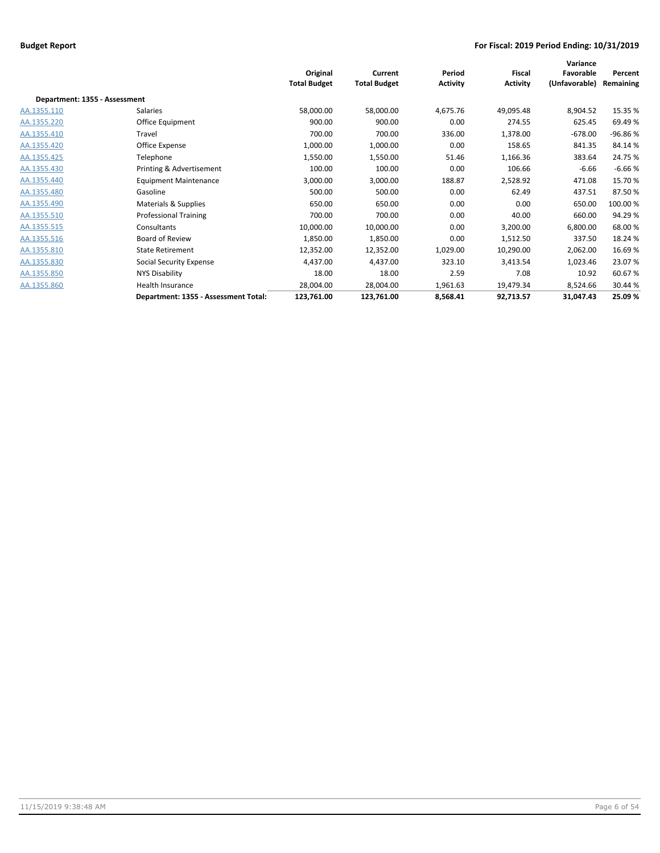|                               |                                      | Original<br><b>Total Budget</b> | Current<br><b>Total Budget</b> | Period<br><b>Activity</b> | <b>Fiscal</b><br><b>Activity</b> | Variance<br>Favorable<br>(Unfavorable) | Percent<br>Remaining |
|-------------------------------|--------------------------------------|---------------------------------|--------------------------------|---------------------------|----------------------------------|----------------------------------------|----------------------|
| Department: 1355 - Assessment |                                      |                                 |                                |                           |                                  |                                        |                      |
| AA.1355.110                   | Salaries                             | 58,000.00                       | 58,000.00                      | 4,675.76                  | 49,095.48                        | 8,904.52                               | 15.35 %              |
| AA.1355.220                   | Office Equipment                     | 900.00                          | 900.00                         | 0.00                      | 274.55                           | 625.45                                 | 69.49%               |
| AA.1355.410                   | Travel                               | 700.00                          | 700.00                         | 336.00                    | 1,378.00                         | $-678.00$                              | -96.86%              |
| AA.1355.420                   | Office Expense                       | 1,000.00                        | 1,000.00                       | 0.00                      | 158.65                           | 841.35                                 | 84.14%               |
| AA.1355.425                   | Telephone                            | 1,550.00                        | 1,550.00                       | 51.46                     | 1,166.36                         | 383.64                                 | 24.75 %              |
| AA.1355.430                   | Printing & Advertisement             | 100.00                          | 100.00                         | 0.00                      | 106.66                           | $-6.66$                                | $-6.66%$             |
| AA.1355.440                   | <b>Equipment Maintenance</b>         | 3,000.00                        | 3,000.00                       | 188.87                    | 2,528.92                         | 471.08                                 | 15.70%               |
| AA.1355.480                   | Gasoline                             | 500.00                          | 500.00                         | 0.00                      | 62.49                            | 437.51                                 | 87.50%               |
| AA.1355.490                   | Materials & Supplies                 | 650.00                          | 650.00                         | 0.00                      | 0.00                             | 650.00                                 | 100.00%              |
| AA.1355.510                   | <b>Professional Training</b>         | 700.00                          | 700.00                         | 0.00                      | 40.00                            | 660.00                                 | 94.29%               |
| AA.1355.515                   | Consultants                          | 10,000.00                       | 10,000.00                      | 0.00                      | 3,200.00                         | 6,800.00                               | 68.00%               |
| AA.1355.516                   | Board of Review                      | 1,850.00                        | 1,850.00                       | 0.00                      | 1,512.50                         | 337.50                                 | 18.24 %              |
| AA.1355.810                   | <b>State Retirement</b>              | 12,352.00                       | 12,352.00                      | 1,029.00                  | 10,290.00                        | 2,062.00                               | 16.69%               |
| AA.1355.830                   | <b>Social Security Expense</b>       | 4,437.00                        | 4,437.00                       | 323.10                    | 3,413.54                         | 1,023.46                               | 23.07%               |
| AA.1355.850                   | NYS Disability                       | 18.00                           | 18.00                          | 2.59                      | 7.08                             | 10.92                                  | 60.67%               |
| AA.1355.860                   | Health Insurance                     | 28,004.00                       | 28,004.00                      | 1,961.63                  | 19,479.34                        | 8,524.66                               | 30.44 %              |
|                               | Department: 1355 - Assessment Total: | 123,761.00                      | 123,761.00                     | 8,568.41                  | 92,713.57                        | 31,047.43                              | 25.09%               |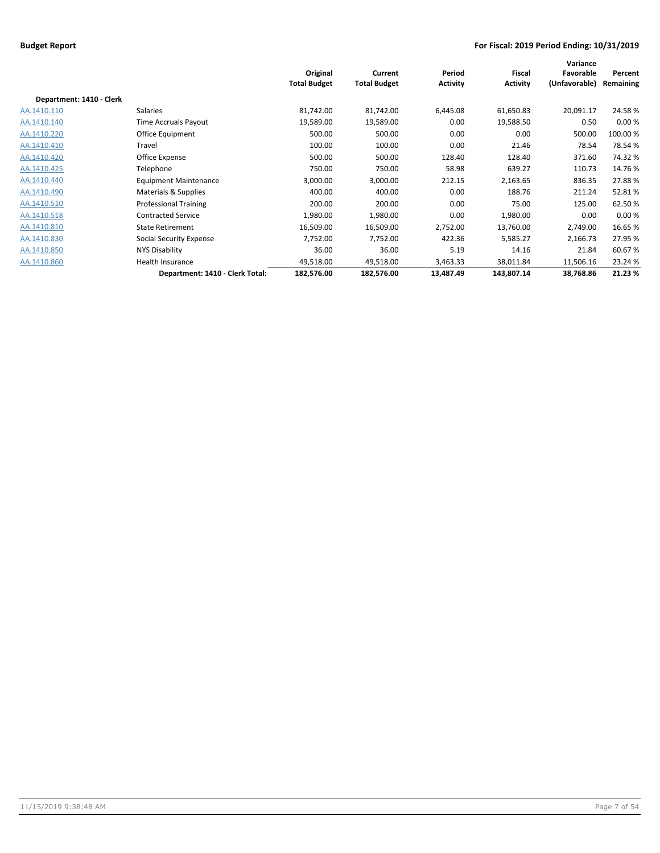|                          |                                 | Original<br><b>Total Budget</b> | Current<br><b>Total Budget</b> | Period<br><b>Activity</b> | <b>Fiscal</b><br><b>Activity</b> | Variance<br>Favorable<br>(Unfavorable) | Percent<br>Remaining |
|--------------------------|---------------------------------|---------------------------------|--------------------------------|---------------------------|----------------------------------|----------------------------------------|----------------------|
| Department: 1410 - Clerk |                                 |                                 |                                |                           |                                  |                                        |                      |
| AA.1410.110              | Salaries                        | 81,742.00                       | 81,742.00                      | 6,445.08                  | 61,650.83                        | 20,091.17                              | 24.58%               |
| AA.1410.140              | Time Accruals Payout            | 19,589.00                       | 19,589.00                      | 0.00                      | 19,588.50                        | 0.50                                   | 0.00%                |
| AA.1410.220              | Office Equipment                | 500.00                          | 500.00                         | 0.00                      | 0.00                             | 500.00                                 | 100.00 %             |
| AA.1410.410              | Travel                          | 100.00                          | 100.00                         | 0.00                      | 21.46                            | 78.54                                  | 78.54%               |
| AA.1410.420              | Office Expense                  | 500.00                          | 500.00                         | 128.40                    | 128.40                           | 371.60                                 | 74.32%               |
| AA.1410.425              | Telephone                       | 750.00                          | 750.00                         | 58.98                     | 639.27                           | 110.73                                 | 14.76%               |
| AA.1410.440              | <b>Equipment Maintenance</b>    | 3,000.00                        | 3,000.00                       | 212.15                    | 2,163.65                         | 836.35                                 | 27.88%               |
| AA.1410.490              | Materials & Supplies            | 400.00                          | 400.00                         | 0.00                      | 188.76                           | 211.24                                 | 52.81%               |
| AA.1410.510              | <b>Professional Training</b>    | 200.00                          | 200.00                         | 0.00                      | 75.00                            | 125.00                                 | 62.50%               |
| AA.1410.518              | <b>Contracted Service</b>       | 1,980.00                        | 1,980.00                       | 0.00                      | 1,980.00                         | 0.00                                   | 0.00%                |
| AA.1410.810              | <b>State Retirement</b>         | 16,509.00                       | 16,509.00                      | 2,752.00                  | 13,760.00                        | 2,749.00                               | 16.65%               |
| AA.1410.830              | <b>Social Security Expense</b>  | 7,752.00                        | 7,752.00                       | 422.36                    | 5,585.27                         | 2,166.73                               | 27.95 %              |
| AA.1410.850              | NYS Disability                  | 36.00                           | 36.00                          | 5.19                      | 14.16                            | 21.84                                  | 60.67%               |
| AA.1410.860              | Health Insurance                | 49,518.00                       | 49,518.00                      | 3,463.33                  | 38,011.84                        | 11,506.16                              | 23.24 %              |
|                          | Department: 1410 - Clerk Total: | 182,576.00                      | 182,576.00                     | 13,487.49                 | 143,807.14                       | 38,768.86                              | 21.23 %              |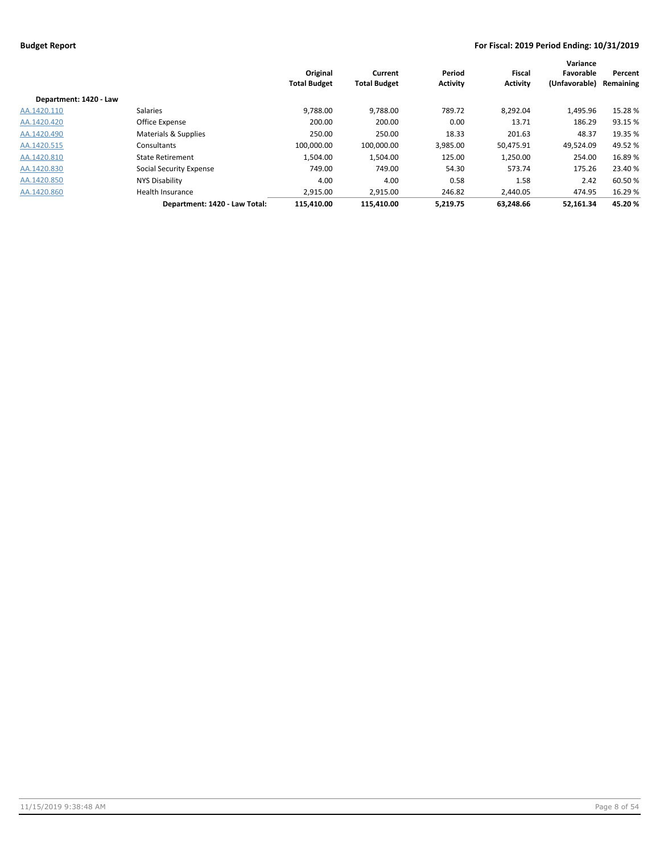|                        |                               | Original<br><b>Total Budget</b> | Current<br><b>Total Budget</b> | Period<br><b>Activity</b> | <b>Fiscal</b><br><b>Activity</b> | Variance<br>Favorable<br>(Unfavorable) | Percent<br>Remaining |
|------------------------|-------------------------------|---------------------------------|--------------------------------|---------------------------|----------------------------------|----------------------------------------|----------------------|
| Department: 1420 - Law |                               |                                 |                                |                           |                                  |                                        |                      |
| AA.1420.110            | Salaries                      | 9,788.00                        | 9,788.00                       | 789.72                    | 8,292.04                         | 1,495.96                               | 15.28 %              |
| AA.1420.420            | Office Expense                | 200.00                          | 200.00                         | 0.00                      | 13.71                            | 186.29                                 | 93.15 %              |
| AA.1420.490            | Materials & Supplies          | 250.00                          | 250.00                         | 18.33                     | 201.63                           | 48.37                                  | 19.35 %              |
| AA.1420.515            | Consultants                   | 100,000.00                      | 100,000.00                     | 3,985.00                  | 50,475.91                        | 49,524.09                              | 49.52 %              |
| AA.1420.810            | <b>State Retirement</b>       | 1,504.00                        | 1,504.00                       | 125.00                    | 1,250.00                         | 254.00                                 | 16.89%               |
| AA.1420.830            | Social Security Expense       | 749.00                          | 749.00                         | 54.30                     | 573.74                           | 175.26                                 | 23.40 %              |
| AA.1420.850            | NYS Disability                | 4.00                            | 4.00                           | 0.58                      | 1.58                             | 2.42                                   | 60.50 %              |
| AA.1420.860            | Health Insurance              | 2,915.00                        | 2,915.00                       | 246.82                    | 2.440.05                         | 474.95                                 | 16.29 %              |
|                        | Department: 1420 - Law Total: | 115.410.00                      | 115.410.00                     | 5.219.75                  | 63.248.66                        | 52.161.34                              | 45.20%               |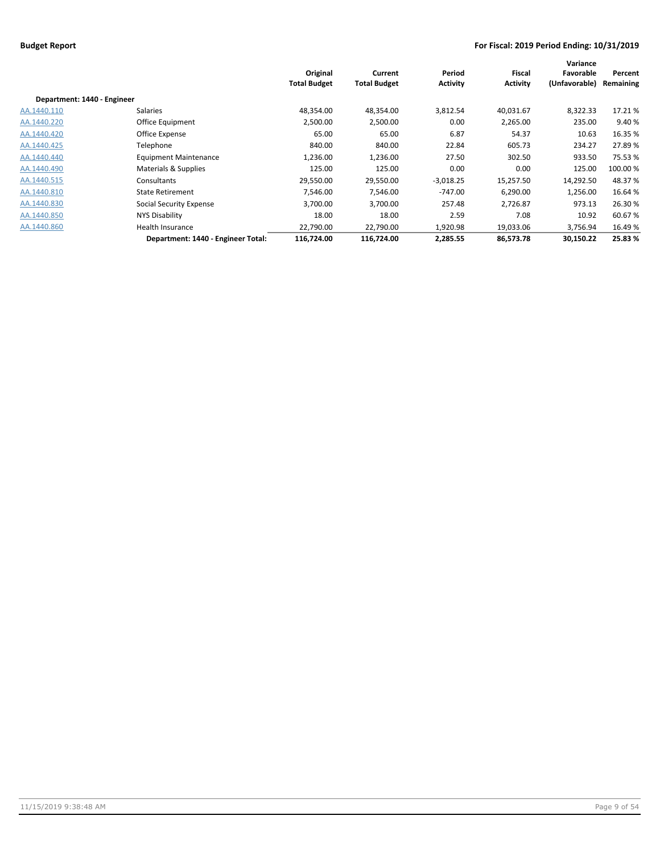|                             |                                    | Original<br><b>Total Budget</b> | Current<br><b>Total Budget</b> | Period<br><b>Activity</b> | Fiscal<br><b>Activity</b> | Variance<br>Favorable<br>(Unfavorable) | Percent<br>Remaining |
|-----------------------------|------------------------------------|---------------------------------|--------------------------------|---------------------------|---------------------------|----------------------------------------|----------------------|
| Department: 1440 - Engineer |                                    |                                 |                                |                           |                           |                                        |                      |
| AA.1440.110                 | Salaries                           | 48,354.00                       | 48,354.00                      | 3,812.54                  | 40,031.67                 | 8,322.33                               | 17.21%               |
| AA.1440.220                 | Office Equipment                   | 2,500.00                        | 2,500.00                       | 0.00                      | 2,265.00                  | 235.00                                 | 9.40%                |
| AA.1440.420                 | Office Expense                     | 65.00                           | 65.00                          | 6.87                      | 54.37                     | 10.63                                  | 16.35 %              |
| AA.1440.425                 | Telephone                          | 840.00                          | 840.00                         | 22.84                     | 605.73                    | 234.27                                 | 27.89%               |
| AA.1440.440                 | <b>Equipment Maintenance</b>       | 1,236.00                        | 1,236.00                       | 27.50                     | 302.50                    | 933.50                                 | 75.53 %              |
| AA.1440.490                 | Materials & Supplies               | 125.00                          | 125.00                         | 0.00                      | 0.00                      | 125.00                                 | 100.00 %             |
| AA.1440.515                 | Consultants                        | 29,550.00                       | 29,550.00                      | $-3,018.25$               | 15,257.50                 | 14,292.50                              | 48.37 %              |
| AA.1440.810                 | <b>State Retirement</b>            | 7,546.00                        | 7,546.00                       | $-747.00$                 | 6,290.00                  | 1,256.00                               | 16.64%               |
| AA.1440.830                 | Social Security Expense            | 3.700.00                        | 3.700.00                       | 257.48                    | 2.726.87                  | 973.13                                 | 26.30 %              |
| AA.1440.850                 | NYS Disability                     | 18.00                           | 18.00                          | 2.59                      | 7.08                      | 10.92                                  | 60.67%               |
| AA.1440.860                 | Health Insurance                   | 22,790.00                       | 22,790.00                      | 1,920.98                  | 19,033.06                 | 3,756.94                               | 16.49 %              |
|                             | Department: 1440 - Engineer Total: | 116,724.00                      | 116,724.00                     | 2,285.55                  | 86,573.78                 | 30,150.22                              | 25.83 %              |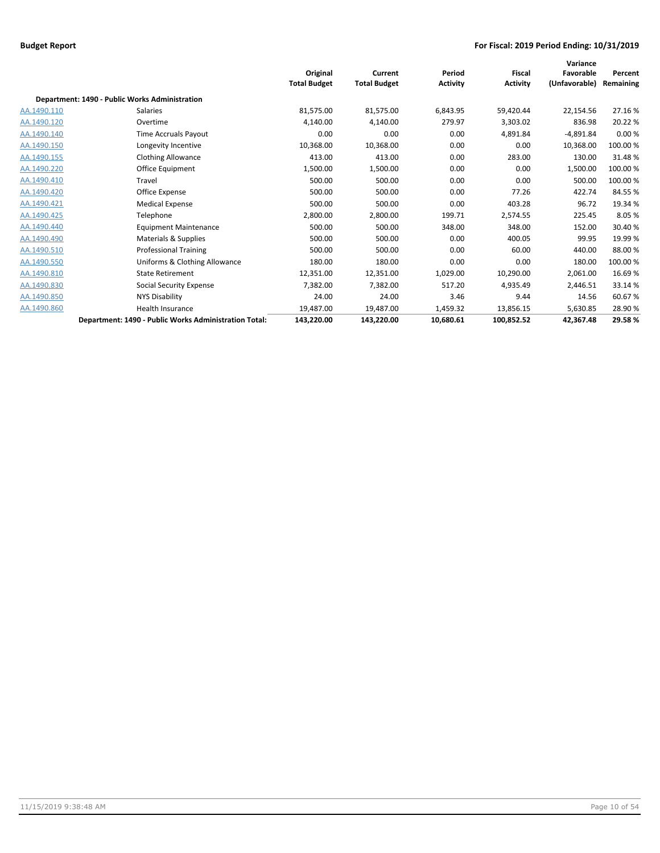|             |                                                       | Original<br><b>Total Budget</b> | Current<br><b>Total Budget</b> | Period<br><b>Activity</b> | <b>Fiscal</b><br><b>Activity</b> | Variance<br>Favorable<br>(Unfavorable) | Percent<br>Remaining |
|-------------|-------------------------------------------------------|---------------------------------|--------------------------------|---------------------------|----------------------------------|----------------------------------------|----------------------|
|             | Department: 1490 - Public Works Administration        |                                 |                                |                           |                                  |                                        |                      |
| AA.1490.110 | <b>Salaries</b>                                       | 81,575.00                       | 81,575.00                      | 6,843.95                  | 59,420.44                        | 22,154.56                              | 27.16%               |
| AA.1490.120 | Overtime                                              | 4,140.00                        | 4,140.00                       | 279.97                    | 3,303.02                         | 836.98                                 | 20.22 %              |
| AA.1490.140 | Time Accruals Payout                                  | 0.00                            | 0.00                           | 0.00                      | 4,891.84                         | $-4,891.84$                            | 0.00%                |
| AA.1490.150 | Longevity Incentive                                   | 10,368.00                       | 10,368.00                      | 0.00                      | 0.00                             | 10,368.00                              | 100.00%              |
| AA.1490.155 | <b>Clothing Allowance</b>                             | 413.00                          | 413.00                         | 0.00                      | 283.00                           | 130.00                                 | 31.48%               |
| AA.1490.220 | <b>Office Equipment</b>                               | 1,500.00                        | 1,500.00                       | 0.00                      | 0.00                             | 1,500.00                               | 100.00%              |
| AA.1490.410 | Travel                                                | 500.00                          | 500.00                         | 0.00                      | 0.00                             | 500.00                                 | 100.00%              |
| AA.1490.420 | Office Expense                                        | 500.00                          | 500.00                         | 0.00                      | 77.26                            | 422.74                                 | 84.55%               |
| AA.1490.421 | <b>Medical Expense</b>                                | 500.00                          | 500.00                         | 0.00                      | 403.28                           | 96.72                                  | 19.34 %              |
| AA.1490.425 | Telephone                                             | 2,800.00                        | 2,800.00                       | 199.71                    | 2,574.55                         | 225.45                                 | 8.05%                |
| AA.1490.440 | <b>Equipment Maintenance</b>                          | 500.00                          | 500.00                         | 348.00                    | 348.00                           | 152.00                                 | 30.40 %              |
| AA.1490.490 | Materials & Supplies                                  | 500.00                          | 500.00                         | 0.00                      | 400.05                           | 99.95                                  | 19.99%               |
| AA.1490.510 | <b>Professional Training</b>                          | 500.00                          | 500.00                         | 0.00                      | 60.00                            | 440.00                                 | 88.00%               |
| AA.1490.550 | Uniforms & Clothing Allowance                         | 180.00                          | 180.00                         | 0.00                      | 0.00                             | 180.00                                 | 100.00%              |
| AA.1490.810 | <b>State Retirement</b>                               | 12,351.00                       | 12,351.00                      | 1,029.00                  | 10,290.00                        | 2,061.00                               | 16.69%               |
| AA.1490.830 | Social Security Expense                               | 7,382.00                        | 7,382.00                       | 517.20                    | 4,935.49                         | 2,446.51                               | 33.14 %              |
| AA.1490.850 | NYS Disability                                        | 24.00                           | 24.00                          | 3.46                      | 9.44                             | 14.56                                  | 60.67%               |
| AA.1490.860 | <b>Health Insurance</b>                               | 19,487.00                       | 19,487.00                      | 1,459.32                  | 13,856.15                        | 5,630.85                               | 28.90%               |
|             | Department: 1490 - Public Works Administration Total: | 143,220.00                      | 143,220.00                     | 10,680.61                 | 100,852.52                       | 42,367.48                              | 29.58%               |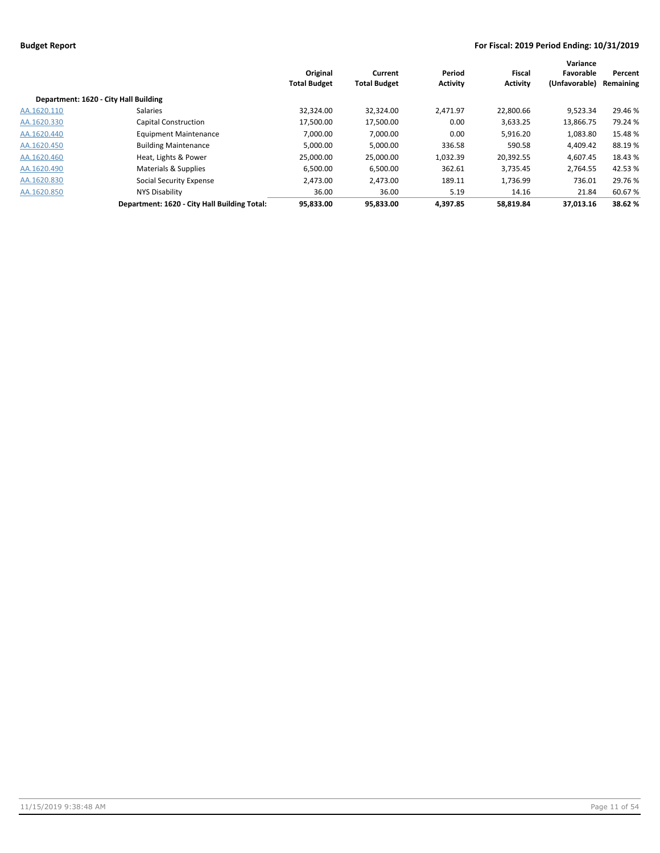|                                       |                                              | Original<br><b>Total Budget</b> | Current<br><b>Total Budget</b> | Period<br><b>Activity</b> | Fiscal<br><b>Activity</b> | Variance<br>Favorable<br>(Unfavorable) | Percent<br>Remaining |
|---------------------------------------|----------------------------------------------|---------------------------------|--------------------------------|---------------------------|---------------------------|----------------------------------------|----------------------|
| Department: 1620 - City Hall Building |                                              |                                 |                                |                           |                           |                                        |                      |
| AA.1620.110                           | <b>Salaries</b>                              | 32,324.00                       | 32,324.00                      | 2,471.97                  | 22,800.66                 | 9,523.34                               | 29.46 %              |
| AA.1620.330                           | <b>Capital Construction</b>                  | 17,500.00                       | 17,500.00                      | 0.00                      | 3,633.25                  | 13,866.75                              | 79.24 %              |
| AA.1620.440                           | <b>Equipment Maintenance</b>                 | 7.000.00                        | 7,000.00                       | 0.00                      | 5,916.20                  | 1,083.80                               | 15.48%               |
| AA.1620.450                           | <b>Building Maintenance</b>                  | 5,000.00                        | 5,000.00                       | 336.58                    | 590.58                    | 4,409.42                               | 88.19%               |
| AA.1620.460                           | Heat, Lights & Power                         | 25,000.00                       | 25,000.00                      | 1,032.39                  | 20,392.55                 | 4,607.45                               | 18.43 %              |
| AA.1620.490                           | Materials & Supplies                         | 6,500.00                        | 6,500.00                       | 362.61                    | 3,735.45                  | 2.764.55                               | 42.53 %              |
| AA.1620.830                           | Social Security Expense                      | 2.473.00                        | 2,473.00                       | 189.11                    | 1,736.99                  | 736.01                                 | 29.76 %              |
| AA.1620.850                           | <b>NYS Disability</b>                        | 36.00                           | 36.00                          | 5.19                      | 14.16                     | 21.84                                  | 60.67%               |
|                                       | Department: 1620 - City Hall Building Total: | 95,833.00                       | 95,833.00                      | 4.397.85                  | 58.819.84                 | 37.013.16                              | 38.62%               |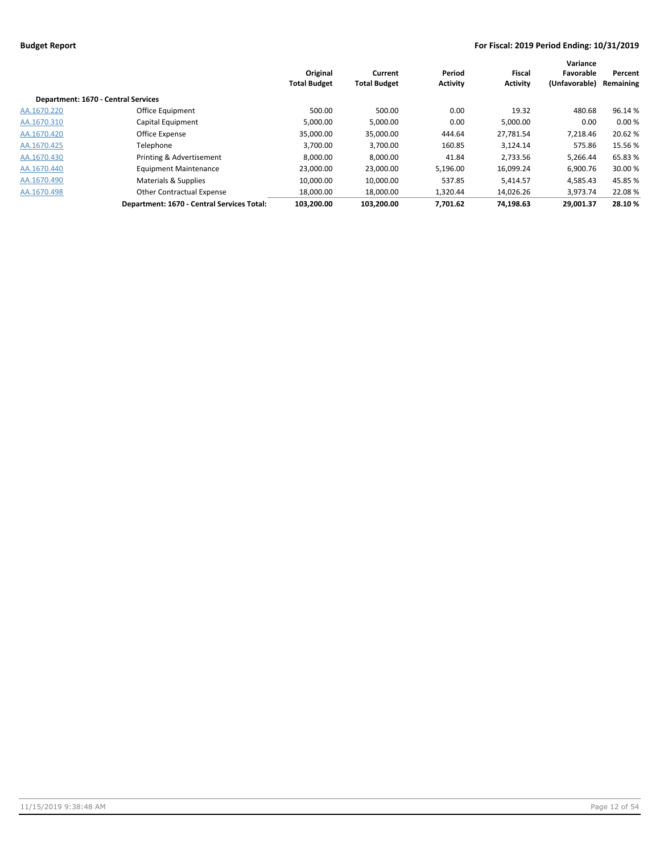|                                     |                                            | Original<br><b>Total Budget</b> | Current<br><b>Total Budget</b> | Period<br><b>Activity</b> | Fiscal<br><b>Activity</b> | Variance<br>Favorable<br>(Unfavorable) | Percent<br>Remaining |
|-------------------------------------|--------------------------------------------|---------------------------------|--------------------------------|---------------------------|---------------------------|----------------------------------------|----------------------|
| Department: 1670 - Central Services |                                            |                                 |                                |                           |                           |                                        |                      |
| AA.1670.220                         | Office Equipment                           | 500.00                          | 500.00                         | 0.00                      | 19.32                     | 480.68                                 | 96.14 %              |
| AA.1670.310                         | Capital Equipment                          | 5,000.00                        | 5,000.00                       | 0.00                      | 5,000.00                  | 0.00                                   | 0.00%                |
| AA.1670.420                         | Office Expense                             | 35,000.00                       | 35,000.00                      | 444.64                    | 27.781.54                 | 7.218.46                               | 20.62 %              |
| AA.1670.425                         | Telephone                                  | 3,700.00                        | 3,700.00                       | 160.85                    | 3.124.14                  | 575.86                                 | 15.56 %              |
| AA.1670.430                         | Printing & Advertisement                   | 8,000.00                        | 8,000.00                       | 41.84                     | 2,733.56                  | 5,266.44                               | 65.83%               |
| AA.1670.440                         | <b>Equipment Maintenance</b>               | 23,000.00                       | 23,000.00                      | 5,196.00                  | 16,099.24                 | 6,900.76                               | 30.00 %              |
| AA.1670.490                         | Materials & Supplies                       | 10.000.00                       | 10,000.00                      | 537.85                    | 5.414.57                  | 4,585.43                               | 45.85 %              |
| AA.1670.498                         | <b>Other Contractual Expense</b>           | 18,000.00                       | 18,000.00                      | 1,320.44                  | 14,026.26                 | 3.973.74                               | 22.08%               |
|                                     | Department: 1670 - Central Services Total: | 103.200.00                      | 103.200.00                     | 7.701.62                  | 74.198.63                 | 29.001.37                              | 28.10%               |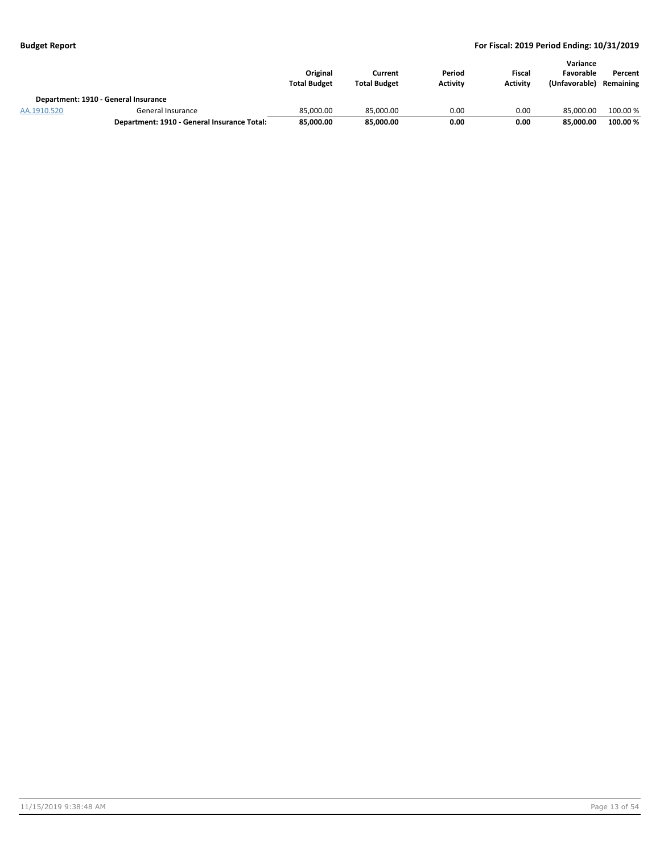|             |                                             | Original<br><b>Total Budget</b> | Current<br><b>Total Budget</b> | Period<br><b>Activity</b> | Fiscal<br><b>Activity</b> | Variance<br>Favorable<br>(Unfavorable) | Percent<br>Remaining |
|-------------|---------------------------------------------|---------------------------------|--------------------------------|---------------------------|---------------------------|----------------------------------------|----------------------|
|             | Department: 1910 - General Insurance        |                                 |                                |                           |                           |                                        |                      |
| AA.1910.520 | General Insurance                           | 85.000.00                       | 85.000.00                      | 0.00                      | 0.00                      | 85.000.00                              | 100.00 %             |
|             | Department: 1910 - General Insurance Total: | 85,000.00                       | 85,000.00                      | 0.00                      | 0.00                      | 85.000.00                              | 100.00%              |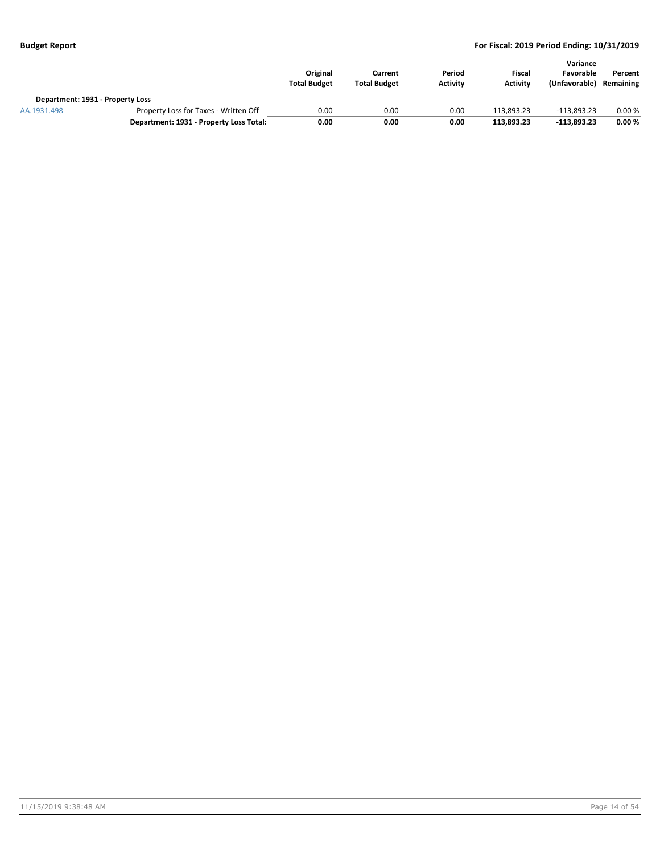|                                  |                                         | Original<br><b>Total Budget</b> | Current<br><b>Total Budget</b> | Period<br><b>Activity</b> | Fiscal<br><b>Activity</b> | Variance<br>Favorable<br>(Unfavorable) | Percent<br>Remaining |
|----------------------------------|-----------------------------------------|---------------------------------|--------------------------------|---------------------------|---------------------------|----------------------------------------|----------------------|
| Department: 1931 - Property Loss |                                         |                                 |                                |                           |                           |                                        |                      |
| AA.1931.498                      | Property Loss for Taxes - Written Off   | 0.00                            | 0.00                           | 0.00                      | 113.893.23                | $-113.893.23$                          | 0.00%                |
|                                  | Department: 1931 - Property Loss Total: | 0.00                            | 0.00                           | 0.00                      | 113,893.23                | $-113.893.23$                          | 0.00%                |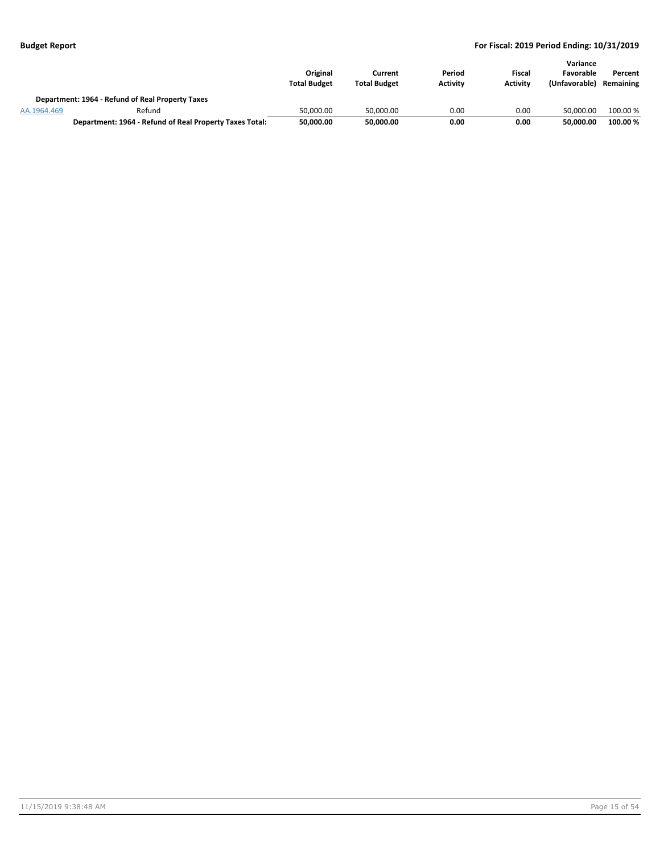|             |                                                         | Original<br><b>Total Budget</b> | Current<br><b>Total Budget</b> | Period<br><b>Activity</b> | Fiscal<br><b>Activity</b> | Variance<br>Favorable<br>(Unfavorable) | Percent<br>Remaining |
|-------------|---------------------------------------------------------|---------------------------------|--------------------------------|---------------------------|---------------------------|----------------------------------------|----------------------|
|             | Department: 1964 - Refund of Real Property Taxes        |                                 |                                |                           |                           |                                        |                      |
| AA.1964.469 | Refund                                                  | 50.000.00                       | 50.000.00                      | 0.00                      | 0.00                      | 50.000.00                              | 100.00 %             |
|             | Department: 1964 - Refund of Real Property Taxes Total: | 50,000.00                       | 50,000.00                      | 0.00                      | 0.00                      | 50.000.00                              | 100.00 %             |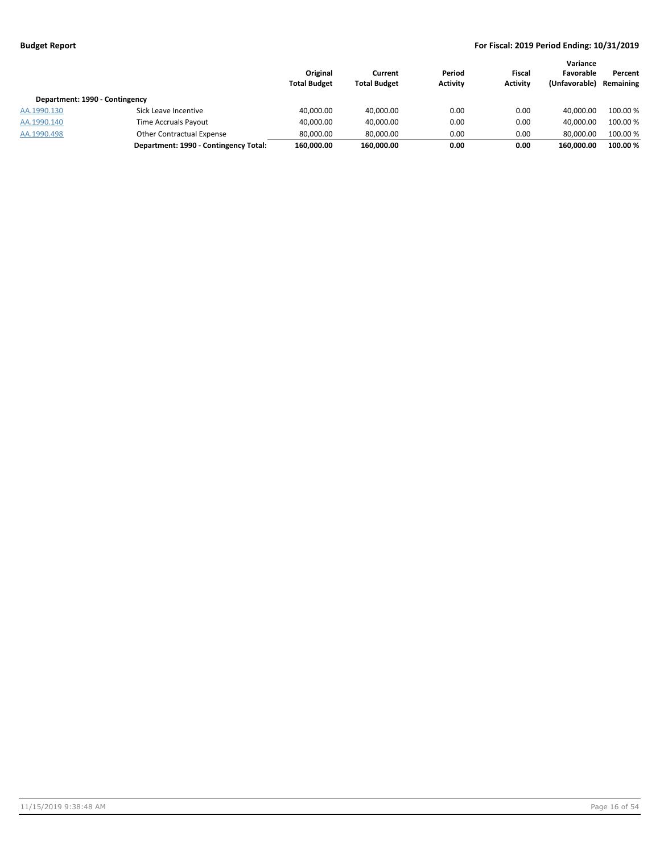| Department: 1990 - Contingency |                                       | Original<br><b>Total Budget</b> | Current<br><b>Total Budget</b> | Period<br><b>Activity</b> | Fiscal<br><b>Activity</b> | Variance<br>Favorable<br>(Unfavorable) | Percent<br>Remaining |
|--------------------------------|---------------------------------------|---------------------------------|--------------------------------|---------------------------|---------------------------|----------------------------------------|----------------------|
| AA.1990.130                    | Sick Leave Incentive                  | 40,000.00                       | 40,000.00                      | 0.00                      | 0.00                      | 40.000.00                              | 100.00 %             |
| AA.1990.140                    | Time Accruals Payout                  | 40,000.00                       | 40,000.00                      | 0.00                      | 0.00                      | 40.000.00                              | 100.00 %             |
| AA.1990.498                    | Other Contractual Expense             | 80.000.00                       | 80,000.00                      | 0.00                      | 0.00                      | 80.000.00                              | 100.00 %             |
|                                | Department: 1990 - Contingency Total: | 160,000.00                      | 160,000.00                     | 0.00                      | 0.00                      | 160.000.00                             | 100.00%              |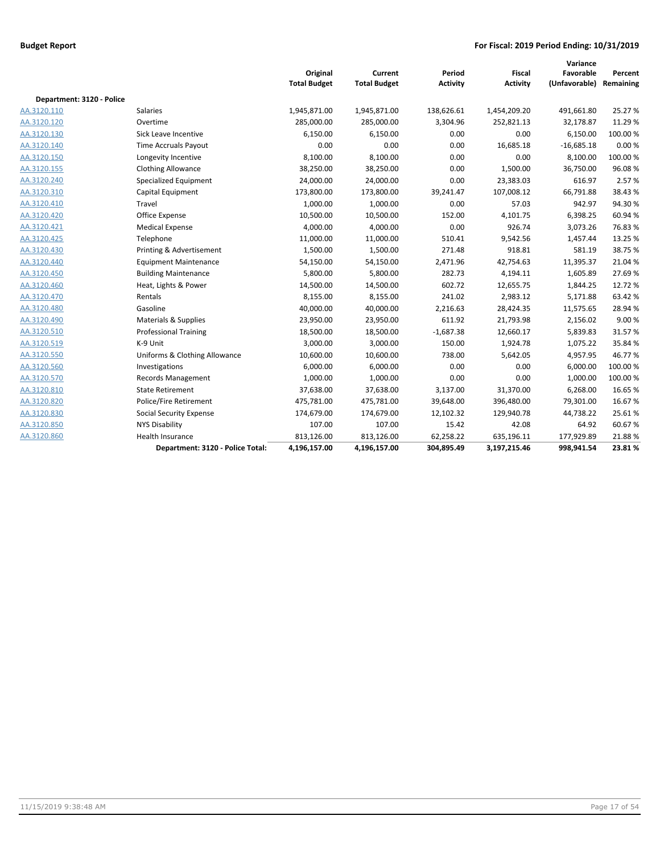|                           |                                  | Original<br><b>Total Budget</b> | Current<br><b>Total Budget</b> | Period<br><b>Activity</b> | Fiscal<br><b>Activity</b> | Variance<br>Favorable<br>(Unfavorable) | Percent<br>Remaining |
|---------------------------|----------------------------------|---------------------------------|--------------------------------|---------------------------|---------------------------|----------------------------------------|----------------------|
| Department: 3120 - Police |                                  |                                 |                                |                           |                           |                                        |                      |
| AA.3120.110               | <b>Salaries</b>                  | 1,945,871.00                    | 1,945,871.00                   | 138,626.61                | 1,454,209.20              | 491,661.80                             | 25.27 %              |
| AA.3120.120               | Overtime                         | 285,000.00                      | 285,000.00                     | 3,304.96                  | 252,821.13                | 32,178.87                              | 11.29 %              |
| AA.3120.130               | Sick Leave Incentive             | 6,150.00                        | 6,150.00                       | 0.00                      | 0.00                      | 6,150.00                               | 100.00 %             |
| AA.3120.140               | Time Accruals Payout             | 0.00                            | 0.00                           | 0.00                      | 16,685.18                 | $-16,685.18$                           | 0.00%                |
| AA.3120.150               | Longevity Incentive              | 8,100.00                        | 8,100.00                       | 0.00                      | 0.00                      | 8,100.00                               | 100.00 %             |
| AA.3120.155               | <b>Clothing Allowance</b>        | 38,250.00                       | 38,250.00                      | 0.00                      | 1,500.00                  | 36,750.00                              | 96.08%               |
| AA.3120.240               | Specialized Equipment            | 24,000.00                       | 24,000.00                      | 0.00                      | 23,383.03                 | 616.97                                 | 2.57%                |
| AA.3120.310               | Capital Equipment                | 173,800.00                      | 173,800.00                     | 39,241.47                 | 107,008.12                | 66,791.88                              | 38.43%               |
| AA.3120.410               | Travel                           | 1,000.00                        | 1,000.00                       | 0.00                      | 57.03                     | 942.97                                 | 94.30%               |
| AA.3120.420               | Office Expense                   | 10,500.00                       | 10,500.00                      | 152.00                    | 4,101.75                  | 6,398.25                               | 60.94 %              |
| AA.3120.421               | <b>Medical Expense</b>           | 4,000.00                        | 4,000.00                       | 0.00                      | 926.74                    | 3,073.26                               | 76.83%               |
| AA.3120.425               | Telephone                        | 11,000.00                       | 11,000.00                      | 510.41                    | 9,542.56                  | 1,457.44                               | 13.25 %              |
| AA.3120.430               | Printing & Advertisement         | 1,500.00                        | 1,500.00                       | 271.48                    | 918.81                    | 581.19                                 | 38.75%               |
| AA.3120.440               | <b>Equipment Maintenance</b>     | 54,150.00                       | 54,150.00                      | 2,471.96                  | 42,754.63                 | 11,395.37                              | 21.04%               |
| AA.3120.450               | <b>Building Maintenance</b>      | 5,800.00                        | 5,800.00                       | 282.73                    | 4,194.11                  | 1,605.89                               | 27.69%               |
| AA.3120.460               | Heat, Lights & Power             | 14,500.00                       | 14,500.00                      | 602.72                    | 12,655.75                 | 1,844.25                               | 12.72 %              |
| AA.3120.470               | Rentals                          | 8,155.00                        | 8,155.00                       | 241.02                    | 2,983.12                  | 5,171.88                               | 63.42%               |
| AA.3120.480               | Gasoline                         | 40,000.00                       | 40,000.00                      | 2,216.63                  | 28,424.35                 | 11,575.65                              | 28.94 %              |
| AA.3120.490               | Materials & Supplies             | 23,950.00                       | 23,950.00                      | 611.92                    | 21,793.98                 | 2,156.02                               | 9.00%                |
| AA.3120.510               | <b>Professional Training</b>     | 18,500.00                       | 18,500.00                      | $-1,687.38$               | 12,660.17                 | 5,839.83                               | 31.57%               |
| AA.3120.519               | K-9 Unit                         | 3,000.00                        | 3,000.00                       | 150.00                    | 1,924.78                  | 1,075.22                               | 35.84 %              |
| AA.3120.550               | Uniforms & Clothing Allowance    | 10,600.00                       | 10,600.00                      | 738.00                    | 5,642.05                  | 4,957.95                               | 46.77%               |
| AA.3120.560               | Investigations                   | 6,000.00                        | 6,000.00                       | 0.00                      | 0.00                      | 6,000.00                               | 100.00%              |
| AA.3120.570               | <b>Records Management</b>        | 1,000.00                        | 1,000.00                       | 0.00                      | 0.00                      | 1,000.00                               | 100.00%              |
| AA.3120.810               | <b>State Retirement</b>          | 37,638.00                       | 37,638.00                      | 3,137.00                  | 31,370.00                 | 6,268.00                               | 16.65%               |
| AA.3120.820               | Police/Fire Retirement           | 475,781.00                      | 475,781.00                     | 39,648.00                 | 396,480.00                | 79,301.00                              | 16.67%               |
| AA.3120.830               | <b>Social Security Expense</b>   | 174,679.00                      | 174,679.00                     | 12,102.32                 | 129,940.78                | 44,738.22                              | 25.61%               |
| AA.3120.850               | <b>NYS Disability</b>            | 107.00                          | 107.00                         | 15.42                     | 42.08                     | 64.92                                  | 60.67%               |
| AA.3120.860               | <b>Health Insurance</b>          | 813,126.00                      | 813,126.00                     | 62,258.22                 | 635,196.11                | 177,929.89                             | 21.88%               |
|                           | Department: 3120 - Police Total: | 4,196,157.00                    | 4,196,157.00                   | 304,895.49                | 3,197,215.46              | 998,941.54                             | 23.81%               |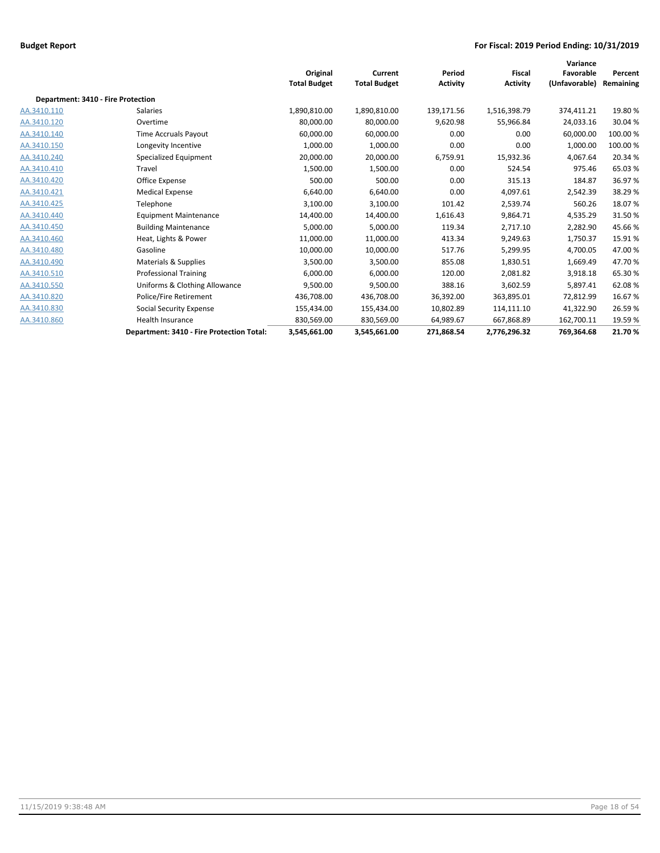|                                    |                                           | Original<br><b>Total Budget</b> | Current<br><b>Total Budget</b> | Period<br><b>Activity</b> | <b>Fiscal</b><br><b>Activity</b> | Variance<br>Favorable<br>(Unfavorable) | Percent<br>Remaining |
|------------------------------------|-------------------------------------------|---------------------------------|--------------------------------|---------------------------|----------------------------------|----------------------------------------|----------------------|
| Department: 3410 - Fire Protection |                                           |                                 |                                |                           |                                  |                                        |                      |
| AA.3410.110                        | Salaries                                  | 1,890,810.00                    | 1,890,810.00                   | 139,171.56                | 1,516,398.79                     | 374,411.21                             | 19.80%               |
| AA.3410.120                        | Overtime                                  | 80,000.00                       | 80,000.00                      | 9,620.98                  | 55,966.84                        | 24,033.16                              | 30.04%               |
| AA.3410.140                        | <b>Time Accruals Payout</b>               | 60,000.00                       | 60,000.00                      | 0.00                      | 0.00                             | 60,000.00                              | 100.00 %             |
| AA.3410.150                        | Longevity Incentive                       | 1,000.00                        | 1,000.00                       | 0.00                      | 0.00                             | 1,000.00                               | 100.00 %             |
| AA.3410.240                        | Specialized Equipment                     | 20,000.00                       | 20,000.00                      | 6,759.91                  | 15,932.36                        | 4,067.64                               | 20.34 %              |
| AA.3410.410                        | Travel                                    | 1,500.00                        | 1,500.00                       | 0.00                      | 524.54                           | 975.46                                 | 65.03%               |
| AA.3410.420                        | Office Expense                            | 500.00                          | 500.00                         | 0.00                      | 315.13                           | 184.87                                 | 36.97%               |
| AA.3410.421                        | <b>Medical Expense</b>                    | 6,640.00                        | 6,640.00                       | 0.00                      | 4,097.61                         | 2,542.39                               | 38.29%               |
| AA.3410.425                        | Telephone                                 | 3,100.00                        | 3,100.00                       | 101.42                    | 2,539.74                         | 560.26                                 | 18.07%               |
| AA.3410.440                        | <b>Equipment Maintenance</b>              | 14,400.00                       | 14,400.00                      | 1,616.43                  | 9,864.71                         | 4,535.29                               | 31.50%               |
| AA.3410.450                        | <b>Building Maintenance</b>               | 5,000.00                        | 5,000.00                       | 119.34                    | 2,717.10                         | 2,282.90                               | 45.66%               |
| AA.3410.460                        | Heat, Lights & Power                      | 11,000.00                       | 11,000.00                      | 413.34                    | 9,249.63                         | 1.750.37                               | 15.91%               |
| AA.3410.480                        | Gasoline                                  | 10,000.00                       | 10,000.00                      | 517.76                    | 5,299.95                         | 4,700.05                               | 47.00%               |
| AA.3410.490                        | <b>Materials &amp; Supplies</b>           | 3,500.00                        | 3,500.00                       | 855.08                    | 1,830.51                         | 1,669.49                               | 47.70%               |
| AA.3410.510                        | <b>Professional Training</b>              | 6,000.00                        | 6,000.00                       | 120.00                    | 2,081.82                         | 3,918.18                               | 65.30%               |
| AA.3410.550                        | Uniforms & Clothing Allowance             | 9,500.00                        | 9,500.00                       | 388.16                    | 3,602.59                         | 5.897.41                               | 62.08%               |
| AA.3410.820                        | Police/Fire Retirement                    | 436,708.00                      | 436,708.00                     | 36,392.00                 | 363,895.01                       | 72,812.99                              | 16.67%               |
| AA.3410.830                        | Social Security Expense                   | 155,434.00                      | 155,434.00                     | 10,802.89                 | 114,111.10                       | 41,322.90                              | 26.59%               |
| AA.3410.860                        | <b>Health Insurance</b>                   | 830,569.00                      | 830,569.00                     | 64,989.67                 | 667,868.89                       | 162,700.11                             | 19.59%               |
|                                    | Department: 3410 - Fire Protection Total: | 3,545,661.00                    | 3,545,661.00                   | 271,868.54                | 2,776,296.32                     | 769,364.68                             | 21.70%               |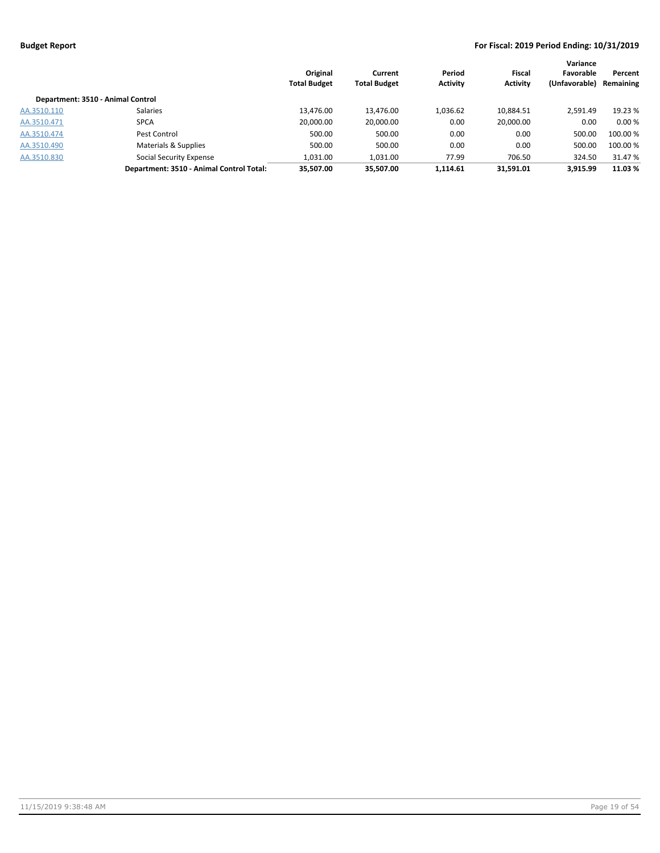|                                   |                                          | Original<br><b>Total Budget</b> | Current<br><b>Total Budget</b> | Period<br><b>Activity</b> | <b>Fiscal</b><br><b>Activity</b> | Variance<br>Favorable<br>(Unfavorable) | Percent<br>Remaining |
|-----------------------------------|------------------------------------------|---------------------------------|--------------------------------|---------------------------|----------------------------------|----------------------------------------|----------------------|
| Department: 3510 - Animal Control |                                          |                                 |                                |                           |                                  |                                        |                      |
| AA.3510.110                       | <b>Salaries</b>                          | 13.476.00                       | 13.476.00                      | 1.036.62                  | 10,884.51                        | 2.591.49                               | 19.23 %              |
| AA.3510.471                       | <b>SPCA</b>                              | 20,000.00                       | 20,000.00                      | 0.00                      | 20,000.00                        | 0.00                                   | 0.00%                |
| AA.3510.474                       | Pest Control                             | 500.00                          | 500.00                         | 0.00                      | 0.00                             | 500.00                                 | 100.00 %             |
| AA.3510.490                       | Materials & Supplies                     | 500.00                          | 500.00                         | 0.00                      | 0.00                             | 500.00                                 | 100.00 %             |
| AA.3510.830                       | <b>Social Security Expense</b>           | 1,031.00                        | 1,031.00                       | 77.99                     | 706.50                           | 324.50                                 | 31.47 %              |
|                                   | Department: 3510 - Animal Control Total: | 35.507.00                       | 35.507.00                      | 1.114.61                  | 31.591.01                        | 3.915.99                               | 11.03 %              |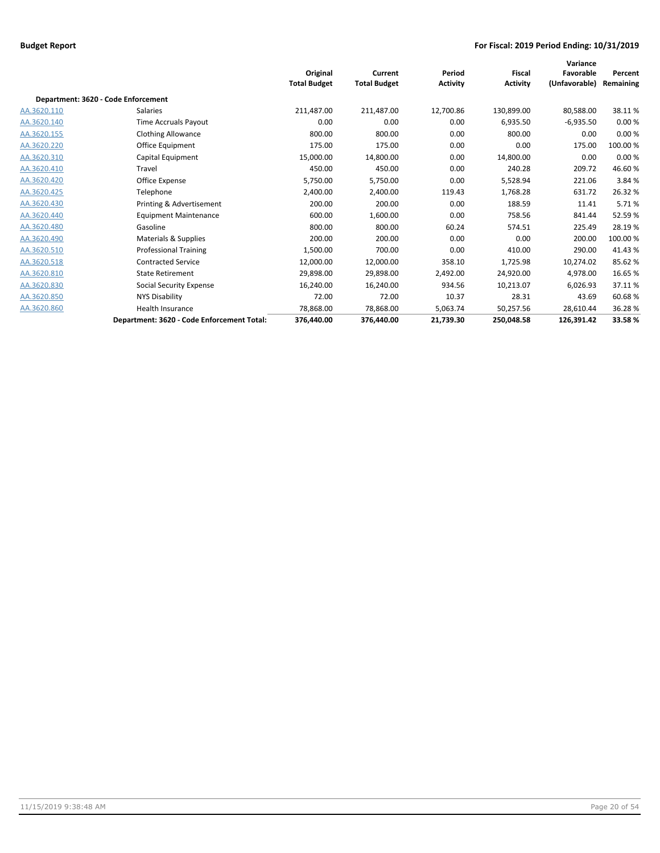|             |                                            | Original<br><b>Total Budget</b> | Current<br><b>Total Budget</b> | Period<br><b>Activity</b> | <b>Fiscal</b><br><b>Activity</b> | Variance<br>Favorable<br>(Unfavorable) | Percent<br>Remaining |
|-------------|--------------------------------------------|---------------------------------|--------------------------------|---------------------------|----------------------------------|----------------------------------------|----------------------|
|             | Department: 3620 - Code Enforcement        |                                 |                                |                           |                                  |                                        |                      |
| AA.3620.110 | Salaries                                   | 211,487.00                      | 211,487.00                     | 12,700.86                 | 130,899.00                       | 80,588.00                              | 38.11%               |
| AA.3620.140 | Time Accruals Payout                       | 0.00                            | 0.00                           | 0.00                      | 6,935.50                         | $-6,935.50$                            | 0.00%                |
| AA.3620.155 | <b>Clothing Allowance</b>                  | 800.00                          | 800.00                         | 0.00                      | 800.00                           | 0.00                                   | 0.00%                |
| AA.3620.220 | Office Equipment                           | 175.00                          | 175.00                         | 0.00                      | 0.00                             | 175.00                                 | 100.00%              |
| AA.3620.310 | Capital Equipment                          | 15,000.00                       | 14,800.00                      | 0.00                      | 14,800.00                        | 0.00                                   | 0.00%                |
| AA.3620.410 | Travel                                     | 450.00                          | 450.00                         | 0.00                      | 240.28                           | 209.72                                 | 46.60%               |
| AA.3620.420 | Office Expense                             | 5,750.00                        | 5,750.00                       | 0.00                      | 5,528.94                         | 221.06                                 | 3.84 %               |
| AA.3620.425 | Telephone                                  | 2,400.00                        | 2,400.00                       | 119.43                    | 1,768.28                         | 631.72                                 | 26.32%               |
| AA.3620.430 | Printing & Advertisement                   | 200.00                          | 200.00                         | 0.00                      | 188.59                           | 11.41                                  | 5.71%                |
| AA.3620.440 | <b>Equipment Maintenance</b>               | 600.00                          | 1,600.00                       | 0.00                      | 758.56                           | 841.44                                 | 52.59%               |
| AA.3620.480 | Gasoline                                   | 800.00                          | 800.00                         | 60.24                     | 574.51                           | 225.49                                 | 28.19%               |
| AA.3620.490 | Materials & Supplies                       | 200.00                          | 200.00                         | 0.00                      | 0.00                             | 200.00                                 | 100.00%              |
| AA.3620.510 | <b>Professional Training</b>               | 1,500.00                        | 700.00                         | 0.00                      | 410.00                           | 290.00                                 | 41.43%               |
| AA.3620.518 | <b>Contracted Service</b>                  | 12,000.00                       | 12,000.00                      | 358.10                    | 1,725.98                         | 10,274.02                              | 85.62%               |
| AA.3620.810 | <b>State Retirement</b>                    | 29,898.00                       | 29,898.00                      | 2,492.00                  | 24,920.00                        | 4,978.00                               | 16.65%               |
| AA.3620.830 | Social Security Expense                    | 16,240.00                       | 16,240.00                      | 934.56                    | 10,213.07                        | 6,026.93                               | 37.11%               |
| AA.3620.850 | <b>NYS Disability</b>                      | 72.00                           | 72.00                          | 10.37                     | 28.31                            | 43.69                                  | 60.68%               |
| AA.3620.860 | Health Insurance                           | 78,868.00                       | 78,868.00                      | 5,063.74                  | 50,257.56                        | 28,610.44                              | 36.28%               |
|             | Department: 3620 - Code Enforcement Total: | 376,440.00                      | 376,440.00                     | 21,739.30                 | 250,048.58                       | 126,391.42                             | 33.58%               |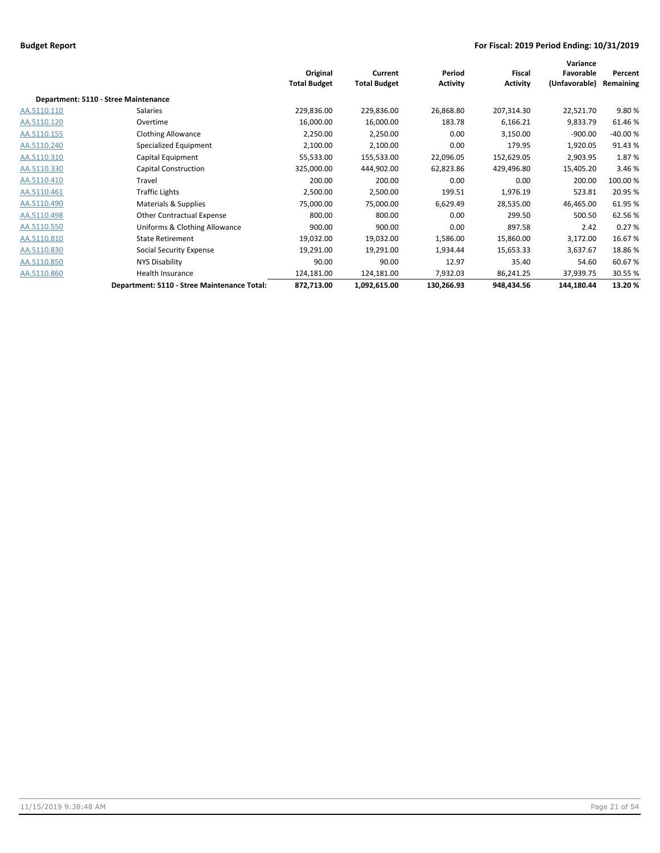|             |                                             | Original<br><b>Total Budget</b> | Current<br><b>Total Budget</b> | Period<br><b>Activity</b> | <b>Fiscal</b><br><b>Activity</b> | Variance<br>Favorable<br>(Unfavorable) | Percent<br>Remaining |
|-------------|---------------------------------------------|---------------------------------|--------------------------------|---------------------------|----------------------------------|----------------------------------------|----------------------|
|             | Department: 5110 - Stree Maintenance        |                                 |                                |                           |                                  |                                        |                      |
| AA.5110.110 | Salaries                                    | 229,836.00                      | 229,836.00                     | 26,868.80                 | 207,314.30                       | 22,521.70                              | 9.80%                |
| AA.5110.120 | Overtime                                    | 16,000.00                       | 16,000.00                      | 183.78                    | 6,166.21                         | 9,833.79                               | 61.46%               |
| AA.5110.155 | <b>Clothing Allowance</b>                   | 2,250.00                        | 2,250.00                       | 0.00                      | 3,150.00                         | $-900.00$                              | $-40.00%$            |
| AA.5110.240 | Specialized Equipment                       | 2,100.00                        | 2,100.00                       | 0.00                      | 179.95                           | 1,920.05                               | 91.43%               |
| AA.5110.310 | Capital Equipment                           | 55,533.00                       | 155,533.00                     | 22,096.05                 | 152,629.05                       | 2,903.95                               | 1.87%                |
| AA.5110.330 | Capital Construction                        | 325,000.00                      | 444,902.00                     | 62,823.86                 | 429,496.80                       | 15,405.20                              | 3.46 %               |
| AA.5110.410 | Travel                                      | 200.00                          | 200.00                         | 0.00                      | 0.00                             | 200.00                                 | 100.00%              |
| AA.5110.461 | <b>Traffic Lights</b>                       | 2,500.00                        | 2,500.00                       | 199.51                    | 1,976.19                         | 523.81                                 | 20.95 %              |
| AA.5110.490 | Materials & Supplies                        | 75,000.00                       | 75,000.00                      | 6,629.49                  | 28,535.00                        | 46,465.00                              | 61.95%               |
| AA.5110.498 | <b>Other Contractual Expense</b>            | 800.00                          | 800.00                         | 0.00                      | 299.50                           | 500.50                                 | 62.56%               |
| AA.5110.550 | Uniforms & Clothing Allowance               | 900.00                          | 900.00                         | 0.00                      | 897.58                           | 2.42                                   | 0.27%                |
| AA.5110.810 | <b>State Retirement</b>                     | 19,032.00                       | 19,032.00                      | 1,586.00                  | 15,860.00                        | 3,172.00                               | 16.67%               |
| AA.5110.830 | <b>Social Security Expense</b>              | 19,291.00                       | 19,291.00                      | 1,934.44                  | 15,653.33                        | 3,637.67                               | 18.86%               |
| AA.5110.850 | NYS Disability                              | 90.00                           | 90.00                          | 12.97                     | 35.40                            | 54.60                                  | 60.67%               |
| AA.5110.860 | Health Insurance                            | 124,181.00                      | 124,181.00                     | 7,932.03                  | 86,241.25                        | 37,939.75                              | 30.55 %              |
|             | Department: 5110 - Stree Maintenance Total: | 872,713.00                      | 1,092,615.00                   | 130,266.93                | 948,434.56                       | 144,180.44                             | 13.20%               |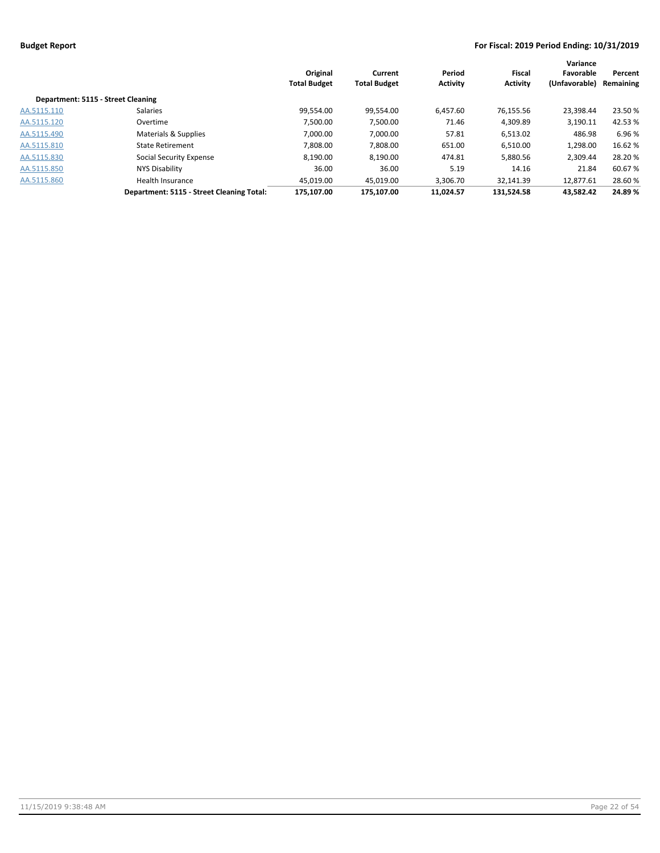|                                    |                                           | Original<br><b>Total Budget</b> | Current<br><b>Total Budget</b> | Period<br><b>Activity</b> | Fiscal<br><b>Activity</b> | Variance<br>Favorable<br>(Unfavorable) | Percent<br>Remaining |
|------------------------------------|-------------------------------------------|---------------------------------|--------------------------------|---------------------------|---------------------------|----------------------------------------|----------------------|
| Department: 5115 - Street Cleaning |                                           |                                 |                                |                           |                           |                                        |                      |
| AA.5115.110                        | <b>Salaries</b>                           | 99.554.00                       | 99,554.00                      | 6.457.60                  | 76,155.56                 | 23.398.44                              | 23.50 %              |
| AA.5115.120                        | Overtime                                  | 7,500.00                        | 7,500.00                       | 71.46                     | 4,309.89                  | 3,190.11                               | 42.53%               |
| AA.5115.490                        | Materials & Supplies                      | 7.000.00                        | 7.000.00                       | 57.81                     | 6,513.02                  | 486.98                                 | 6.96%                |
| AA.5115.810                        | <b>State Retirement</b>                   | 7.808.00                        | 7,808.00                       | 651.00                    | 6,510.00                  | 1.298.00                               | 16.62%               |
| AA.5115.830                        | Social Security Expense                   | 8.190.00                        | 8,190.00                       | 474.81                    | 5.880.56                  | 2.309.44                               | 28.20%               |
| AA.5115.850                        | NYS Disability                            | 36.00                           | 36.00                          | 5.19                      | 14.16                     | 21.84                                  | 60.67%               |
| AA.5115.860                        | <b>Health Insurance</b>                   | 45,019.00                       | 45,019.00                      | 3,306.70                  | 32,141.39                 | 12,877.61                              | 28.60%               |
|                                    | Department: 5115 - Street Cleaning Total: | 175.107.00                      | 175.107.00                     | 11.024.57                 | 131.524.58                | 43.582.42                              | 24.89%               |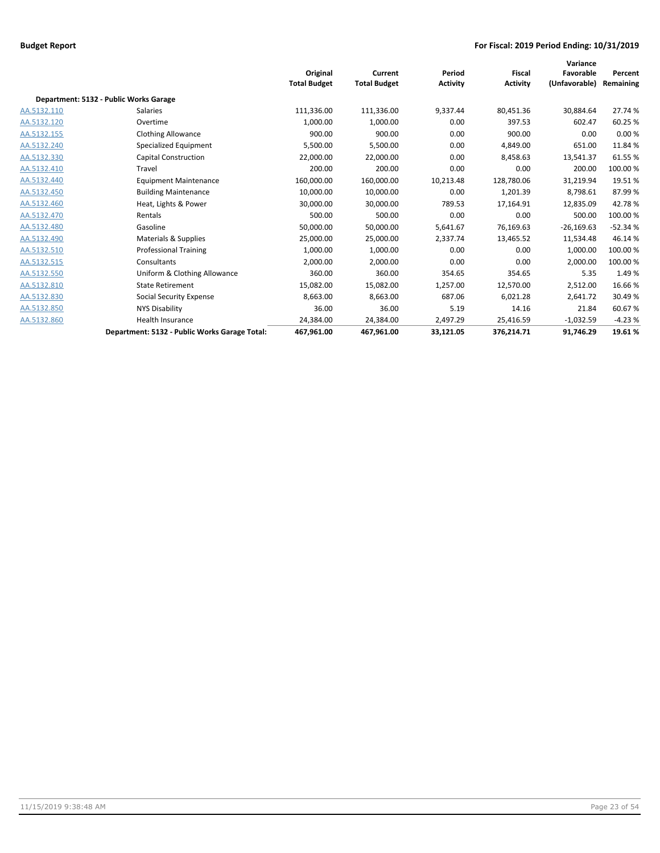|             |                                               |                     |                     |                 |                 | Variance      |           |
|-------------|-----------------------------------------------|---------------------|---------------------|-----------------|-----------------|---------------|-----------|
|             |                                               | Original            | Current             | Period          | <b>Fiscal</b>   | Favorable     | Percent   |
|             |                                               | <b>Total Budget</b> | <b>Total Budget</b> | <b>Activity</b> | <b>Activity</b> | (Unfavorable) | Remaining |
|             | Department: 5132 - Public Works Garage        |                     |                     |                 |                 |               |           |
| AA.5132.110 | <b>Salaries</b>                               | 111,336.00          | 111,336.00          | 9,337.44        | 80,451.36       | 30,884.64     | 27.74 %   |
| AA.5132.120 | Overtime                                      | 1,000.00            | 1,000.00            | 0.00            | 397.53          | 602.47        | 60.25 %   |
| AA.5132.155 | <b>Clothing Allowance</b>                     | 900.00              | 900.00              | 0.00            | 900.00          | 0.00          | 0.00%     |
| AA.5132.240 | Specialized Equipment                         | 5,500.00            | 5,500.00            | 0.00            | 4,849.00        | 651.00        | 11.84 %   |
| AA.5132.330 | <b>Capital Construction</b>                   | 22,000.00           | 22,000.00           | 0.00            | 8,458.63        | 13,541.37     | 61.55%    |
| AA.5132.410 | Travel                                        | 200.00              | 200.00              | 0.00            | 0.00            | 200.00        | 100.00%   |
| AA.5132.440 | <b>Equipment Maintenance</b>                  | 160,000.00          | 160,000.00          | 10,213.48       | 128,780.06      | 31,219.94     | 19.51%    |
| AA.5132.450 | <b>Building Maintenance</b>                   | 10,000.00           | 10,000.00           | 0.00            | 1,201.39        | 8,798.61      | 87.99%    |
| AA.5132.460 | Heat, Lights & Power                          | 30,000.00           | 30,000.00           | 789.53          | 17,164.91       | 12,835.09     | 42.78%    |
| AA.5132.470 | Rentals                                       | 500.00              | 500.00              | 0.00            | 0.00            | 500.00        | 100.00%   |
| AA.5132.480 | Gasoline                                      | 50,000.00           | 50,000.00           | 5,641.67        | 76,169.63       | $-26,169.63$  | $-52.34%$ |
| AA.5132.490 | Materials & Supplies                          | 25,000.00           | 25,000.00           | 2,337.74        | 13,465.52       | 11,534.48     | 46.14 %   |
| AA.5132.510 | <b>Professional Training</b>                  | 1,000.00            | 1,000.00            | 0.00            | 0.00            | 1,000.00      | 100.00%   |
| AA.5132.515 | Consultants                                   | 2,000.00            | 2,000.00            | 0.00            | 0.00            | 2,000.00      | 100.00%   |
| AA.5132.550 | Uniform & Clothing Allowance                  | 360.00              | 360.00              | 354.65          | 354.65          | 5.35          | 1.49%     |
| AA.5132.810 | <b>State Retirement</b>                       | 15,082.00           | 15,082.00           | 1,257.00        | 12,570.00       | 2,512.00      | 16.66%    |
| AA.5132.830 | Social Security Expense                       | 8,663.00            | 8,663.00            | 687.06          | 6,021.28        | 2,641.72      | 30.49%    |
| AA.5132.850 | <b>NYS Disability</b>                         | 36.00               | 36.00               | 5.19            | 14.16           | 21.84         | 60.67%    |
| AA.5132.860 | <b>Health Insurance</b>                       | 24,384.00           | 24,384.00           | 2,497.29        | 25,416.59       | $-1,032.59$   | $-4.23%$  |
|             | Department: 5132 - Public Works Garage Total: | 467,961.00          | 467,961.00          | 33,121.05       | 376,214.71      | 91,746.29     | 19.61%    |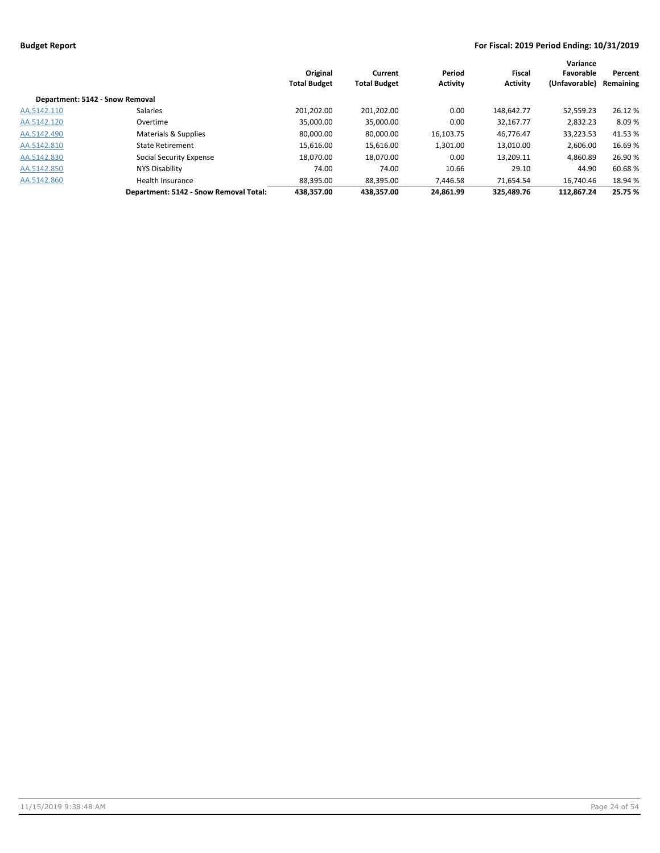|                                 |                                        | Original<br><b>Total Budget</b> | Current<br><b>Total Budget</b> | Period<br><b>Activity</b> | Fiscal<br><b>Activity</b> | Variance<br>Favorable<br>(Unfavorable) | Percent<br>Remaining |
|---------------------------------|----------------------------------------|---------------------------------|--------------------------------|---------------------------|---------------------------|----------------------------------------|----------------------|
| Department: 5142 - Snow Removal |                                        |                                 |                                |                           |                           |                                        |                      |
| AA.5142.110                     | <b>Salaries</b>                        | 201.202.00                      | 201.202.00                     | 0.00                      | 148.642.77                | 52,559.23                              | 26.12 %              |
| AA.5142.120                     | Overtime                               | 35.000.00                       | 35,000.00                      | 0.00                      | 32,167.77                 | 2.832.23                               | 8.09%                |
| AA.5142.490                     | Materials & Supplies                   | 80.000.00                       | 80,000.00                      | 16,103.75                 | 46.776.47                 | 33,223.53                              | 41.53%               |
| AA.5142.810                     | <b>State Retirement</b>                | 15.616.00                       | 15,616.00                      | 1,301.00                  | 13,010.00                 | 2.606.00                               | 16.69%               |
| AA.5142.830                     | Social Security Expense                | 18,070.00                       | 18,070.00                      | 0.00                      | 13,209.11                 | 4,860.89                               | 26.90%               |
| AA.5142.850                     | NYS Disability                         | 74.00                           | 74.00                          | 10.66                     | 29.10                     | 44.90                                  | 60.68%               |
| AA.5142.860                     | <b>Health Insurance</b>                | 88,395.00                       | 88,395.00                      | 7,446.58                  | 71,654.54                 | 16,740.46                              | 18.94 %              |
|                                 | Department: 5142 - Snow Removal Total: | 438,357.00                      | 438.357.00                     | 24.861.99                 | 325,489.76                | 112.867.24                             | 25.75 %              |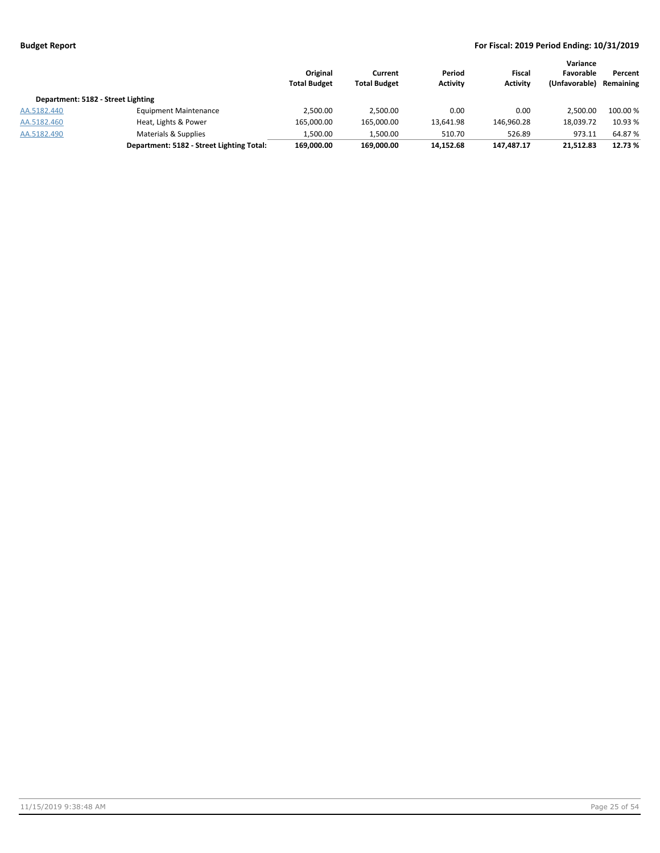|                                    |                                           | Original<br><b>Total Budget</b> | Current<br><b>Total Budget</b> | Period<br><b>Activity</b> | Fiscal<br><b>Activity</b> | Variance<br>Favorable<br>(Unfavorable) | Percent<br>Remaining |
|------------------------------------|-------------------------------------------|---------------------------------|--------------------------------|---------------------------|---------------------------|----------------------------------------|----------------------|
| Department: 5182 - Street Lighting |                                           |                                 |                                |                           |                           |                                        |                      |
| AA.5182.440                        | <b>Equipment Maintenance</b>              | 2,500.00                        | 2,500.00                       | 0.00                      | 0.00                      | 2.500.00                               | 100.00 %             |
| AA.5182.460                        | Heat, Lights & Power                      | 165,000.00                      | 165,000.00                     | 13,641.98                 | 146,960.28                | 18.039.72                              | 10.93 %              |
| AA.5182.490                        | Materials & Supplies                      | 1,500.00                        | 1,500.00                       | 510.70                    | 526.89                    | 973.11                                 | 64.87 %              |
|                                    | Department: 5182 - Street Lighting Total: | 169,000.00                      | 169.000.00                     | 14,152.68                 | 147,487.17                | 21,512.83                              | 12.73 %              |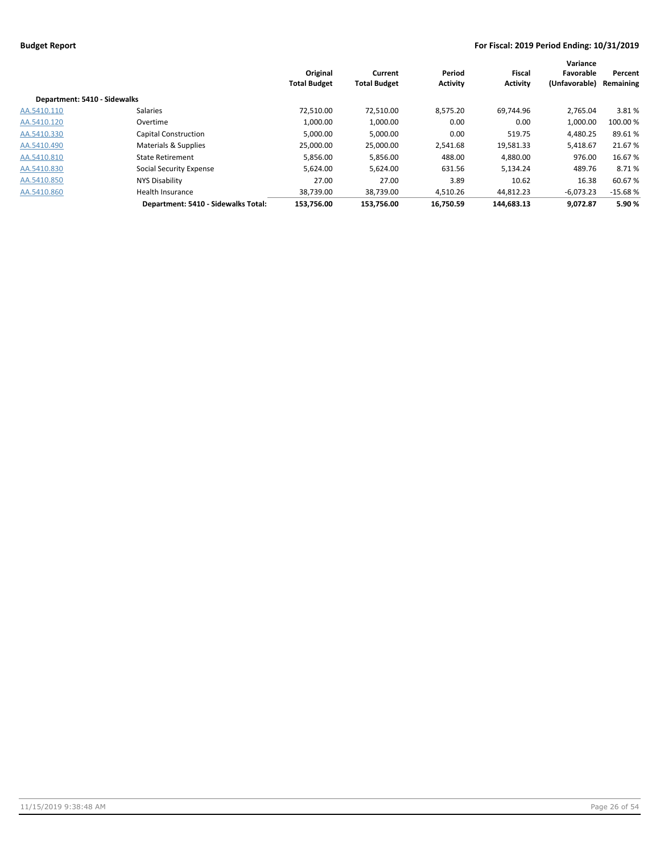|                              |                                     | Original<br><b>Total Budget</b> | Current<br><b>Total Budget</b> | Period<br><b>Activity</b> | <b>Fiscal</b><br><b>Activity</b> | Variance<br>Favorable<br>(Unfavorable) | Percent<br>Remaining |
|------------------------------|-------------------------------------|---------------------------------|--------------------------------|---------------------------|----------------------------------|----------------------------------------|----------------------|
| Department: 5410 - Sidewalks |                                     |                                 |                                |                           |                                  |                                        |                      |
| AA.5410.110                  | Salaries                            | 72,510.00                       | 72,510.00                      | 8,575.20                  | 69,744.96                        | 2,765.04                               | 3.81%                |
| AA.5410.120                  | Overtime                            | 1,000.00                        | 1,000.00                       | 0.00                      | 0.00                             | 1,000.00                               | 100.00 %             |
| AA.5410.330                  | <b>Capital Construction</b>         | 5,000.00                        | 5,000.00                       | 0.00                      | 519.75                           | 4.480.25                               | 89.61%               |
| AA.5410.490                  | Materials & Supplies                | 25,000.00                       | 25,000.00                      | 2,541.68                  | 19,581.33                        | 5,418.67                               | 21.67 %              |
| AA.5410.810                  | <b>State Retirement</b>             | 5,856.00                        | 5,856.00                       | 488.00                    | 4,880.00                         | 976.00                                 | 16.67 %              |
| AA.5410.830                  | Social Security Expense             | 5,624.00                        | 5,624.00                       | 631.56                    | 5,134.24                         | 489.76                                 | 8.71 %               |
| AA.5410.850                  | NYS Disability                      | 27.00                           | 27.00                          | 3.89                      | 10.62                            | 16.38                                  | 60.67%               |
| AA.5410.860                  | Health Insurance                    | 38.739.00                       | 38,739.00                      | 4,510.26                  | 44.812.23                        | $-6.073.23$                            | $-15.68%$            |
|                              | Department: 5410 - Sidewalks Total: | 153.756.00                      | 153.756.00                     | 16.750.59                 | 144.683.13                       | 9.072.87                               | 5.90 %               |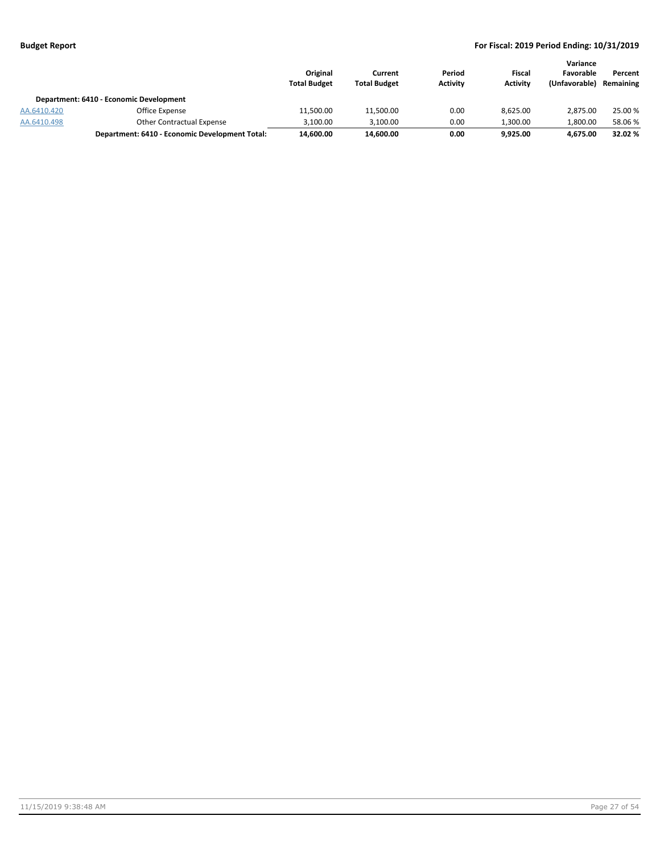|             |                                                | Original<br><b>Total Budget</b> | Current<br><b>Total Budget</b> | Period<br><b>Activity</b> | Fiscal<br><b>Activity</b> | Variance<br>Favorable<br>(Unfavorable) | Percent<br>Remaining |
|-------------|------------------------------------------------|---------------------------------|--------------------------------|---------------------------|---------------------------|----------------------------------------|----------------------|
|             | Department: 6410 - Economic Development        |                                 |                                |                           |                           |                                        |                      |
| AA.6410.420 | Office Expense                                 | 11,500.00                       | 11,500.00                      | 0.00                      | 8.625.00                  | 2.875.00                               | 25.00 %              |
| AA.6410.498 | <b>Other Contractual Expense</b>               | 3.100.00                        | 3,100.00                       | 0.00                      | 1.300.00                  | 1.800.00                               | 58.06 %              |
|             | Department: 6410 - Economic Development Total: | 14,600.00                       | 14,600.00                      | 0.00                      | 9.925.00                  | 4.675.00                               | 32.02 %              |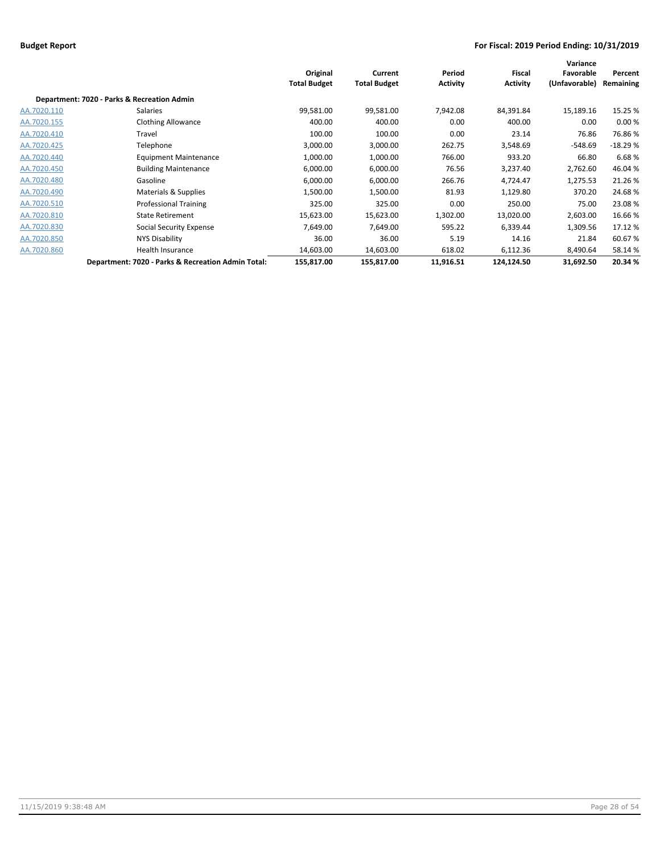|             |                                                    | Original<br><b>Total Budget</b> | Current<br><b>Total Budget</b> | Period<br><b>Activity</b> | <b>Fiscal</b><br><b>Activity</b> | Variance<br>Favorable<br>(Unfavorable) | Percent<br>Remaining |
|-------------|----------------------------------------------------|---------------------------------|--------------------------------|---------------------------|----------------------------------|----------------------------------------|----------------------|
|             | Department: 7020 - Parks & Recreation Admin        |                                 |                                |                           |                                  |                                        |                      |
| AA.7020.110 | <b>Salaries</b>                                    | 99,581.00                       | 99,581.00                      | 7,942.08                  | 84,391.84                        | 15,189.16                              | 15.25 %              |
| AA.7020.155 | <b>Clothing Allowance</b>                          | 400.00                          | 400.00                         | 0.00                      | 400.00                           | 0.00                                   | 0.00%                |
| AA.7020.410 | Travel                                             | 100.00                          | 100.00                         | 0.00                      | 23.14                            | 76.86                                  | 76.86%               |
| AA.7020.425 | Telephone                                          | 3,000.00                        | 3,000.00                       | 262.75                    | 3,548.69                         | -548.69                                | $-18.29%$            |
| AA.7020.440 | <b>Equipment Maintenance</b>                       | 1,000.00                        | 1,000.00                       | 766.00                    | 933.20                           | 66.80                                  | 6.68%                |
| AA.7020.450 | <b>Building Maintenance</b>                        | 6,000.00                        | 6,000.00                       | 76.56                     | 3,237.40                         | 2,762.60                               | 46.04%               |
| AA.7020.480 | Gasoline                                           | 6,000.00                        | 6,000.00                       | 266.76                    | 4,724.47                         | 1,275.53                               | 21.26%               |
| AA.7020.490 | Materials & Supplies                               | 1,500.00                        | 1,500.00                       | 81.93                     | 1,129.80                         | 370.20                                 | 24.68%               |
| AA.7020.510 | <b>Professional Training</b>                       | 325.00                          | 325.00                         | 0.00                      | 250.00                           | 75.00                                  | 23.08%               |
| AA.7020.810 | <b>State Retirement</b>                            | 15,623.00                       | 15,623.00                      | 1,302.00                  | 13,020.00                        | 2,603.00                               | 16.66%               |
| AA.7020.830 | Social Security Expense                            | 7,649.00                        | 7,649.00                       | 595.22                    | 6,339.44                         | 1,309.56                               | 17.12 %              |
| AA.7020.850 | NYS Disability                                     | 36.00                           | 36.00                          | 5.19                      | 14.16                            | 21.84                                  | 60.67%               |
| AA.7020.860 | <b>Health Insurance</b>                            | 14,603.00                       | 14,603.00                      | 618.02                    | 6,112.36                         | 8,490.64                               | 58.14%               |
|             | Department: 7020 - Parks & Recreation Admin Total: | 155,817.00                      | 155,817.00                     | 11,916.51                 | 124,124.50                       | 31,692.50                              | 20.34 %              |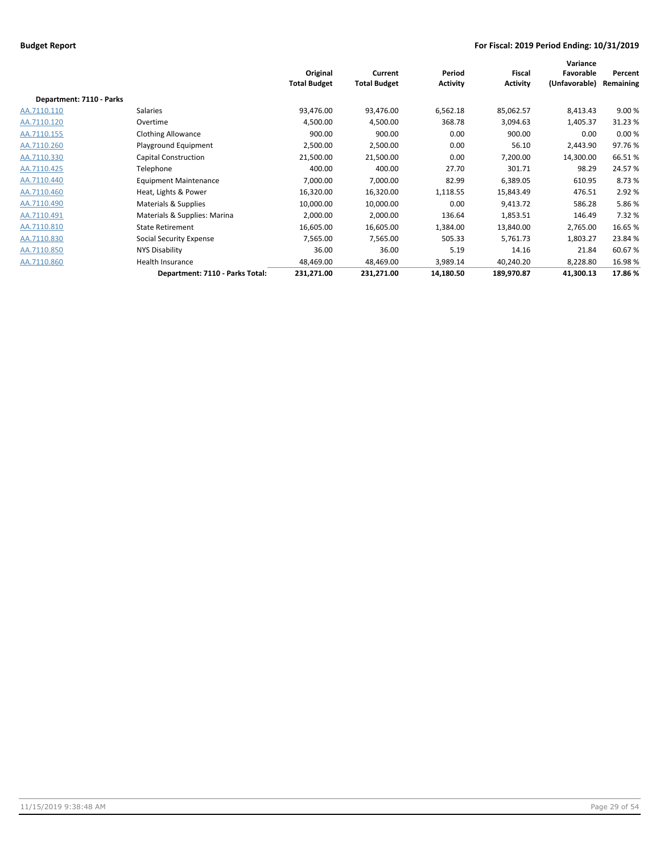|                          |                                 | Original<br><b>Total Budget</b> | Current<br><b>Total Budget</b> | Period<br><b>Activity</b> | <b>Fiscal</b><br><b>Activity</b> | Variance<br>Favorable<br>(Unfavorable) | Percent<br>Remaining |
|--------------------------|---------------------------------|---------------------------------|--------------------------------|---------------------------|----------------------------------|----------------------------------------|----------------------|
| Department: 7110 - Parks |                                 |                                 |                                |                           |                                  |                                        |                      |
| AA.7110.110              | Salaries                        | 93,476.00                       | 93,476.00                      | 6,562.18                  | 85,062.57                        | 8,413.43                               | 9.00%                |
| AA.7110.120              | Overtime                        | 4,500.00                        | 4,500.00                       | 368.78                    | 3,094.63                         | 1,405.37                               | 31.23 %              |
| AA.7110.155              | <b>Clothing Allowance</b>       | 900.00                          | 900.00                         | 0.00                      | 900.00                           | 0.00                                   | 0.00%                |
| AA.7110.260              | Playground Equipment            | 2,500.00                        | 2,500.00                       | 0.00                      | 56.10                            | 2,443.90                               | 97.76%               |
| AA.7110.330              | <b>Capital Construction</b>     | 21,500.00                       | 21,500.00                      | 0.00                      | 7,200.00                         | 14,300.00                              | 66.51%               |
| AA.7110.425              | Telephone                       | 400.00                          | 400.00                         | 27.70                     | 301.71                           | 98.29                                  | 24.57%               |
| AA.7110.440              | <b>Equipment Maintenance</b>    | 7,000.00                        | 7,000.00                       | 82.99                     | 6,389.05                         | 610.95                                 | 8.73%                |
| AA.7110.460              | Heat, Lights & Power            | 16,320.00                       | 16,320.00                      | 1,118.55                  | 15,843.49                        | 476.51                                 | 2.92 %               |
| AA.7110.490              | Materials & Supplies            | 10,000.00                       | 10,000.00                      | 0.00                      | 9,413.72                         | 586.28                                 | 5.86%                |
| AA.7110.491              | Materials & Supplies: Marina    | 2,000.00                        | 2,000.00                       | 136.64                    | 1,853.51                         | 146.49                                 | 7.32 %               |
| AA.7110.810              | <b>State Retirement</b>         | 16,605.00                       | 16,605.00                      | 1,384.00                  | 13,840.00                        | 2,765.00                               | 16.65%               |
| AA.7110.830              | Social Security Expense         | 7,565.00                        | 7,565.00                       | 505.33                    | 5,761.73                         | 1,803.27                               | 23.84 %              |
| AA.7110.850              | NYS Disability                  | 36.00                           | 36.00                          | 5.19                      | 14.16                            | 21.84                                  | 60.67%               |
| AA.7110.860              | Health Insurance                | 48,469.00                       | 48,469.00                      | 3,989.14                  | 40,240.20                        | 8,228.80                               | 16.98%               |
|                          | Department: 7110 - Parks Total: | 231,271.00                      | 231,271.00                     | 14,180.50                 | 189,970.87                       | 41,300.13                              | 17.86%               |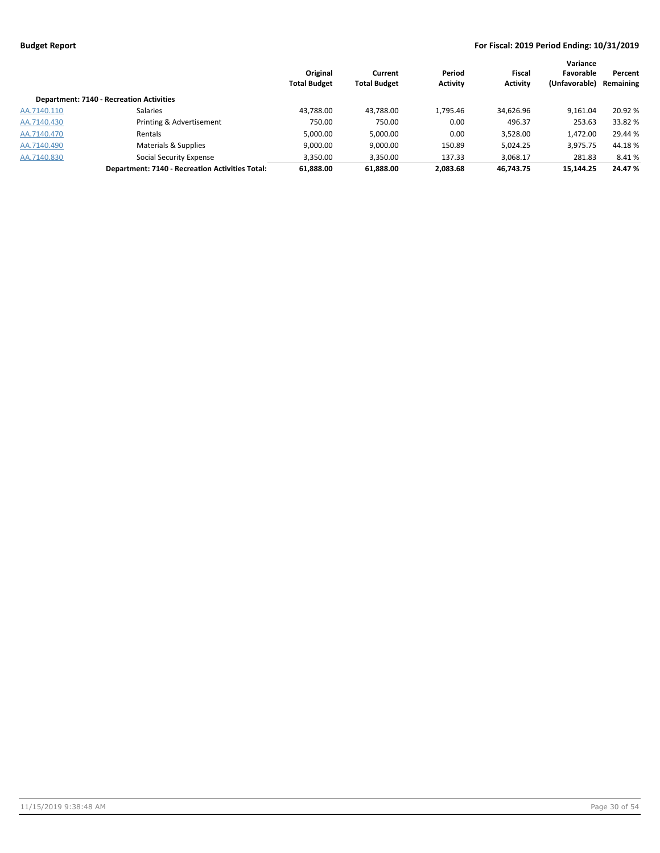|             |                                                        | Original<br><b>Total Budget</b> | Current<br><b>Total Budget</b> | Period<br><b>Activity</b> | <b>Fiscal</b><br><b>Activity</b> | Variance<br>Favorable<br>(Unfavorable) | Percent<br>Remaining |
|-------------|--------------------------------------------------------|---------------------------------|--------------------------------|---------------------------|----------------------------------|----------------------------------------|----------------------|
|             | <b>Department: 7140 - Recreation Activities</b>        |                                 |                                |                           |                                  |                                        |                      |
| AA.7140.110 | <b>Salaries</b>                                        | 43,788.00                       | 43,788.00                      | 1,795.46                  | 34,626.96                        | 9.161.04                               | 20.92 %              |
| AA.7140.430 | Printing & Advertisement                               | 750.00                          | 750.00                         | 0.00                      | 496.37                           | 253.63                                 | 33.82 %              |
| AA.7140.470 | Rentals                                                | 5,000.00                        | 5,000.00                       | 0.00                      | 3,528.00                         | 1,472.00                               | 29.44 %              |
| AA.7140.490 | Materials & Supplies                                   | 9,000.00                        | 9,000.00                       | 150.89                    | 5,024.25                         | 3,975.75                               | 44.18%               |
| AA.7140.830 | <b>Social Security Expense</b>                         | 3,350.00                        | 3,350.00                       | 137.33                    | 3,068.17                         | 281.83                                 | 8.41 %               |
|             | <b>Department: 7140 - Recreation Activities Total:</b> | 61,888.00                       | 61,888.00                      | 2,083.68                  | 46,743.75                        | 15,144.25                              | 24.47 %              |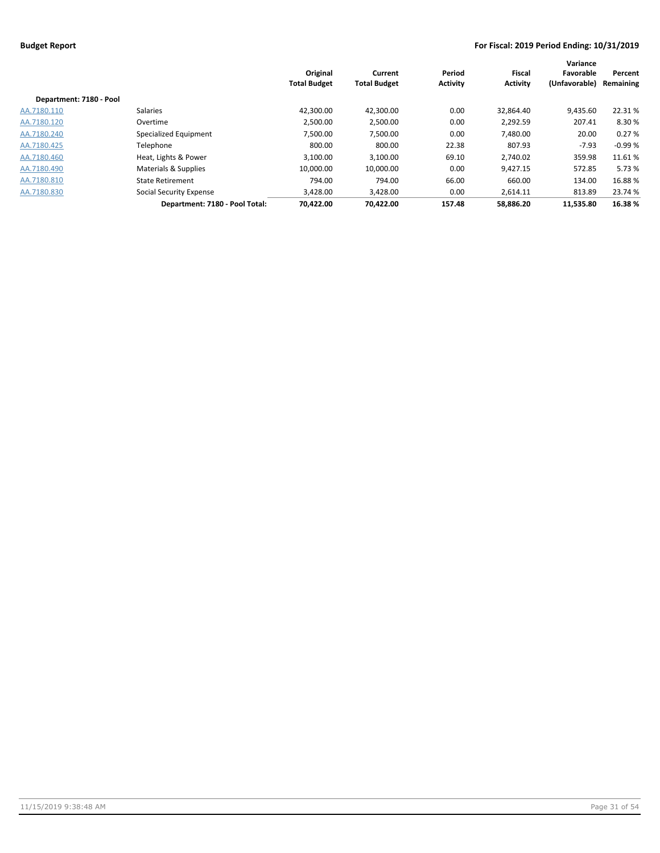|                         |                                | Original<br><b>Total Budget</b> | Current<br><b>Total Budget</b> | Period<br><b>Activity</b> | <b>Fiscal</b><br><b>Activity</b> | Variance<br>Favorable<br>(Unfavorable) | Percent<br>Remaining |
|-------------------------|--------------------------------|---------------------------------|--------------------------------|---------------------------|----------------------------------|----------------------------------------|----------------------|
| Department: 7180 - Pool |                                |                                 |                                |                           |                                  |                                        |                      |
| AA.7180.110             | <b>Salaries</b>                | 42,300.00                       | 42,300.00                      | 0.00                      | 32,864.40                        | 9,435.60                               | 22.31%               |
| AA.7180.120             | Overtime                       | 2.500.00                        | 2,500.00                       | 0.00                      | 2.292.59                         | 207.41                                 | 8.30 %               |
| AA.7180.240             | Specialized Equipment          | 7.500.00                        | 7,500.00                       | 0.00                      | 7,480.00                         | 20.00                                  | 0.27%                |
| AA.7180.425             | Telephone                      | 800.00                          | 800.00                         | 22.38                     | 807.93                           | $-7.93$                                | $-0.99%$             |
| AA.7180.460             | Heat, Lights & Power           | 3,100.00                        | 3,100.00                       | 69.10                     | 2,740.02                         | 359.98                                 | 11.61%               |
| AA.7180.490             | Materials & Supplies           | 10,000.00                       | 10,000.00                      | 0.00                      | 9,427.15                         | 572.85                                 | 5.73 %               |
| AA.7180.810             | <b>State Retirement</b>        | 794.00                          | 794.00                         | 66.00                     | 660.00                           | 134.00                                 | 16.88%               |
| AA.7180.830             | Social Security Expense        | 3,428.00                        | 3,428.00                       | 0.00                      | 2,614.11                         | 813.89                                 | 23.74 %              |
|                         | Department: 7180 - Pool Total: | 70.422.00                       | 70.422.00                      | 157.48                    | 58.886.20                        | 11.535.80                              | 16.38%               |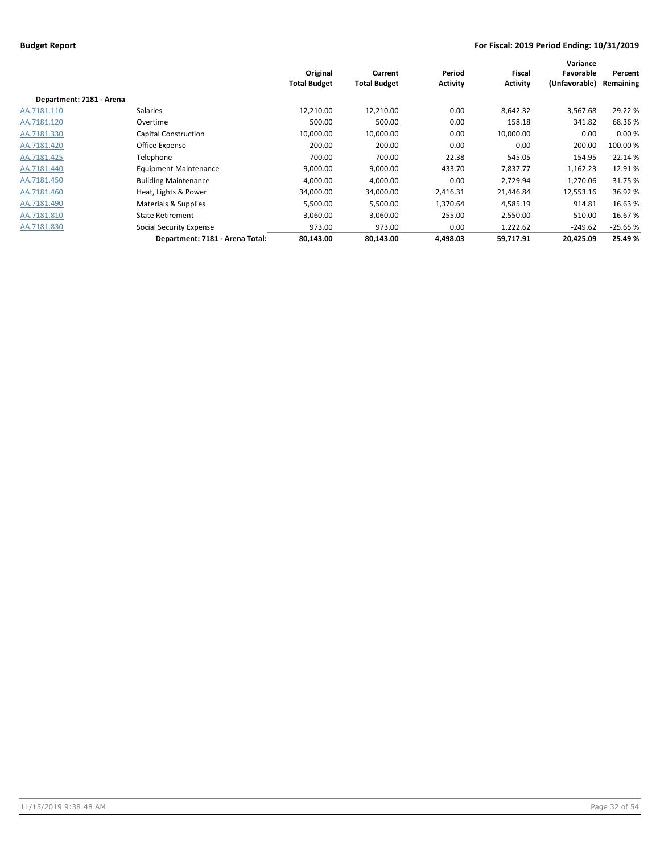|                          |                                 | Original<br><b>Total Budget</b> | Current<br><b>Total Budget</b> | Period<br><b>Activity</b> | <b>Fiscal</b><br>Activity | Variance<br>Favorable<br>(Unfavorable) | Percent<br>Remaining |
|--------------------------|---------------------------------|---------------------------------|--------------------------------|---------------------------|---------------------------|----------------------------------------|----------------------|
| Department: 7181 - Arena |                                 |                                 |                                |                           |                           |                                        |                      |
| AA.7181.110              | Salaries                        | 12,210.00                       | 12,210.00                      | 0.00                      | 8,642.32                  | 3,567.68                               | 29.22 %              |
| AA.7181.120              | Overtime                        | 500.00                          | 500.00                         | 0.00                      | 158.18                    | 341.82                                 | 68.36%               |
| AA.7181.330              | Capital Construction            | 10,000.00                       | 10,000.00                      | 0.00                      | 10,000.00                 | 0.00                                   | 0.00%                |
| AA.7181.420              | Office Expense                  | 200.00                          | 200.00                         | 0.00                      | 0.00                      | 200.00                                 | 100.00 %             |
| AA.7181.425              | Telephone                       | 700.00                          | 700.00                         | 22.38                     | 545.05                    | 154.95                                 | 22.14 %              |
| AA.7181.440              | <b>Equipment Maintenance</b>    | 9,000.00                        | 9,000.00                       | 433.70                    | 7,837.77                  | 1,162.23                               | 12.91%               |
| AA.7181.450              | <b>Building Maintenance</b>     | 4,000.00                        | 4,000.00                       | 0.00                      | 2,729.94                  | 1,270.06                               | 31.75 %              |
| AA.7181.460              | Heat, Lights & Power            | 34,000.00                       | 34,000.00                      | 2,416.31                  | 21,446.84                 | 12,553.16                              | 36.92 %              |
| AA.7181.490              | Materials & Supplies            | 5,500.00                        | 5,500.00                       | 1,370.64                  | 4,585.19                  | 914.81                                 | 16.63 %              |
| AA.7181.810              | <b>State Retirement</b>         | 3,060.00                        | 3,060.00                       | 255.00                    | 2,550.00                  | 510.00                                 | 16.67%               |
| AA.7181.830              | Social Security Expense         | 973.00                          | 973.00                         | 0.00                      | 1,222.62                  | $-249.62$                              | $-25.65%$            |
|                          | Department: 7181 - Arena Total: | 80,143.00                       | 80,143.00                      | 4.498.03                  | 59,717.91                 | 20,425.09                              | 25.49%               |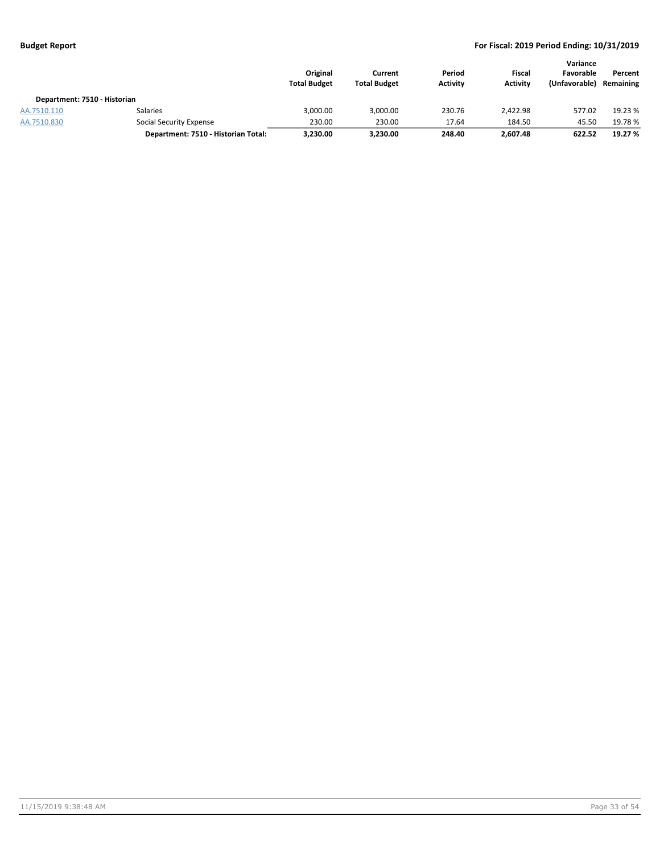|                              |                                     | Original<br><b>Total Budget</b> | Current<br><b>Total Budget</b> | Period<br><b>Activity</b> | Fiscal<br><b>Activity</b> | Variance<br>Favorable<br>(Unfavorable) | Percent<br>Remaining |
|------------------------------|-------------------------------------|---------------------------------|--------------------------------|---------------------------|---------------------------|----------------------------------------|----------------------|
| Department: 7510 - Historian |                                     |                                 |                                |                           |                           |                                        |                      |
| AA.7510.110                  | <b>Salaries</b>                     | 3,000.00                        | 3,000.00                       | 230.76                    | 2.422.98                  | 577.02                                 | 19.23 %              |
| AA.7510.830                  | Social Security Expense             | 230.00                          | 230.00                         | 17.64                     | 184.50                    | 45.50                                  | 19.78 %              |
|                              | Department: 7510 - Historian Total: | 3,230.00                        | 3,230.00                       | 248.40                    | 2.607.48                  | 622.52                                 | 19.27 %              |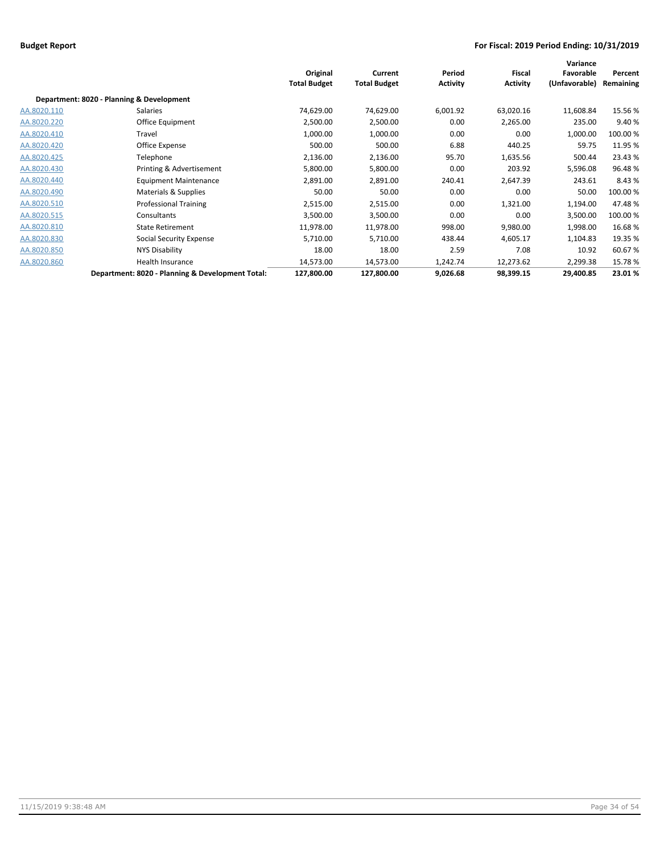|             |                                                  | Original<br><b>Total Budget</b> | Current<br><b>Total Budget</b> | Period<br><b>Activity</b> | <b>Fiscal</b><br><b>Activity</b> | Variance<br>Favorable<br>(Unfavorable) | Percent<br>Remaining |
|-------------|--------------------------------------------------|---------------------------------|--------------------------------|---------------------------|----------------------------------|----------------------------------------|----------------------|
|             | Department: 8020 - Planning & Development        |                                 |                                |                           |                                  |                                        |                      |
| AA.8020.110 | Salaries                                         | 74,629.00                       | 74,629.00                      | 6,001.92                  | 63,020.16                        | 11,608.84                              | 15.56%               |
| AA.8020.220 | <b>Office Equipment</b>                          | 2,500.00                        | 2,500.00                       | 0.00                      | 2,265.00                         | 235.00                                 | 9.40%                |
| AA.8020.410 | Travel                                           | 1,000.00                        | 1,000.00                       | 0.00                      | 0.00                             | 1,000.00                               | 100.00 %             |
| AA.8020.420 | Office Expense                                   | 500.00                          | 500.00                         | 6.88                      | 440.25                           | 59.75                                  | 11.95 %              |
| AA.8020.425 | Telephone                                        | 2,136.00                        | 2,136.00                       | 95.70                     | 1,635.56                         | 500.44                                 | 23.43%               |
| AA.8020.430 | Printing & Advertisement                         | 5,800.00                        | 5,800.00                       | 0.00                      | 203.92                           | 5,596.08                               | 96.48%               |
| AA.8020.440 | <b>Equipment Maintenance</b>                     | 2,891.00                        | 2,891.00                       | 240.41                    | 2,647.39                         | 243.61                                 | 8.43%                |
| AA.8020.490 | Materials & Supplies                             | 50.00                           | 50.00                          | 0.00                      | 0.00                             | 50.00                                  | 100.00%              |
| AA.8020.510 | <b>Professional Training</b>                     | 2,515.00                        | 2,515.00                       | 0.00                      | 1,321.00                         | 1,194.00                               | 47.48%               |
| AA.8020.515 | Consultants                                      | 3,500.00                        | 3,500.00                       | 0.00                      | 0.00                             | 3,500.00                               | 100.00%              |
| AA.8020.810 | <b>State Retirement</b>                          | 11,978.00                       | 11,978.00                      | 998.00                    | 9,980.00                         | 1,998.00                               | 16.68%               |
| AA.8020.830 | Social Security Expense                          | 5,710.00                        | 5,710.00                       | 438.44                    | 4,605.17                         | 1,104.83                               | 19.35 %              |
| AA.8020.850 | NYS Disability                                   | 18.00                           | 18.00                          | 2.59                      | 7.08                             | 10.92                                  | 60.67%               |
| AA.8020.860 | Health Insurance                                 | 14,573.00                       | 14,573.00                      | 1,242.74                  | 12,273.62                        | 2,299.38                               | 15.78%               |
|             | Department: 8020 - Planning & Development Total: | 127,800.00                      | 127,800.00                     | 9,026.68                  | 98,399.15                        | 29,400.85                              | 23.01%               |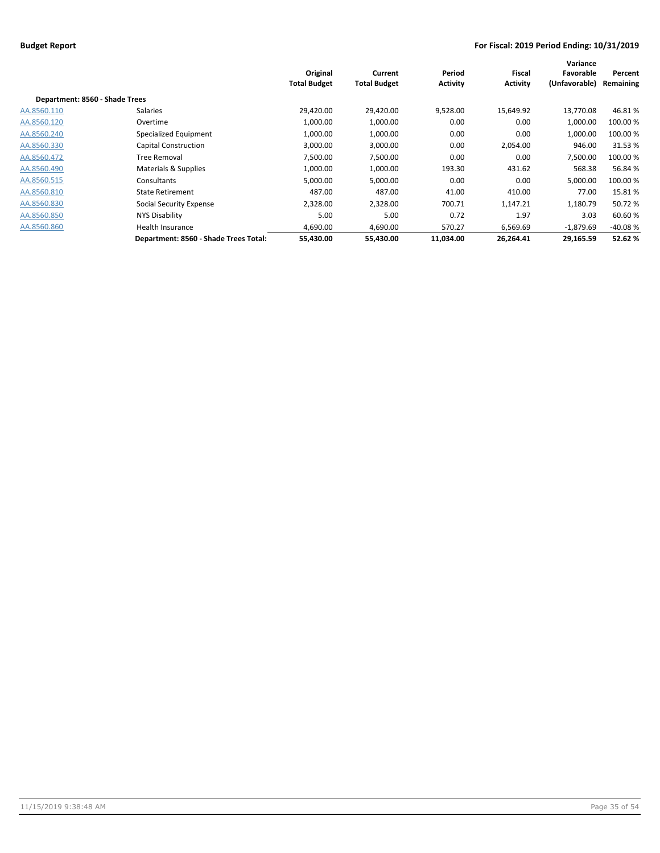|                                |                                       | Original<br><b>Total Budget</b> | Current<br><b>Total Budget</b> | Period<br><b>Activity</b> | <b>Fiscal</b><br><b>Activity</b> | Variance<br>Favorable<br>(Unfavorable) | Percent<br>Remaining |
|--------------------------------|---------------------------------------|---------------------------------|--------------------------------|---------------------------|----------------------------------|----------------------------------------|----------------------|
| Department: 8560 - Shade Trees |                                       |                                 |                                |                           |                                  |                                        |                      |
| AA.8560.110                    | Salaries                              | 29,420.00                       | 29,420.00                      | 9,528.00                  | 15,649.92                        | 13,770.08                              | 46.81%               |
| AA.8560.120                    | Overtime                              | 1,000.00                        | 1,000.00                       | 0.00                      | 0.00                             | 1,000.00                               | 100.00 %             |
| AA.8560.240                    | Specialized Equipment                 | 1,000.00                        | 1,000.00                       | 0.00                      | 0.00                             | 1,000.00                               | 100.00 %             |
| AA.8560.330                    | Capital Construction                  | 3,000.00                        | 3,000.00                       | 0.00                      | 2,054.00                         | 946.00                                 | 31.53%               |
| AA.8560.472                    | Tree Removal                          | 7,500.00                        | 7,500.00                       | 0.00                      | 0.00                             | 7,500.00                               | 100.00 %             |
| AA.8560.490                    | Materials & Supplies                  | 1,000.00                        | 1,000.00                       | 193.30                    | 431.62                           | 568.38                                 | 56.84%               |
| AA.8560.515                    | Consultants                           | 5,000.00                        | 5,000.00                       | 0.00                      | 0.00                             | 5,000.00                               | 100.00 %             |
| AA.8560.810                    | <b>State Retirement</b>               | 487.00                          | 487.00                         | 41.00                     | 410.00                           | 77.00                                  | 15.81%               |
| AA.8560.830                    | Social Security Expense               | 2,328.00                        | 2,328.00                       | 700.71                    | 1,147.21                         | 1,180.79                               | 50.72 %              |
| AA.8560.850                    | NYS Disability                        | 5.00                            | 5.00                           | 0.72                      | 1.97                             | 3.03                                   | 60.60%               |
| AA.8560.860                    | Health Insurance                      | 4.690.00                        | 4,690.00                       | 570.27                    | 6,569.69                         | $-1,879.69$                            | $-40.08%$            |
|                                | Department: 8560 - Shade Trees Total: | 55,430.00                       | 55,430.00                      | 11,034.00                 | 26,264.41                        | 29,165.59                              | 52.62%               |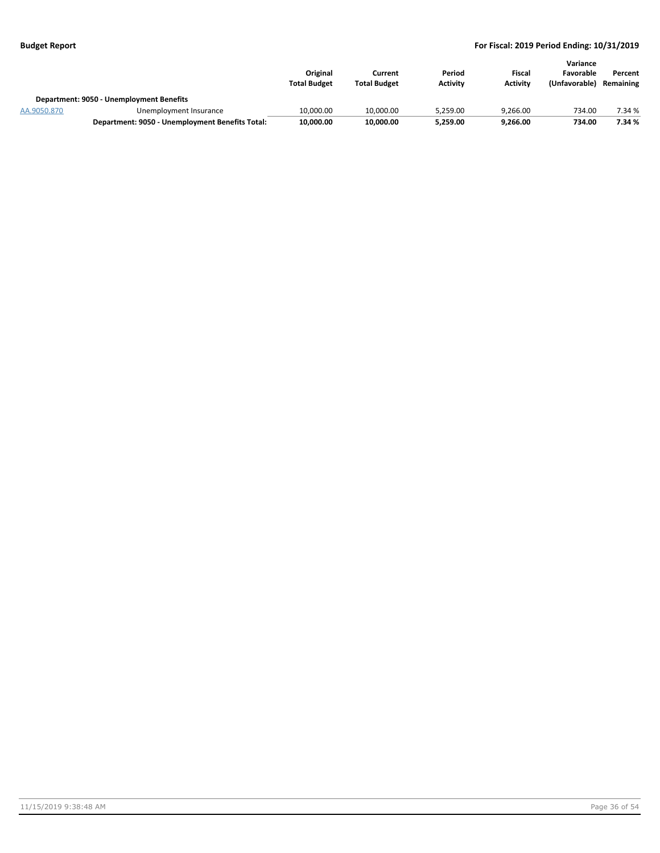|             |                                                 | Original<br><b>Total Budget</b> | Current<br><b>Total Budget</b> | Period<br><b>Activity</b> | Fiscal<br><b>Activity</b> | Variance<br>Favorable<br>(Unfavorable) | Percent<br>Remaining |
|-------------|-------------------------------------------------|---------------------------------|--------------------------------|---------------------------|---------------------------|----------------------------------------|----------------------|
|             | Department: 9050 - Unemployment Benefits        |                                 |                                |                           |                           |                                        |                      |
| AA.9050.870 | Unemployment Insurance                          | 10,000.00                       | 10.000.00                      | 5.259.00                  | 9.266.00                  | 734.00                                 | 7.34 %               |
|             | Department: 9050 - Unemployment Benefits Total: | 10,000.00                       | 10,000.00                      | 5,259.00                  | 9.266.00                  | 734.00                                 | 7.34 %               |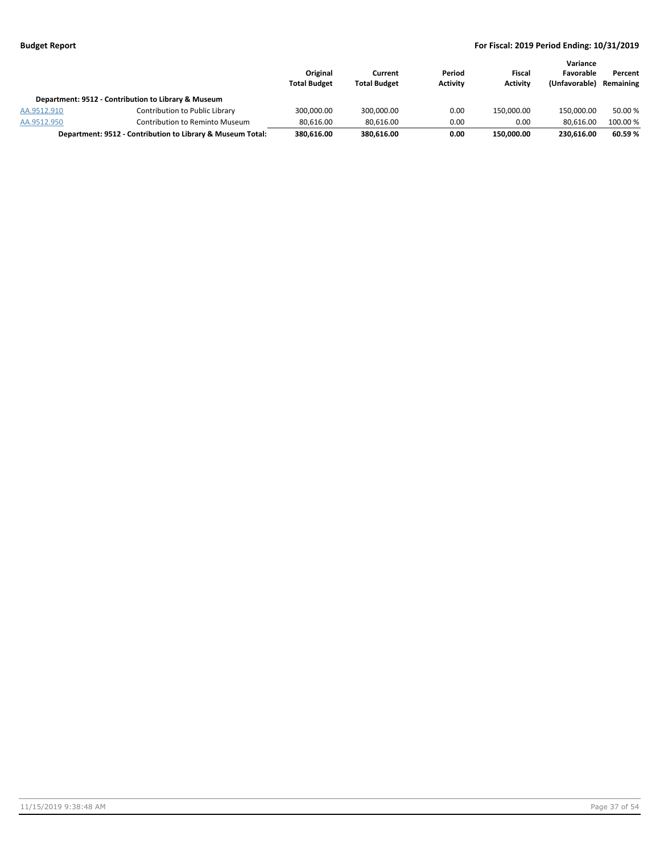|             |                                                            | Original<br><b>Total Budget</b> | Current<br><b>Total Budget</b> | Period<br><b>Activity</b> | Fiscal<br><b>Activity</b> | Variance<br>Favorable<br>(Unfavorable) | Percent<br>Remaining |
|-------------|------------------------------------------------------------|---------------------------------|--------------------------------|---------------------------|---------------------------|----------------------------------------|----------------------|
|             | Department: 9512 - Contribution to Library & Museum        |                                 |                                |                           |                           |                                        |                      |
| AA.9512.910 | Contribution to Public Library                             | 300.000.00                      | 300.000.00                     | 0.00                      | 150.000.00                | 150.000.00                             | 50.00 %              |
| AA.9512.950 | Contribution to Reminto Museum                             | 80.616.00                       | 80.616.00                      | 0.00                      | 0.00                      | 80.616.00                              | 100.00 %             |
|             | Department: 9512 - Contribution to Library & Museum Total: | 380.616.00                      | 380.616.00                     | 0.00                      | 150.000.00                | 230.616.00                             | 60.59%               |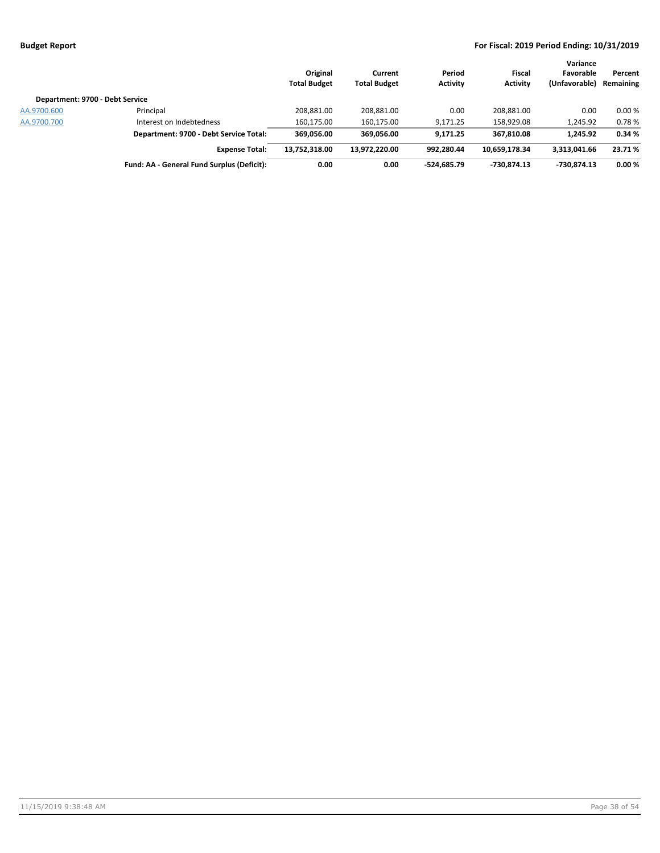|                                 |                                            | Original<br><b>Total Budget</b> | Current<br><b>Total Budget</b> | Period<br><b>Activity</b> | Fiscal<br><b>Activity</b> | Variance<br>Favorable<br>(Unfavorable) | Percent<br>Remaining |
|---------------------------------|--------------------------------------------|---------------------------------|--------------------------------|---------------------------|---------------------------|----------------------------------------|----------------------|
| Department: 9700 - Debt Service |                                            |                                 |                                |                           |                           |                                        |                      |
| AA.9700.600                     | Principal                                  | 208,881.00                      | 208,881.00                     | 0.00                      | 208.881.00                | 0.00                                   | 0.00%                |
| AA.9700.700                     | Interest on Indebtedness                   | 160,175.00                      | 160.175.00                     | 9,171.25                  | 158,929.08                | 1,245.92                               | 0.78%                |
|                                 | Department: 9700 - Debt Service Total:     | 369.056.00                      | 369.056.00                     | 9.171.25                  | 367.810.08                | 1.245.92                               | 0.34%                |
|                                 | <b>Expense Total:</b>                      | 13.752.318.00                   | 13.972.220.00                  | 992.280.44                | 10.659.178.34             | 3,313,041.66                           | 23.71%               |
|                                 | Fund: AA - General Fund Surplus (Deficit): | 0.00                            | 0.00                           | $-524.685.79$             | -730.874.13               | -730.874.13                            | 0.00%                |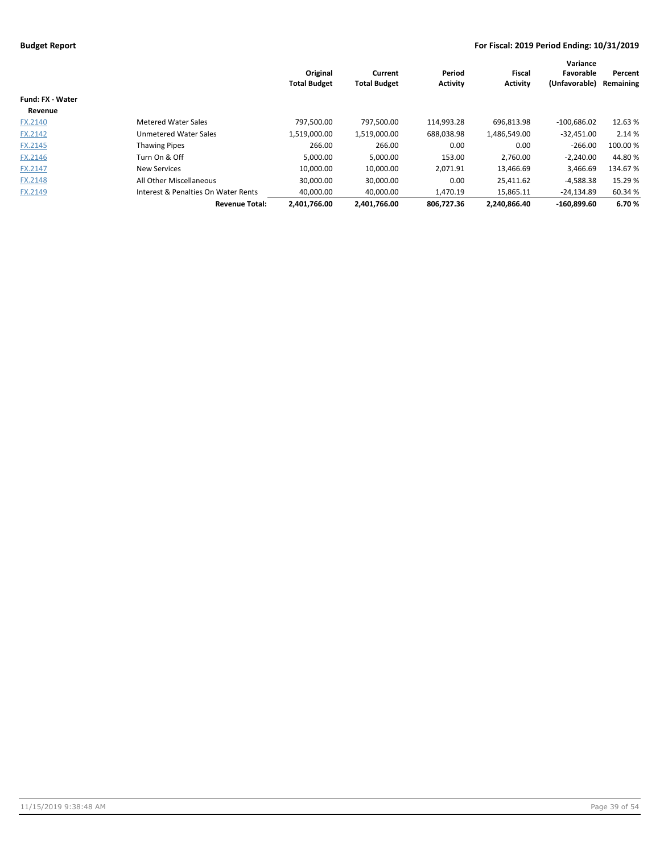|                         |                                     | Original<br><b>Total Budget</b> | Current<br><b>Total Budget</b> | Period<br><b>Activity</b> | Fiscal<br><b>Activity</b> | Variance<br>Favorable<br>(Unfavorable) | Percent<br>Remaining |
|-------------------------|-------------------------------------|---------------------------------|--------------------------------|---------------------------|---------------------------|----------------------------------------|----------------------|
| <b>Fund: FX - Water</b> |                                     |                                 |                                |                           |                           |                                        |                      |
| Revenue                 |                                     |                                 |                                |                           |                           |                                        |                      |
| FX.2140                 | <b>Metered Water Sales</b>          | 797,500.00                      | 797,500.00                     | 114,993.28                | 696,813.98                | $-100,686.02$                          | 12.63 %              |
| FX.2142                 | Unmetered Water Sales               | 1,519,000.00                    | 1,519,000.00                   | 688,038.98                | 1,486,549.00              | $-32,451.00$                           | 2.14 %               |
| <b>FX.2145</b>          | <b>Thawing Pipes</b>                | 266.00                          | 266.00                         | 0.00                      | 0.00                      | $-266.00$                              | 100.00 %             |
| FX.2146                 | Turn On & Off                       | 5,000.00                        | 5,000.00                       | 153.00                    | 2,760.00                  | $-2,240.00$                            | 44.80%               |
| FX.2147                 | <b>New Services</b>                 | 10.000.00                       | 10,000.00                      | 2,071.91                  | 13,466.69                 | 3,466.69                               | 134.67 %             |
| <b>FX.2148</b>          | All Other Miscellaneous             | 30,000.00                       | 30,000.00                      | 0.00                      | 25,411.62                 | $-4,588.38$                            | 15.29 %              |
| FX.2149                 | Interest & Penalties On Water Rents | 40,000.00                       | 40,000.00                      | 1,470.19                  | 15,865.11                 | $-24,134.89$                           | 60.34%               |
|                         | <b>Revenue Total:</b>               | 2.401.766.00                    | 2.401.766.00                   | 806.727.36                | 2.240.866.40              | $-160.899.60$                          | 6.70%                |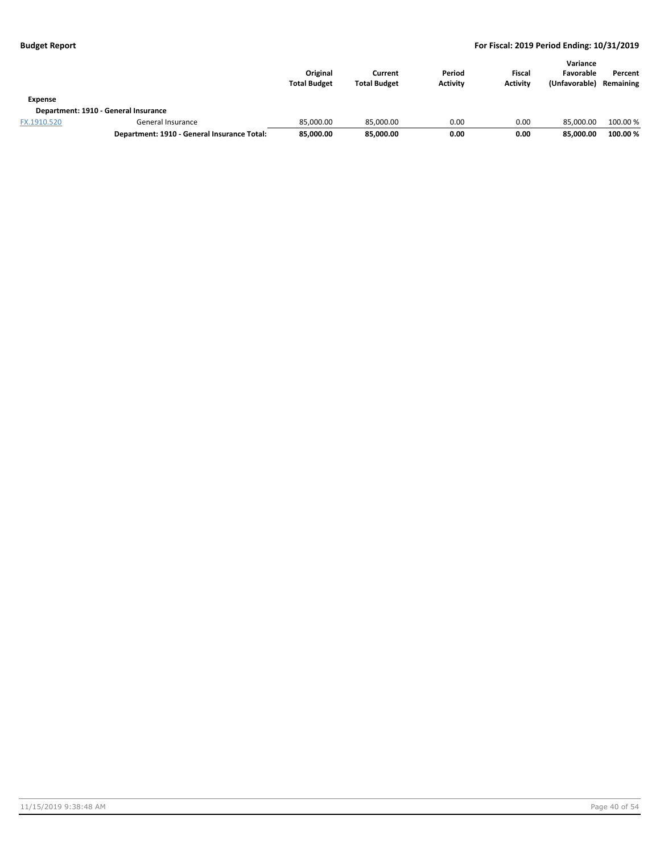| Expense     |                                             | Original<br><b>Total Budget</b> | Current<br><b>Total Budget</b> | Period<br><b>Activity</b> | <b>Fiscal</b><br><b>Activity</b> | Variance<br>Favorable<br>(Unfavorable) | Percent<br>Remaining |
|-------------|---------------------------------------------|---------------------------------|--------------------------------|---------------------------|----------------------------------|----------------------------------------|----------------------|
|             | Department: 1910 - General Insurance        |                                 |                                |                           |                                  |                                        |                      |
| FX.1910.520 | General Insurance                           | 85.000.00                       | 85.000.00                      | 0.00                      | 0.00                             | 85.000.00                              | 100.00 %             |
|             | Department: 1910 - General Insurance Total: | 85,000.00                       | 85,000.00                      | 0.00                      | 0.00                             | 85.000.00                              | 100.00 %             |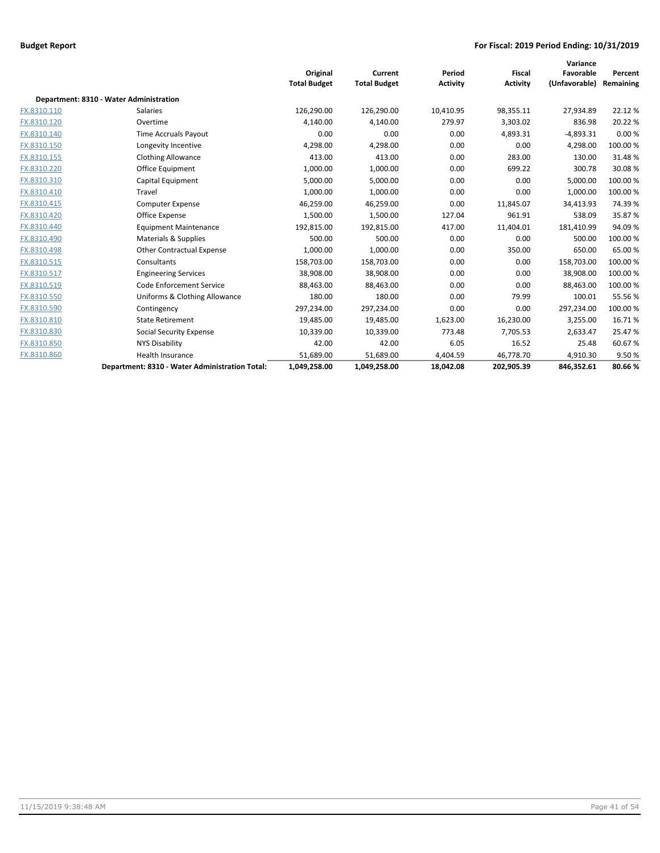|             |                                                | Original<br><b>Total Budget</b> | Current<br><b>Total Budget</b> | Period<br><b>Activity</b> | <b>Fiscal</b><br><b>Activity</b> | Variance<br>Favorable<br>(Unfavorable) | Percent<br>Remaining |
|-------------|------------------------------------------------|---------------------------------|--------------------------------|---------------------------|----------------------------------|----------------------------------------|----------------------|
|             | Department: 8310 - Water Administration        |                                 |                                |                           |                                  |                                        |                      |
| FX.8310.110 | <b>Salaries</b>                                | 126,290.00                      | 126,290.00                     | 10,410.95                 | 98,355.11                        | 27,934.89                              | 22.12%               |
| FX.8310.120 | Overtime                                       | 4,140.00                        | 4,140.00                       | 279.97                    | 3,303.02                         | 836.98                                 | 20.22%               |
| FX.8310.140 | Time Accruals Payout                           | 0.00                            | 0.00                           | 0.00                      | 4,893.31                         | $-4,893.31$                            | 0.00%                |
| FX.8310.150 | Longevity Incentive                            | 4,298.00                        | 4,298.00                       | 0.00                      | 0.00                             | 4,298.00                               | 100.00%              |
| FX.8310.155 | <b>Clothing Allowance</b>                      | 413.00                          | 413.00                         | 0.00                      | 283.00                           | 130.00                                 | 31.48%               |
| FX.8310.220 | Office Equipment                               | 1,000.00                        | 1,000.00                       | 0.00                      | 699.22                           | 300.78                                 | 30.08%               |
| FX.8310.310 | Capital Equipment                              | 5,000.00                        | 5,000.00                       | 0.00                      | 0.00                             | 5,000.00                               | 100.00%              |
| FX.8310.410 | Travel                                         | 1,000.00                        | 1,000.00                       | 0.00                      | 0.00                             | 1,000.00                               | 100.00 %             |
| FX.8310.415 | <b>Computer Expense</b>                        | 46,259.00                       | 46,259.00                      | 0.00                      | 11,845.07                        | 34,413.93                              | 74.39%               |
| FX.8310.420 | Office Expense                                 | 1,500.00                        | 1,500.00                       | 127.04                    | 961.91                           | 538.09                                 | 35.87%               |
| FX.8310.440 | <b>Equipment Maintenance</b>                   | 192,815.00                      | 192.815.00                     | 417.00                    | 11,404.01                        | 181.410.99                             | 94.09%               |
| FX.8310.490 | Materials & Supplies                           | 500.00                          | 500.00                         | 0.00                      | 0.00                             | 500.00                                 | 100.00%              |
| FX.8310.498 | <b>Other Contractual Expense</b>               | 1,000.00                        | 1,000.00                       | 0.00                      | 350.00                           | 650.00                                 | 65.00%               |
| FX.8310.515 | Consultants                                    | 158,703.00                      | 158,703.00                     | 0.00                      | 0.00                             | 158,703.00                             | 100.00 %             |
| FX.8310.517 | <b>Engineering Services</b>                    | 38,908.00                       | 38,908.00                      | 0.00                      | 0.00                             | 38,908.00                              | 100.00 %             |
| FX.8310.519 | <b>Code Enforcement Service</b>                | 88,463.00                       | 88,463.00                      | 0.00                      | 0.00                             | 88.463.00                              | 100.00 %             |
| FX.8310.550 | Uniforms & Clothing Allowance                  | 180.00                          | 180.00                         | 0.00                      | 79.99                            | 100.01                                 | 55.56%               |
| FX.8310.590 | Contingency                                    | 297,234.00                      | 297,234.00                     | 0.00                      | 0.00                             | 297,234.00                             | 100.00%              |
| FX.8310.810 | <b>State Retirement</b>                        | 19,485.00                       | 19,485.00                      | 1,623.00                  | 16,230.00                        | 3,255.00                               | 16.71%               |
| FX.8310.830 | <b>Social Security Expense</b>                 | 10,339.00                       | 10,339.00                      | 773.48                    | 7.705.53                         | 2.633.47                               | 25.47%               |
| FX.8310.850 | <b>NYS Disability</b>                          | 42.00                           | 42.00                          | 6.05                      | 16.52                            | 25.48                                  | 60.67%               |
| FX.8310.860 | <b>Health Insurance</b>                        | 51,689.00                       | 51,689.00                      | 4,404.59                  | 46,778.70                        | 4,910.30                               | 9.50%                |
|             | Department: 8310 - Water Administration Total: | 1,049,258.00                    | 1,049,258.00                   | 18,042.08                 | 202,905.39                       | 846,352.61                             | 80.66%               |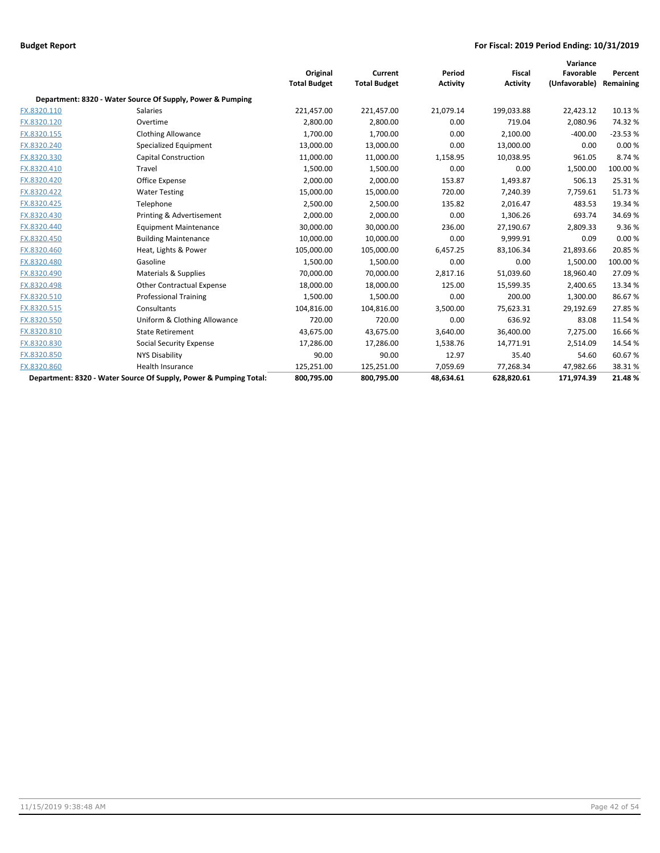|             |                                                                   |                     |                     |                 |                 | Variance      |           |
|-------------|-------------------------------------------------------------------|---------------------|---------------------|-----------------|-----------------|---------------|-----------|
|             |                                                                   | Original            | Current             | Period          | <b>Fiscal</b>   | Favorable     | Percent   |
|             |                                                                   | <b>Total Budget</b> | <b>Total Budget</b> | <b>Activity</b> | <b>Activity</b> | (Unfavorable) | Remaining |
|             | Department: 8320 - Water Source Of Supply, Power & Pumping        |                     |                     |                 |                 |               |           |
| FX.8320.110 | Salaries                                                          | 221,457.00          | 221,457.00          | 21,079.14       | 199,033.88      | 22,423.12     | 10.13 %   |
| FX.8320.120 | Overtime                                                          | 2,800.00            | 2,800.00            | 0.00            | 719.04          | 2,080.96      | 74.32%    |
| FX.8320.155 | <b>Clothing Allowance</b>                                         | 1,700.00            | 1,700.00            | 0.00            | 2,100.00        | $-400.00$     | $-23.53%$ |
| FX.8320.240 | Specialized Equipment                                             | 13,000.00           | 13,000.00           | 0.00            | 13,000.00       | 0.00          | 0.00%     |
| FX.8320.330 | <b>Capital Construction</b>                                       | 11,000.00           | 11,000.00           | 1,158.95        | 10,038.95       | 961.05        | 8.74%     |
| FX.8320.410 | Travel                                                            | 1,500.00            | 1,500.00            | 0.00            | 0.00            | 1,500.00      | 100.00%   |
| FX.8320.420 | Office Expense                                                    | 2,000.00            | 2,000.00            | 153.87          | 1,493.87        | 506.13        | 25.31%    |
| FX.8320.422 | <b>Water Testing</b>                                              | 15,000.00           | 15,000.00           | 720.00          | 7,240.39        | 7,759.61      | 51.73%    |
| FX.8320.425 | Telephone                                                         | 2,500.00            | 2,500.00            | 135.82          | 2,016.47        | 483.53        | 19.34 %   |
| FX.8320.430 | Printing & Advertisement                                          | 2,000.00            | 2,000.00            | 0.00            | 1,306.26        | 693.74        | 34.69%    |
| FX.8320.440 | <b>Equipment Maintenance</b>                                      | 30,000.00           | 30,000.00           | 236.00          | 27,190.67       | 2,809.33      | 9.36%     |
| FX.8320.450 | <b>Building Maintenance</b>                                       | 10,000.00           | 10,000.00           | 0.00            | 9,999.91        | 0.09          | 0.00%     |
| FX.8320.460 | Heat, Lights & Power                                              | 105,000.00          | 105,000.00          | 6,457.25        | 83,106.34       | 21,893.66     | 20.85%    |
| FX.8320.480 | Gasoline                                                          | 1,500.00            | 1,500.00            | 0.00            | 0.00            | 1,500.00      | 100.00 %  |
| FX.8320.490 | Materials & Supplies                                              | 70,000.00           | 70,000.00           | 2,817.16        | 51,039.60       | 18,960.40     | 27.09%    |
| FX.8320.498 | <b>Other Contractual Expense</b>                                  | 18,000.00           | 18,000.00           | 125.00          | 15,599.35       | 2,400.65      | 13.34 %   |
| FX.8320.510 | <b>Professional Training</b>                                      | 1,500.00            | 1,500.00            | 0.00            | 200.00          | 1,300.00      | 86.67%    |
| FX.8320.515 | Consultants                                                       | 104,816.00          | 104,816.00          | 3,500.00        | 75,623.31       | 29,192.69     | 27.85%    |
| FX.8320.550 | Uniform & Clothing Allowance                                      | 720.00              | 720.00              | 0.00            | 636.92          | 83.08         | 11.54 %   |
| FX.8320.810 | <b>State Retirement</b>                                           | 43,675.00           | 43,675.00           | 3,640.00        | 36,400.00       | 7,275.00      | 16.66%    |
| FX.8320.830 | <b>Social Security Expense</b>                                    | 17,286.00           | 17,286.00           | 1,538.76        | 14,771.91       | 2,514.09      | 14.54 %   |
| FX.8320.850 | <b>NYS Disability</b>                                             | 90.00               | 90.00               | 12.97           | 35.40           | 54.60         | 60.67%    |
| FX.8320.860 | <b>Health Insurance</b>                                           | 125,251.00          | 125,251.00          | 7,059.69        | 77,268.34       | 47,982.66     | 38.31%    |
|             | Department: 8320 - Water Source Of Supply, Power & Pumping Total: | 800,795.00          | 800,795.00          | 48.634.61       | 628.820.61      | 171.974.39    | 21.48%    |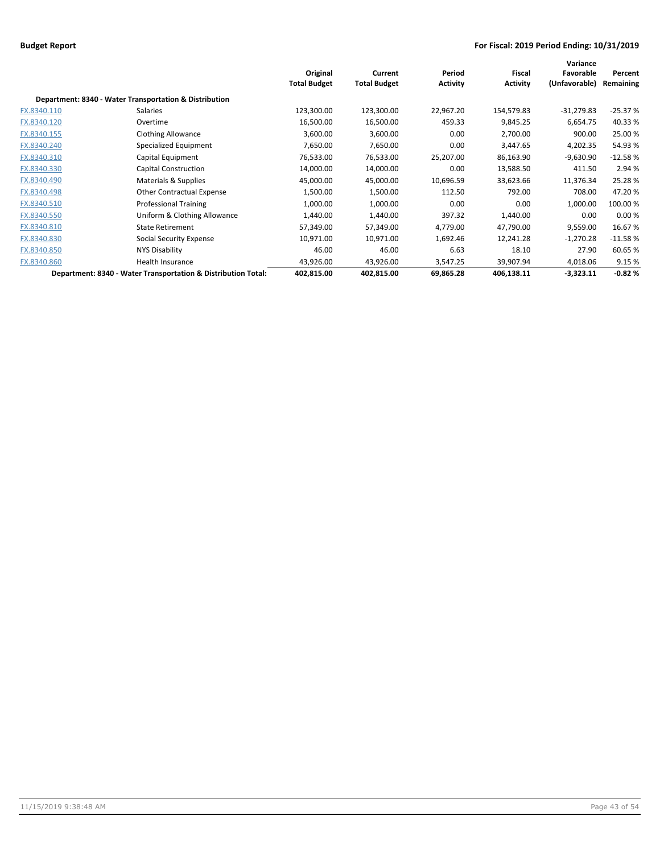|             |                                                               | Original<br><b>Total Budget</b> | Current<br><b>Total Budget</b> | Period<br><b>Activity</b> | Fiscal<br><b>Activity</b> | Variance<br>Favorable<br>(Unfavorable) | Percent<br>Remaining |
|-------------|---------------------------------------------------------------|---------------------------------|--------------------------------|---------------------------|---------------------------|----------------------------------------|----------------------|
|             | Department: 8340 - Water Transportation & Distribution        |                                 |                                |                           |                           |                                        |                      |
| FX.8340.110 | Salaries                                                      | 123,300.00                      | 123,300.00                     | 22,967.20                 | 154,579.83                | $-31,279.83$                           | $-25.37%$            |
| FX.8340.120 | Overtime                                                      | 16,500.00                       | 16,500.00                      | 459.33                    | 9,845.25                  | 6,654.75                               | 40.33%               |
| FX.8340.155 | <b>Clothing Allowance</b>                                     | 3,600.00                        | 3,600.00                       | 0.00                      | 2,700.00                  | 900.00                                 | 25.00 %              |
| FX.8340.240 | Specialized Equipment                                         | 7,650.00                        | 7,650.00                       | 0.00                      | 3,447.65                  | 4,202.35                               | 54.93%               |
| FX.8340.310 | Capital Equipment                                             | 76,533.00                       | 76,533.00                      | 25,207.00                 | 86,163.90                 | $-9,630.90$                            | $-12.58%$            |
| FX.8340.330 | Capital Construction                                          | 14,000.00                       | 14,000.00                      | 0.00                      | 13,588.50                 | 411.50                                 | 2.94 %               |
| FX.8340.490 | Materials & Supplies                                          | 45,000.00                       | 45,000.00                      | 10,696.59                 | 33,623.66                 | 11,376.34                              | 25.28%               |
| FX.8340.498 | <b>Other Contractual Expense</b>                              | 1,500.00                        | 1,500.00                       | 112.50                    | 792.00                    | 708.00                                 | 47.20%               |
| FX.8340.510 | <b>Professional Training</b>                                  | 1,000.00                        | 1,000.00                       | 0.00                      | 0.00                      | 1,000.00                               | 100.00%              |
| FX.8340.550 | Uniform & Clothing Allowance                                  | 1,440.00                        | 1,440.00                       | 397.32                    | 1,440.00                  | 0.00                                   | 0.00%                |
| FX.8340.810 | <b>State Retirement</b>                                       | 57,349.00                       | 57,349.00                      | 4,779.00                  | 47,790.00                 | 9,559.00                               | 16.67%               |
| FX.8340.830 | Social Security Expense                                       | 10,971.00                       | 10,971.00                      | 1,692.46                  | 12,241.28                 | $-1,270.28$                            | $-11.58%$            |
| FX.8340.850 | NYS Disability                                                | 46.00                           | 46.00                          | 6.63                      | 18.10                     | 27.90                                  | 60.65%               |
| FX.8340.860 | Health Insurance                                              | 43,926.00                       | 43,926.00                      | 3,547.25                  | 39,907.94                 | 4,018.06                               | 9.15 %               |
|             | Department: 8340 - Water Transportation & Distribution Total: | 402,815.00                      | 402,815.00                     | 69,865.28                 | 406,138.11                | $-3,323.11$                            | $-0.82%$             |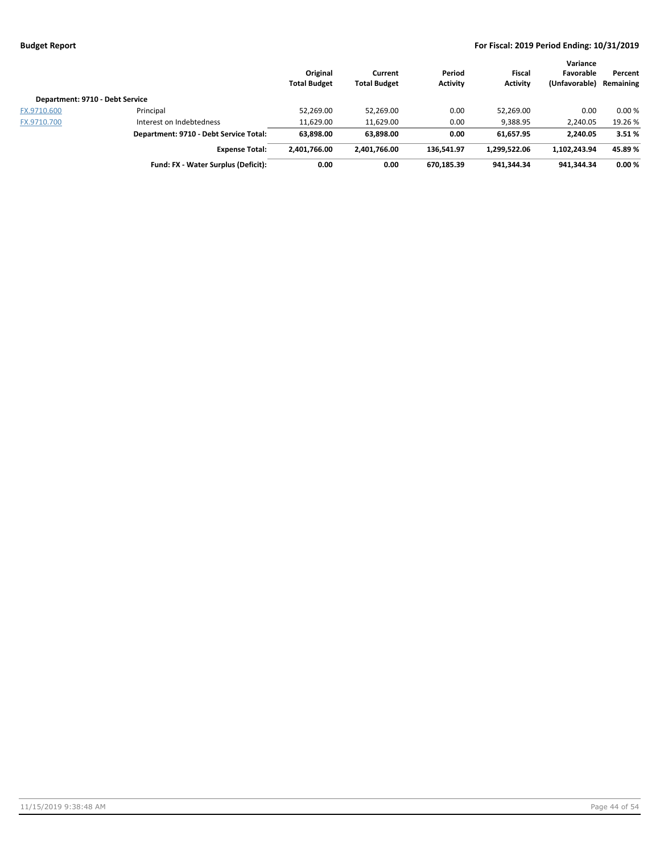|                                 |                                        | Original<br><b>Total Budget</b> | Current<br><b>Total Budget</b> | Period<br><b>Activity</b> | Fiscal<br><b>Activity</b> | Variance<br>Favorable<br>(Unfavorable) | Percent<br>Remaining |
|---------------------------------|----------------------------------------|---------------------------------|--------------------------------|---------------------------|---------------------------|----------------------------------------|----------------------|
| Department: 9710 - Debt Service |                                        |                                 |                                |                           |                           |                                        |                      |
| FX.9710.600                     | Principal                              | 52,269.00                       | 52,269.00                      | 0.00                      | 52,269.00                 | 0.00                                   | 0.00%                |
| FX.9710.700                     | Interest on Indebtedness               | 11,629.00                       | 11,629.00                      | 0.00                      | 9,388.95                  | 2,240.05                               | 19.26 %              |
|                                 | Department: 9710 - Debt Service Total: | 63.898.00                       | 63,898.00                      | 0.00                      | 61.657.95                 | 2.240.05                               | 3.51%                |
|                                 | <b>Expense Total:</b>                  | 2.401.766.00                    | 2.401.766.00                   | 136.541.97                | 1.299.522.06              | 1.102.243.94                           | 45.89%               |
|                                 | Fund: FX - Water Surplus (Deficit):    | 0.00                            | 0.00                           | 670,185.39                | 941,344.34                | 941.344.34                             | 0.00%                |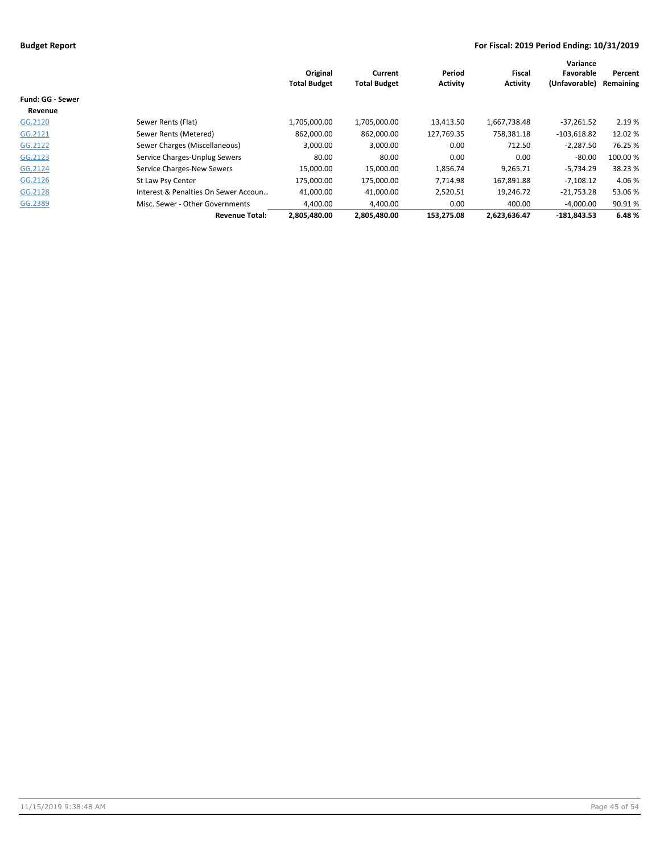|                         |                                      |                     |                     |                 |                 | Variance      |           |
|-------------------------|--------------------------------------|---------------------|---------------------|-----------------|-----------------|---------------|-----------|
|                         |                                      | Original            | Current             | Period          | <b>Fiscal</b>   | Favorable     | Percent   |
|                         |                                      | <b>Total Budget</b> | <b>Total Budget</b> | <b>Activity</b> | <b>Activity</b> | (Unfavorable) | Remaining |
| <b>Fund: GG - Sewer</b> |                                      |                     |                     |                 |                 |               |           |
| Revenue                 |                                      |                     |                     |                 |                 |               |           |
| GG.2120                 | Sewer Rents (Flat)                   | 1,705,000.00        | 1,705,000.00        | 13,413.50       | 1,667,738.48    | $-37,261.52$  | 2.19 %    |
| GG.2121                 | Sewer Rents (Metered)                | 862,000.00          | 862,000.00          | 127,769.35      | 758,381.18      | $-103,618.82$ | 12.02%    |
| GG.2122                 | Sewer Charges (Miscellaneous)        | 3,000.00            | 3,000.00            | 0.00            | 712.50          | $-2,287.50$   | 76.25 %   |
| GG.2123                 | Service Charges-Unplug Sewers        | 80.00               | 80.00               | 0.00            | 0.00            | $-80.00$      | 100.00 %  |
| GG.2124                 | Service Charges-New Sewers           | 15,000.00           | 15,000.00           | 1,856.74        | 9,265.71        | $-5,734.29$   | 38.23 %   |
| GG.2126                 | St Law Psy Center                    | 175.000.00          | 175.000.00          | 7.714.98        | 167,891.88      | $-7,108.12$   | 4.06 %    |
| GG.2128                 | Interest & Penalties On Sewer Accoun | 41,000.00           | 41,000.00           | 2,520.51        | 19,246.72       | $-21,753.28$  | 53.06 %   |
| GG.2389                 | Misc. Sewer - Other Governments      | 4,400.00            | 4,400.00            | 0.00            | 400.00          | $-4.000.00$   | 90.91%    |
|                         | <b>Revenue Total:</b>                | 2,805,480.00        | 2,805,480.00        | 153.275.08      | 2,623,636.47    | $-181.843.53$ | 6.48%     |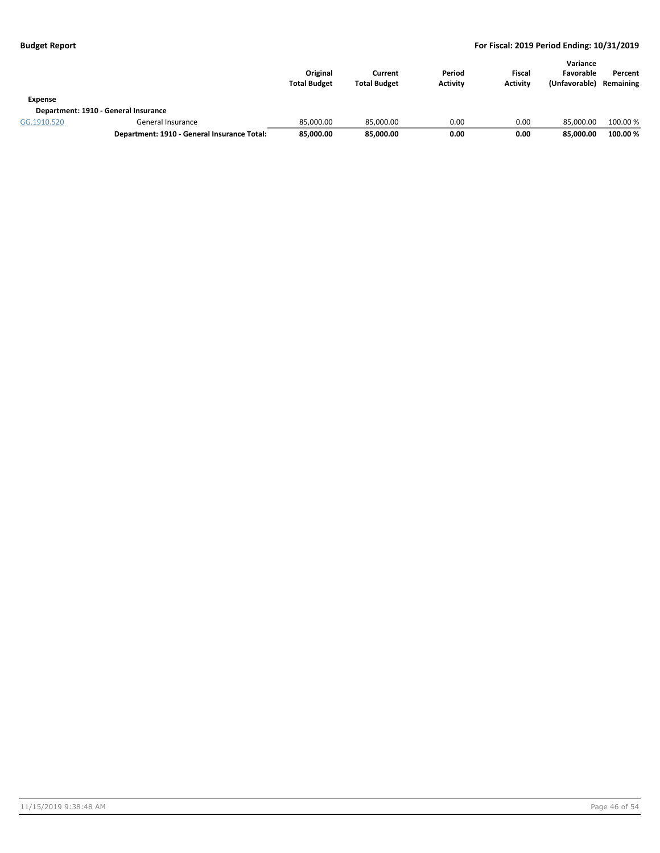| Expense     |                                             | Original<br><b>Total Budget</b> | Current<br><b>Total Budget</b> | Period<br><b>Activity</b> | <b>Fiscal</b><br><b>Activity</b> | Variance<br>Favorable<br>(Unfavorable) | Percent<br>Remaining |
|-------------|---------------------------------------------|---------------------------------|--------------------------------|---------------------------|----------------------------------|----------------------------------------|----------------------|
|             | Department: 1910 - General Insurance        |                                 |                                |                           |                                  |                                        |                      |
| GG.1910.520 | General Insurance                           | 85.000.00                       | 85.000.00                      | 0.00                      | 0.00                             | 85.000.00                              | 100.00 %             |
|             | Department: 1910 - General Insurance Total: | 85,000.00                       | 85,000.00                      | 0.00                      | 0.00                             | 85.000.00                              | 100.00 %             |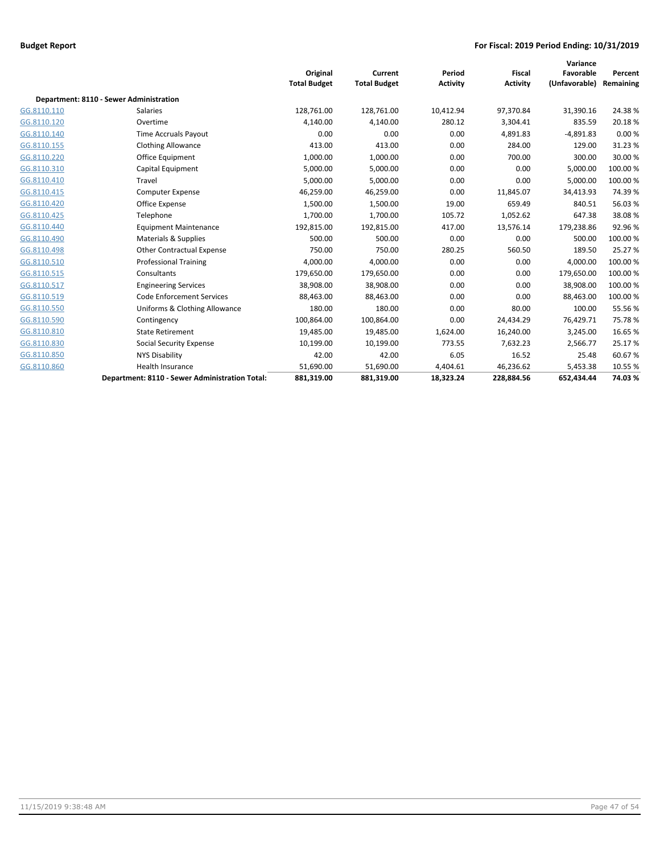|             |                                                | Original<br><b>Total Budget</b> | Current<br><b>Total Budget</b> | Period<br><b>Activity</b> | <b>Fiscal</b><br><b>Activity</b> | Variance<br>Favorable<br>(Unfavorable) | Percent<br>Remaining |
|-------------|------------------------------------------------|---------------------------------|--------------------------------|---------------------------|----------------------------------|----------------------------------------|----------------------|
|             | Department: 8110 - Sewer Administration        |                                 |                                |                           |                                  |                                        |                      |
| GG.8110.110 | <b>Salaries</b>                                | 128,761.00                      | 128,761.00                     | 10,412.94                 | 97,370.84                        | 31,390.16                              | 24.38%               |
| GG.8110.120 | Overtime                                       | 4,140.00                        | 4,140.00                       | 280.12                    | 3,304.41                         | 835.59                                 | 20.18%               |
| GG.8110.140 | Time Accruals Payout                           | 0.00                            | 0.00                           | 0.00                      | 4,891.83                         | $-4,891.83$                            | 0.00%                |
| GG.8110.155 | <b>Clothing Allowance</b>                      | 413.00                          | 413.00                         | 0.00                      | 284.00                           | 129.00                                 | 31.23%               |
| GG.8110.220 | Office Equipment                               | 1,000.00                        | 1,000.00                       | 0.00                      | 700.00                           | 300.00                                 | 30.00 %              |
| GG.8110.310 | Capital Equipment                              | 5,000.00                        | 5,000.00                       | 0.00                      | 0.00                             | 5,000.00                               | 100.00%              |
| GG.8110.410 | Travel                                         | 5,000.00                        | 5,000.00                       | 0.00                      | 0.00                             | 5,000.00                               | 100.00 %             |
| GG.8110.415 | <b>Computer Expense</b>                        | 46,259.00                       | 46,259.00                      | 0.00                      | 11,845.07                        | 34,413.93                              | 74.39%               |
| GG.8110.420 | Office Expense                                 | 1,500.00                        | 1,500.00                       | 19.00                     | 659.49                           | 840.51                                 | 56.03%               |
| GG.8110.425 | Telephone                                      | 1,700.00                        | 1,700.00                       | 105.72                    | 1,052.62                         | 647.38                                 | 38.08%               |
| GG.8110.440 | <b>Equipment Maintenance</b>                   | 192,815.00                      | 192,815.00                     | 417.00                    | 13,576.14                        | 179,238.86                             | 92.96%               |
| GG.8110.490 | Materials & Supplies                           | 500.00                          | 500.00                         | 0.00                      | 0.00                             | 500.00                                 | 100.00%              |
| GG.8110.498 | <b>Other Contractual Expense</b>               | 750.00                          | 750.00                         | 280.25                    | 560.50                           | 189.50                                 | 25.27 %              |
| GG.8110.510 | <b>Professional Training</b>                   | 4,000.00                        | 4,000.00                       | 0.00                      | 0.00                             | 4,000.00                               | 100.00 %             |
| GG.8110.515 | Consultants                                    | 179,650.00                      | 179,650.00                     | 0.00                      | 0.00                             | 179,650.00                             | 100.00 %             |
| GG.8110.517 | <b>Engineering Services</b>                    | 38,908.00                       | 38,908.00                      | 0.00                      | 0.00                             | 38,908.00                              | 100.00 %             |
| GG.8110.519 | <b>Code Enforcement Services</b>               | 88,463.00                       | 88,463.00                      | 0.00                      | 0.00                             | 88,463.00                              | 100.00 %             |
| GG.8110.550 | Uniforms & Clothing Allowance                  | 180.00                          | 180.00                         | 0.00                      | 80.00                            | 100.00                                 | 55.56%               |
| GG.8110.590 | Contingency                                    | 100,864.00                      | 100,864.00                     | 0.00                      | 24,434.29                        | 76,429.71                              | 75.78%               |
| GG.8110.810 | <b>State Retirement</b>                        | 19,485.00                       | 19,485.00                      | 1,624.00                  | 16,240.00                        | 3,245.00                               | 16.65%               |
| GG.8110.830 | <b>Social Security Expense</b>                 | 10,199.00                       | 10,199.00                      | 773.55                    | 7,632.23                         | 2,566.77                               | 25.17%               |
| GG.8110.850 | <b>NYS Disability</b>                          | 42.00                           | 42.00                          | 6.05                      | 16.52                            | 25.48                                  | 60.67%               |
| GG.8110.860 | <b>Health Insurance</b>                        | 51,690.00                       | 51,690.00                      | 4,404.61                  | 46,236.62                        | 5,453.38                               | 10.55 %              |
|             | Department: 8110 - Sewer Administration Total: | 881,319.00                      | 881,319.00                     | 18,323.24                 | 228,884.56                       | 652,434.44                             | 74.03%               |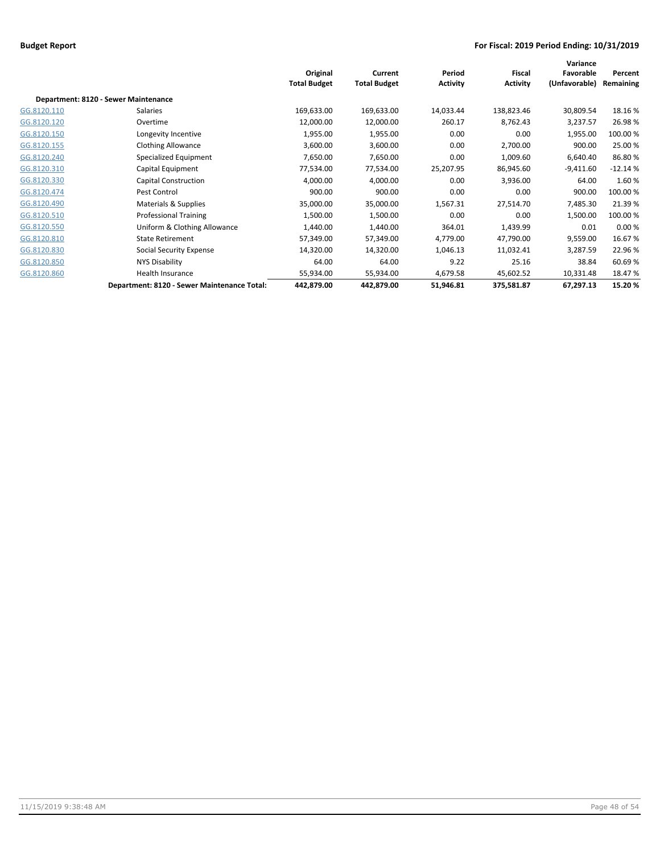|             |                                             | Original<br><b>Total Budget</b> | Current<br><b>Total Budget</b> | Period<br><b>Activity</b> | Fiscal<br><b>Activity</b> | Variance<br>Favorable<br>(Unfavorable) | Percent<br>Remaining |
|-------------|---------------------------------------------|---------------------------------|--------------------------------|---------------------------|---------------------------|----------------------------------------|----------------------|
|             | Department: 8120 - Sewer Maintenance        |                                 |                                |                           |                           |                                        |                      |
| GG.8120.110 | Salaries                                    | 169,633.00                      | 169,633.00                     | 14,033.44                 | 138,823.46                | 30,809.54                              | 18.16%               |
| GG.8120.120 | Overtime                                    | 12,000.00                       | 12,000.00                      | 260.17                    | 8,762.43                  | 3,237.57                               | 26.98%               |
| GG.8120.150 | Longevity Incentive                         | 1,955.00                        | 1,955.00                       | 0.00                      | 0.00                      | 1,955.00                               | 100.00%              |
| GG.8120.155 | <b>Clothing Allowance</b>                   | 3,600.00                        | 3,600.00                       | 0.00                      | 2,700.00                  | 900.00                                 | 25.00 %              |
| GG.8120.240 | Specialized Equipment                       | 7,650.00                        | 7,650.00                       | 0.00                      | 1,009.60                  | 6,640.40                               | 86.80%               |
| GG.8120.310 | Capital Equipment                           | 77,534.00                       | 77,534.00                      | 25,207.95                 | 86,945.60                 | $-9,411.60$                            | $-12.14%$            |
| GG.8120.330 | Capital Construction                        | 4,000.00                        | 4,000.00                       | 0.00                      | 3,936.00                  | 64.00                                  | 1.60%                |
| GG.8120.474 | Pest Control                                | 900.00                          | 900.00                         | 0.00                      | 0.00                      | 900.00                                 | 100.00%              |
| GG.8120.490 | Materials & Supplies                        | 35,000.00                       | 35,000.00                      | 1,567.31                  | 27,514.70                 | 7,485.30                               | 21.39%               |
| GG.8120.510 | <b>Professional Training</b>                | 1,500.00                        | 1,500.00                       | 0.00                      | 0.00                      | 1,500.00                               | 100.00%              |
| GG.8120.550 | Uniform & Clothing Allowance                | 1,440.00                        | 1,440.00                       | 364.01                    | 1,439.99                  | 0.01                                   | 0.00%                |
| GG.8120.810 | <b>State Retirement</b>                     | 57,349.00                       | 57,349.00                      | 4,779.00                  | 47,790.00                 | 9,559.00                               | 16.67%               |
| GG.8120.830 | Social Security Expense                     | 14,320.00                       | 14,320.00                      | 1,046.13                  | 11,032.41                 | 3,287.59                               | 22.96 %              |
| GG.8120.850 | NYS Disability                              | 64.00                           | 64.00                          | 9.22                      | 25.16                     | 38.84                                  | 60.69%               |
| GG.8120.860 | Health Insurance                            | 55,934.00                       | 55,934.00                      | 4,679.58                  | 45,602.52                 | 10,331.48                              | 18.47%               |
|             | Department: 8120 - Sewer Maintenance Total: | 442,879.00                      | 442,879.00                     | 51,946.81                 | 375,581.87                | 67,297.13                              | 15.20%               |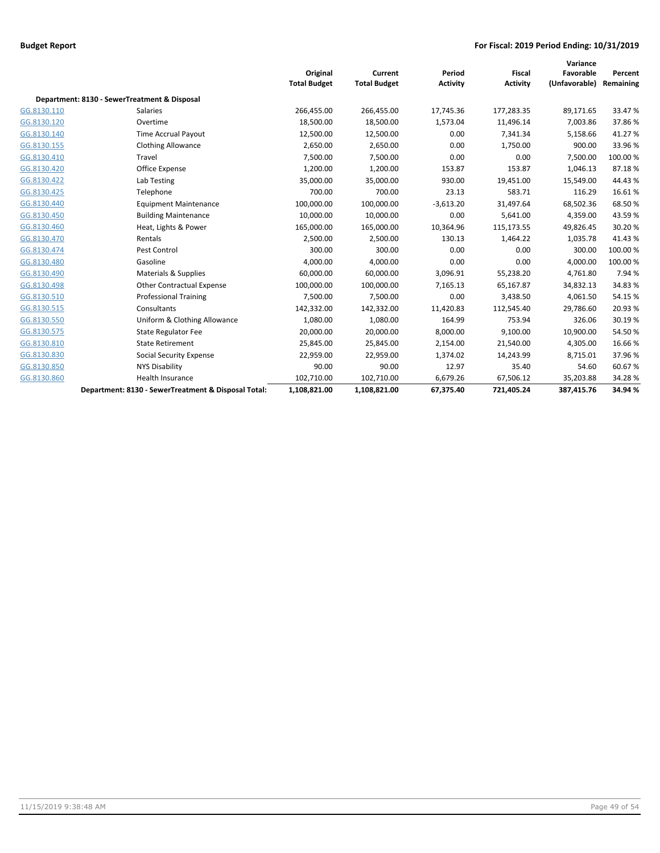|             |                                                     |                     |                     |                 |                 | Variance      |           |
|-------------|-----------------------------------------------------|---------------------|---------------------|-----------------|-----------------|---------------|-----------|
|             |                                                     | Original            | Current             | Period          | Fiscal          | Favorable     | Percent   |
|             |                                                     | <b>Total Budget</b> | <b>Total Budget</b> | <b>Activity</b> | <b>Activity</b> | (Unfavorable) | Remaining |
|             | Department: 8130 - SewerTreatment & Disposal        |                     |                     |                 |                 |               |           |
| GG.8130.110 | <b>Salaries</b>                                     | 266,455.00          | 266,455.00          | 17,745.36       | 177,283.35      | 89,171.65     | 33.47%    |
| GG.8130.120 | Overtime                                            | 18,500.00           | 18,500.00           | 1,573.04        | 11,496.14       | 7,003.86      | 37.86%    |
| GG.8130.140 | <b>Time Accrual Payout</b>                          | 12,500.00           | 12,500.00           | 0.00            | 7,341.34        | 5,158.66      | 41.27%    |
| GG.8130.155 | <b>Clothing Allowance</b>                           | 2,650.00            | 2,650.00            | 0.00            | 1,750.00        | 900.00        | 33.96%    |
| GG.8130.410 | Travel                                              | 7,500.00            | 7,500.00            | 0.00            | 0.00            | 7,500.00      | 100.00 %  |
| GG.8130.420 | Office Expense                                      | 1,200.00            | 1,200.00            | 153.87          | 153.87          | 1,046.13      | 87.18%    |
| GG.8130.422 | Lab Testing                                         | 35,000.00           | 35,000.00           | 930.00          | 19,451.00       | 15,549.00     | 44.43%    |
| GG.8130.425 | Telephone                                           | 700.00              | 700.00              | 23.13           | 583.71          | 116.29        | 16.61%    |
| GG.8130.440 | <b>Equipment Maintenance</b>                        | 100,000.00          | 100,000.00          | $-3,613.20$     | 31,497.64       | 68,502.36     | 68.50%    |
| GG.8130.450 | <b>Building Maintenance</b>                         | 10,000.00           | 10,000.00           | 0.00            | 5,641.00        | 4,359.00      | 43.59%    |
| GG.8130.460 | Heat, Lights & Power                                | 165,000.00          | 165,000.00          | 10,364.96       | 115,173.55      | 49,826.45     | 30.20%    |
| GG.8130.470 | Rentals                                             | 2,500.00            | 2,500.00            | 130.13          | 1,464.22        | 1,035.78      | 41.43%    |
| GG.8130.474 | Pest Control                                        | 300.00              | 300.00              | 0.00            | 0.00            | 300.00        | 100.00%   |
| GG.8130.480 | Gasoline                                            | 4,000.00            | 4,000.00            | 0.00            | 0.00            | 4,000.00      | 100.00%   |
| GG.8130.490 | Materials & Supplies                                | 60,000.00           | 60,000.00           | 3,096.91        | 55,238.20       | 4,761.80      | 7.94%     |
| GG.8130.498 | <b>Other Contractual Expense</b>                    | 100,000.00          | 100,000.00          | 7,165.13        | 65,167.87       | 34,832.13     | 34.83%    |
| GG.8130.510 | <b>Professional Training</b>                        | 7,500.00            | 7,500.00            | 0.00            | 3,438.50        | 4,061.50      | 54.15%    |
| GG.8130.515 | Consultants                                         | 142,332.00          | 142,332.00          | 11,420.83       | 112,545.40      | 29,786.60     | 20.93%    |
| GG.8130.550 | Uniform & Clothing Allowance                        | 1,080.00            | 1,080.00            | 164.99          | 753.94          | 326.06        | 30.19%    |
| GG.8130.575 | <b>State Regulator Fee</b>                          | 20,000.00           | 20,000.00           | 8,000.00        | 9,100.00        | 10,900.00     | 54.50%    |
| GG.8130.810 | <b>State Retirement</b>                             | 25,845.00           | 25,845.00           | 2,154.00        | 21,540.00       | 4,305.00      | 16.66%    |
| GG.8130.830 | <b>Social Security Expense</b>                      | 22,959.00           | 22,959.00           | 1,374.02        | 14,243.99       | 8,715.01      | 37.96%    |
| GG.8130.850 | <b>NYS Disability</b>                               | 90.00               | 90.00               | 12.97           | 35.40           | 54.60         | 60.67%    |
| GG.8130.860 | <b>Health Insurance</b>                             | 102,710.00          | 102,710.00          | 6,679.26        | 67,506.12       | 35,203.88     | 34.28%    |
|             | Department: 8130 - SewerTreatment & Disposal Total: | 1,108,821.00        | 1,108,821.00        | 67,375.40       | 721,405.24      | 387,415.76    | 34.94 %   |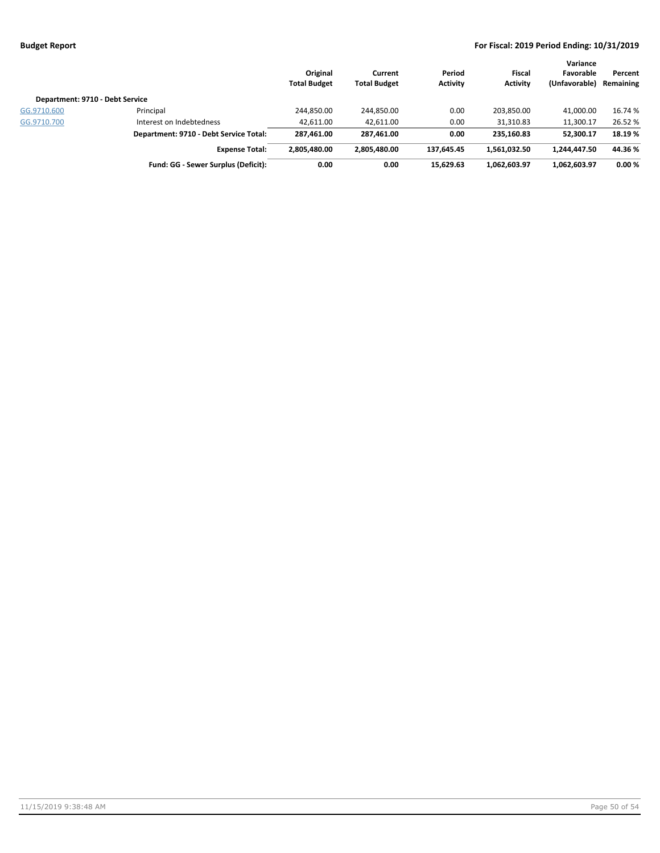|                                 |                                        | Original<br><b>Total Budget</b> | Current<br><b>Total Budget</b> | Period<br><b>Activity</b> | Fiscal<br><b>Activity</b> | Variance<br>Favorable<br>(Unfavorable) | Percent<br>Remaining |
|---------------------------------|----------------------------------------|---------------------------------|--------------------------------|---------------------------|---------------------------|----------------------------------------|----------------------|
| Department: 9710 - Debt Service |                                        |                                 |                                |                           |                           |                                        |                      |
| GG.9710.600                     | Principal                              | 244,850.00                      | 244,850.00                     | 0.00                      | 203,850.00                | 41.000.00                              | 16.74 %              |
| GG.9710.700                     | Interest on Indebtedness               | 42.611.00                       | 42.611.00                      | 0.00                      | 31,310.83                 | 11,300.17                              | 26.52 %              |
|                                 | Department: 9710 - Debt Service Total: | 287,461.00                      | 287,461.00                     | 0.00                      | 235.160.83                | 52,300.17                              | 18.19%               |
|                                 | <b>Expense Total:</b>                  | 2,805,480.00                    | 2,805,480.00                   | 137.645.45                | 1,561,032.50              | 1,244,447.50                           | 44.36%               |
|                                 | Fund: GG - Sewer Surplus (Deficit):    | 0.00                            | 0.00                           | 15.629.63                 | 1.062.603.97              | 1,062,603.97                           | 0.00%                |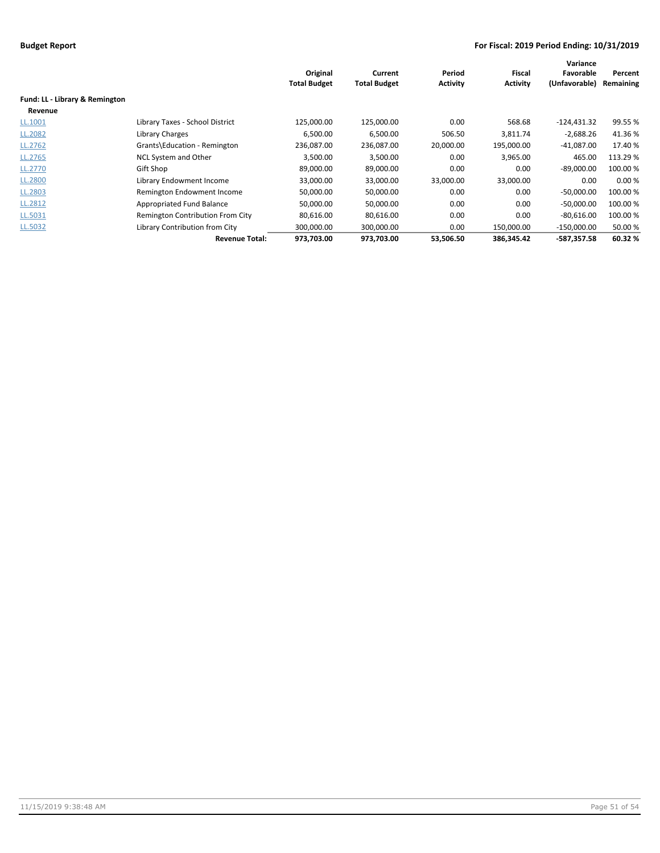|                                |                                  |                     |                     |                 |                 | Variance      |           |
|--------------------------------|----------------------------------|---------------------|---------------------|-----------------|-----------------|---------------|-----------|
|                                |                                  | Original            | Current             | Period          | <b>Fiscal</b>   | Favorable     | Percent   |
|                                |                                  | <b>Total Budget</b> | <b>Total Budget</b> | <b>Activity</b> | <b>Activity</b> | (Unfavorable) | Remaining |
| Fund: LL - Library & Remington |                                  |                     |                     |                 |                 |               |           |
| Revenue                        |                                  |                     |                     |                 |                 |               |           |
| LL.1001                        | Library Taxes - School District  | 125,000.00          | 125,000.00          | 0.00            | 568.68          | $-124,431.32$ | 99.55%    |
| LL.2082                        | Library Charges                  | 6,500.00            | 6,500.00            | 506.50          | 3,811.74        | $-2,688.26$   | 41.36%    |
| LL.2762                        | Grants\Education - Remington     | 236,087.00          | 236,087.00          | 20,000.00       | 195,000.00      | $-41,087.00$  | 17.40 %   |
| LL.2765                        | NCL System and Other             | 3,500.00            | 3,500.00            | 0.00            | 3,965.00        | 465.00        | 113.29 %  |
| LL.2770                        | Gift Shop                        | 89,000.00           | 89,000.00           | 0.00            | 0.00            | $-89,000.00$  | 100.00 %  |
| LL.2800                        | Library Endowment Income         | 33,000.00           | 33,000.00           | 33,000.00       | 33,000.00       | 0.00          | 0.00%     |
| LL.2803                        | Remington Endowment Income       | 50,000.00           | 50,000.00           | 0.00            | 0.00            | $-50,000.00$  | 100.00 %  |
| LL.2812                        | Appropriated Fund Balance        | 50,000.00           | 50,000.00           | 0.00            | 0.00            | $-50,000.00$  | 100.00 %  |
| LL.5031                        | Remington Contribution From City | 80,616.00           | 80,616.00           | 0.00            | 0.00            | $-80,616.00$  | 100.00 %  |
| LL.5032                        | Library Contribution from City   | 300,000.00          | 300,000.00          | 0.00            | 150,000.00      | $-150,000.00$ | 50.00 %   |
|                                | <b>Revenue Total:</b>            | 973,703.00          | 973,703.00          | 53,506.50       | 386,345.42      | $-587,357.58$ | 60.32%    |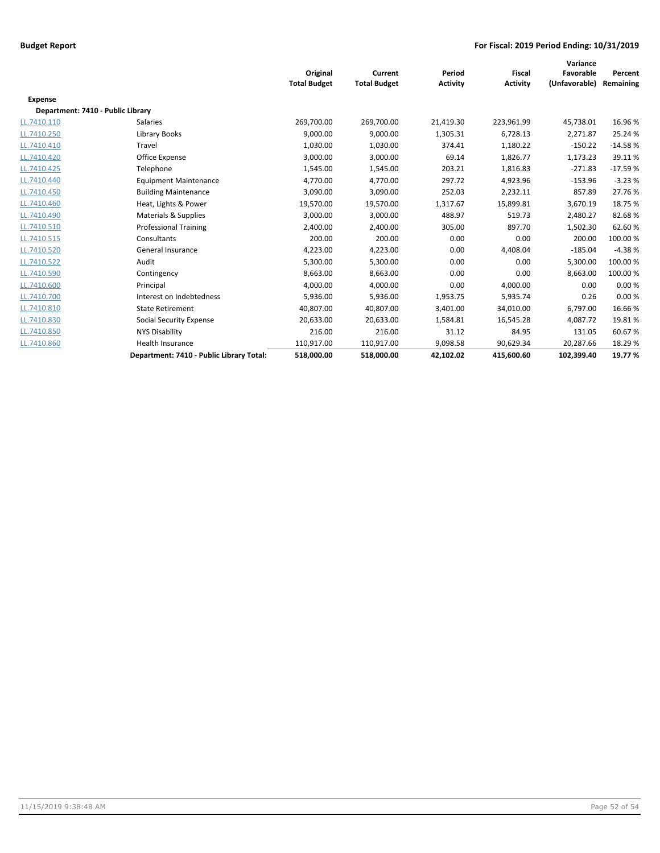|                                   |                                          | Original<br><b>Total Budget</b> | Current<br><b>Total Budget</b> | Period<br><b>Activity</b> | <b>Fiscal</b><br><b>Activity</b> | Variance<br>Favorable<br>(Unfavorable) | Percent<br>Remaining |
|-----------------------------------|------------------------------------------|---------------------------------|--------------------------------|---------------------------|----------------------------------|----------------------------------------|----------------------|
| <b>Expense</b>                    |                                          |                                 |                                |                           |                                  |                                        |                      |
| Department: 7410 - Public Library |                                          |                                 |                                |                           |                                  |                                        |                      |
| LL.7410.110                       | <b>Salaries</b>                          | 269,700.00                      | 269,700.00                     | 21,419.30                 | 223,961.99                       | 45,738.01                              | 16.96%               |
| LL.7410.250                       | Library Books                            | 9,000.00                        | 9,000.00                       | 1,305.31                  | 6,728.13                         | 2,271.87                               | 25.24 %              |
| LL.7410.410                       | Travel                                   | 1,030.00                        | 1,030.00                       | 374.41                    | 1,180.22                         | $-150.22$                              | $-14.58%$            |
| LL.7410.420                       | Office Expense                           | 3,000.00                        | 3,000.00                       | 69.14                     | 1,826.77                         | 1,173.23                               | 39.11%               |
| LL.7410.425                       | Telephone                                | 1,545.00                        | 1,545.00                       | 203.21                    | 1,816.83                         | $-271.83$                              | $-17.59%$            |
| LL.7410.440                       | <b>Equipment Maintenance</b>             | 4,770.00                        | 4,770.00                       | 297.72                    | 4,923.96                         | $-153.96$                              | $-3.23%$             |
| LL.7410.450                       | <b>Building Maintenance</b>              | 3,090.00                        | 3,090.00                       | 252.03                    | 2,232.11                         | 857.89                                 | 27.76%               |
| LL.7410.460                       | Heat, Lights & Power                     | 19,570.00                       | 19,570.00                      | 1,317.67                  | 15,899.81                        | 3,670.19                               | 18.75 %              |
| LL.7410.490                       | Materials & Supplies                     | 3,000.00                        | 3,000.00                       | 488.97                    | 519.73                           | 2,480.27                               | 82.68%               |
| LL.7410.510                       | <b>Professional Training</b>             | 2,400.00                        | 2,400.00                       | 305.00                    | 897.70                           | 1,502.30                               | 62.60%               |
| LL.7410.515                       | Consultants                              | 200.00                          | 200.00                         | 0.00                      | 0.00                             | 200.00                                 | 100.00 %             |
| LL.7410.520                       | General Insurance                        | 4,223.00                        | 4,223.00                       | 0.00                      | 4,408.04                         | $-185.04$                              | $-4.38%$             |
| LL.7410.522                       | Audit                                    | 5,300.00                        | 5,300.00                       | 0.00                      | 0.00                             | 5,300.00                               | 100.00 %             |
| LL.7410.590                       | Contingency                              | 8,663.00                        | 8,663.00                       | 0.00                      | 0.00                             | 8,663.00                               | 100.00%              |
| LL.7410.600                       | Principal                                | 4,000.00                        | 4,000.00                       | 0.00                      | 4,000.00                         | 0.00                                   | 0.00%                |
| LL.7410.700                       | Interest on Indebtedness                 | 5,936.00                        | 5,936.00                       | 1,953.75                  | 5,935.74                         | 0.26                                   | 0.00%                |
| LL.7410.810                       | <b>State Retirement</b>                  | 40,807.00                       | 40,807.00                      | 3,401.00                  | 34,010.00                        | 6,797.00                               | 16.66%               |
| LL.7410.830                       | Social Security Expense                  | 20,633.00                       | 20,633.00                      | 1,584.81                  | 16,545.28                        | 4.087.72                               | 19.81%               |
| LL.7410.850                       | <b>NYS Disability</b>                    | 216.00                          | 216.00                         | 31.12                     | 84.95                            | 131.05                                 | 60.67%               |
| LL.7410.860                       | Health Insurance                         | 110,917.00                      | 110,917.00                     | 9,098.58                  | 90,629.34                        | 20,287.66                              | 18.29 %              |
|                                   | Department: 7410 - Public Library Total: | 518,000.00                      | 518,000.00                     | 42,102.02                 | 415,600.60                       | 102,399.40                             | 19.77%               |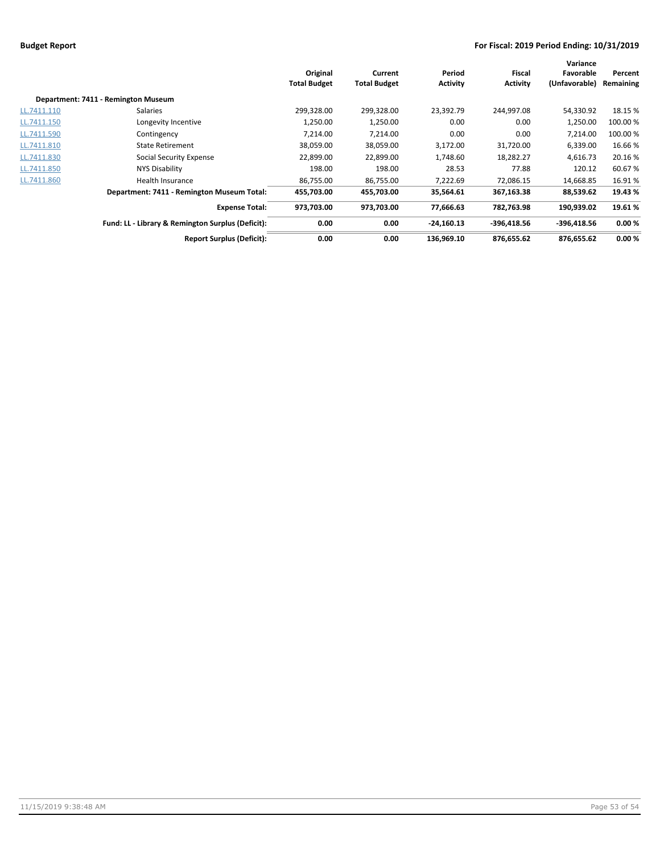|             |                                                   |                     |                     |                 |                 | Variance      |           |  |
|-------------|---------------------------------------------------|---------------------|---------------------|-----------------|-----------------|---------------|-----------|--|
|             |                                                   | Original            | Current             | Period          | Fiscal          | Favorable     | Percent   |  |
|             |                                                   | <b>Total Budget</b> | <b>Total Budget</b> | <b>Activity</b> | <b>Activity</b> | (Unfavorable) | Remaining |  |
|             | Department: 7411 - Remington Museum               |                     |                     |                 |                 |               |           |  |
| LL.7411.110 | Salaries                                          | 299,328.00          | 299,328.00          | 23,392.79       | 244,997.08      | 54,330.92     | 18.15 %   |  |
| LL.7411.150 | Longevity Incentive                               | 1,250.00            | 1,250.00            | 0.00            | 0.00            | 1,250.00      | 100.00 %  |  |
| LL.7411.590 | Contingency                                       | 7,214.00            | 7,214.00            | 0.00            | 0.00            | 7,214.00      | 100.00 %  |  |
| LL.7411.810 | <b>State Retirement</b>                           | 38,059.00           | 38,059.00           | 3,172.00        | 31,720.00       | 6,339.00      | 16.66%    |  |
| LL.7411.830 | Social Security Expense                           | 22,899.00           | 22,899.00           | 1,748.60        | 18,282.27       | 4,616.73      | 20.16%    |  |
| LL.7411.850 | NYS Disability                                    | 198.00              | 198.00              | 28.53           | 77.88           | 120.12        | 60.67%    |  |
| LL.7411.860 | Health Insurance                                  | 86,755.00           | 86,755.00           | 7,222.69        | 72,086.15       | 14,668.85     | 16.91%    |  |
|             | Department: 7411 - Remington Museum Total:        | 455,703.00          | 455,703.00          | 35,564.61       | 367,163.38      | 88,539.62     | 19.43 %   |  |
|             | <b>Expense Total:</b>                             | 973,703.00          | 973,703.00          | 77,666.63       | 782,763.98      | 190,939.02    | 19.61%    |  |
|             | Fund: LL - Library & Remington Surplus (Deficit): | 0.00                | 0.00                | $-24,160.13$    | $-396,418.56$   | $-396,418.56$ | 0.00%     |  |
|             | <b>Report Surplus (Deficit):</b>                  | 0.00                | 0.00                | 136.969.10      | 876,655.62      | 876,655.62    | 0.00%     |  |
|             |                                                   |                     |                     |                 |                 |               |           |  |